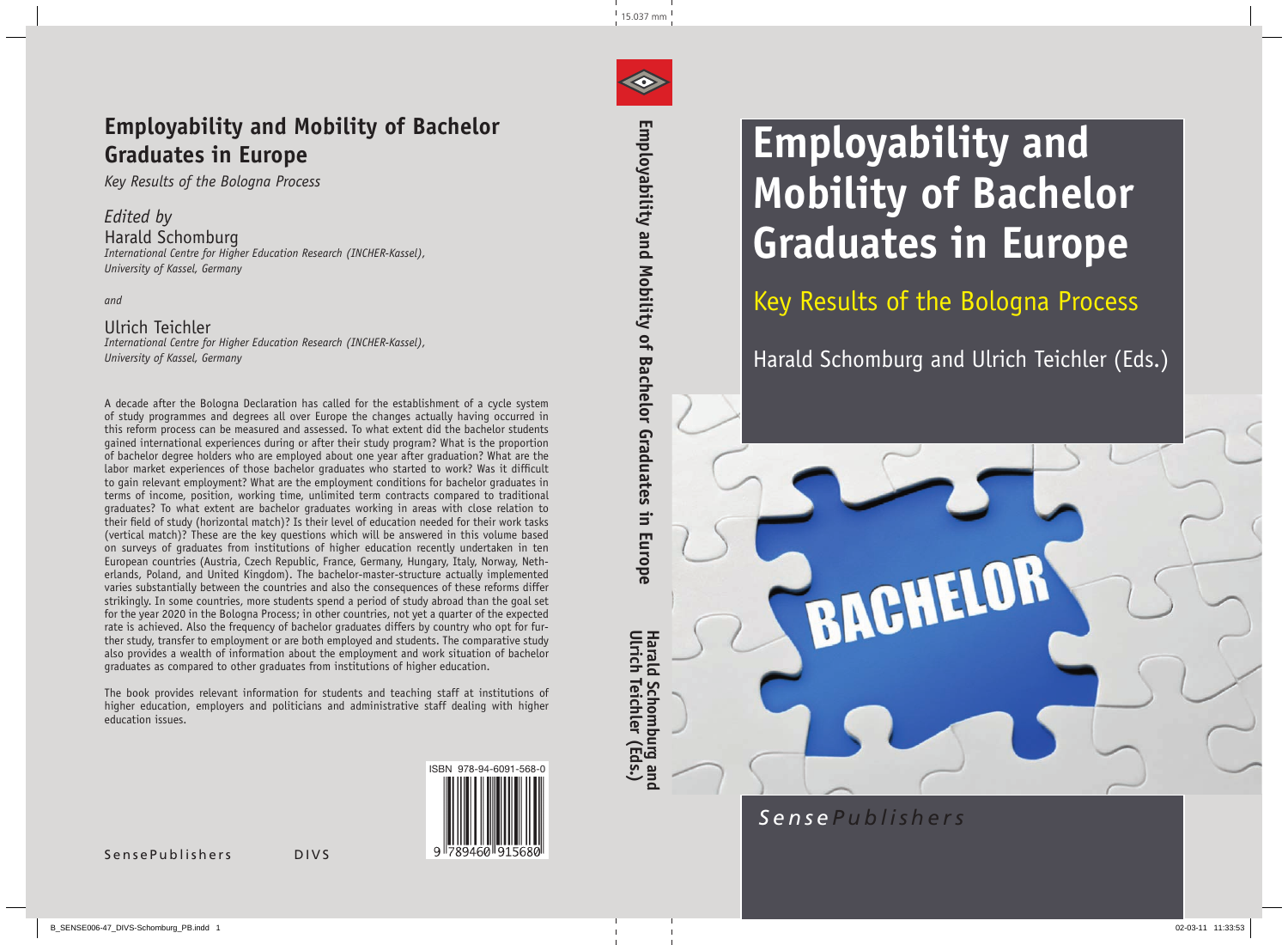# **Employability and Mobility of Bachelor Graduates in Europe**

Key Results of the Bologna Process

BACHELOR

Harald Schomburg and Ulrich Teichler (Eds.)

*Sense Publishers*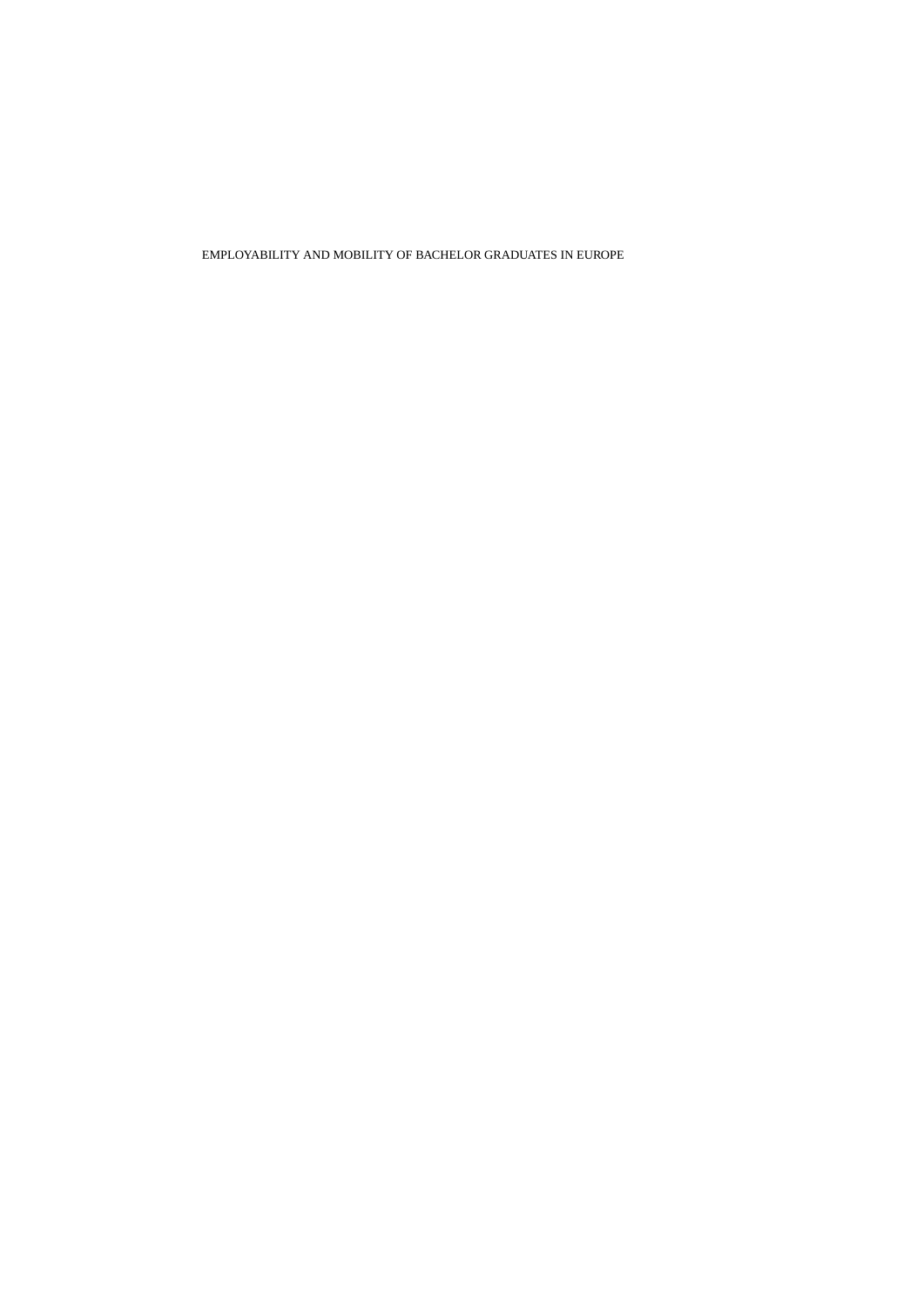# EMPLOYABILITY AND MOBILITY OF BACHELOR GRADUATES IN EUROPE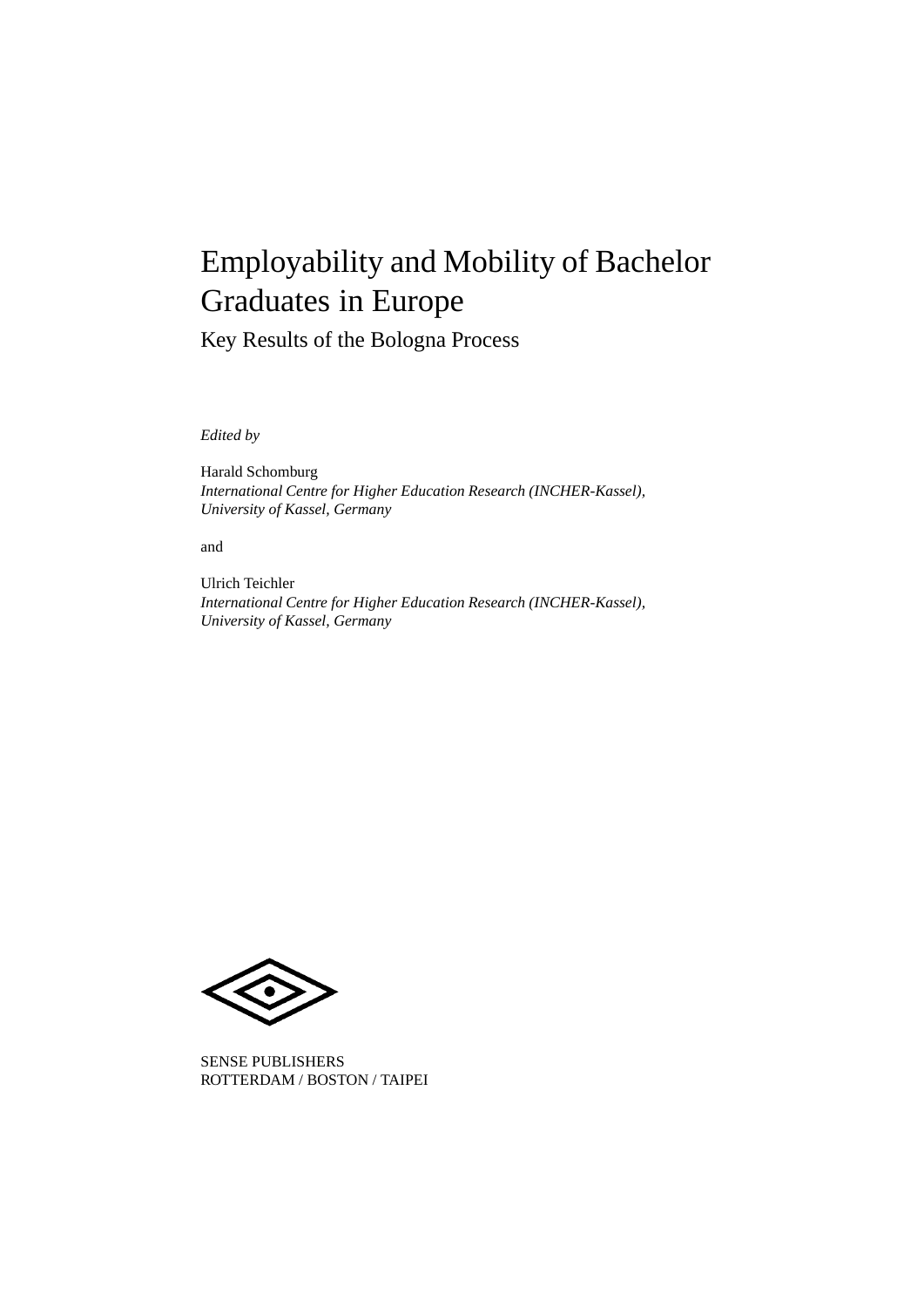# Employability and Mobility of Bachelor Graduates in Europe

Key Results of the Bologna Process

*Edited by*

Harald Schomburg *International Centre for Higher Education Research (INCHER-Kassel), University of Kassel, Germany*

and

Ulrich Teichler *International Centre for Higher Education Research (INCHER-Kassel), University of Kassel, Germany*



SENSE PUBLISHERS ROTTERDAM / BOSTON / TAIPEI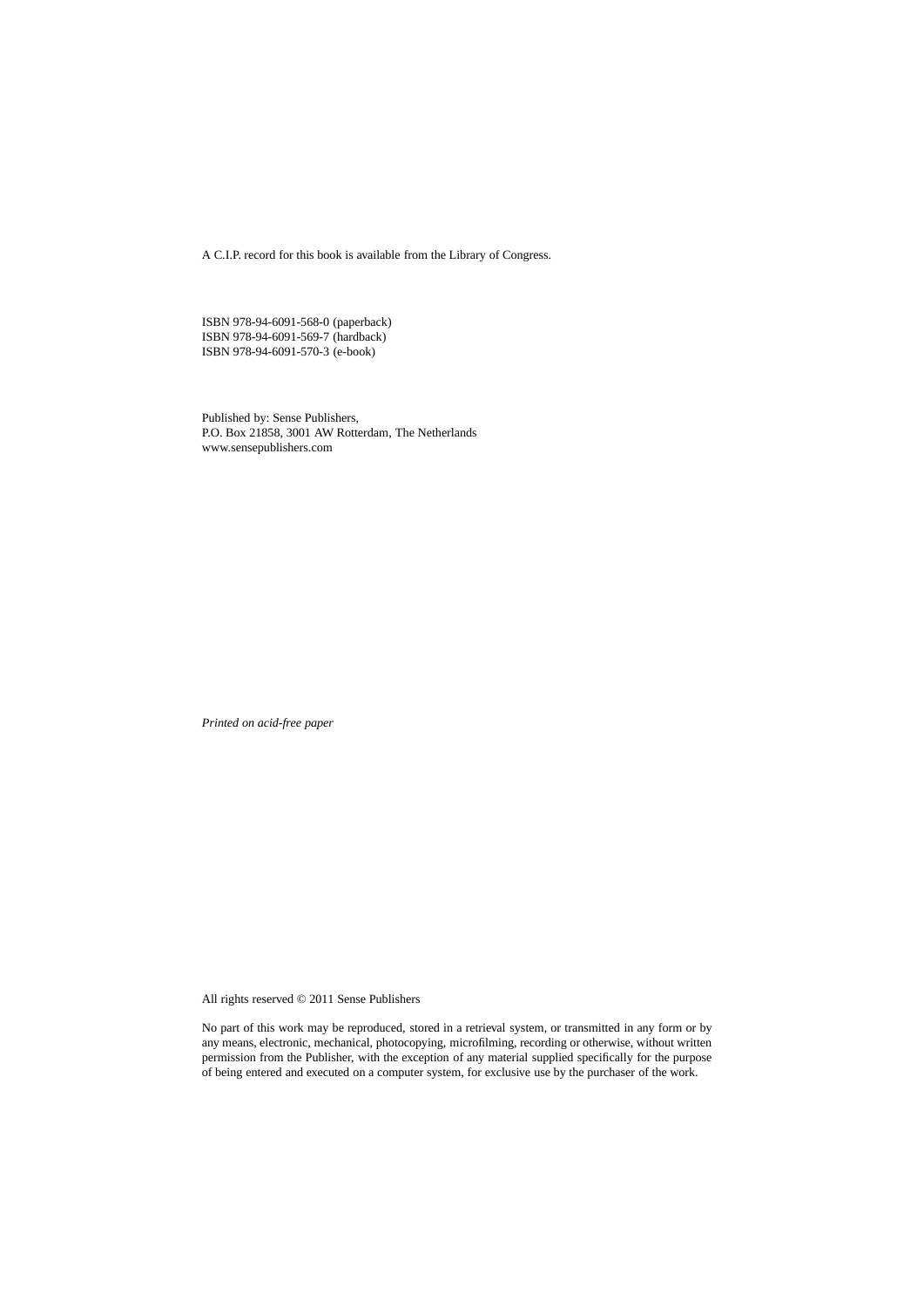A C.I.P. record for this book is available from the Library of Congress.

ISBN 978-94-6091-568-0 (paperback) ISBN 978-94-6091-569-7 (hardback) ISBN 978-94-6091-570-3 (e-book)

Published by: Sense Publishers, P.O. Box 21858, 3001 AW Rotterdam, The Netherlands www.sensepublishers.com

*Printed on acid-free paper*

All rights reserved © 2011 Sense Publishers

No part of this work may be reproduced, stored in a retrieval system, or transmitted in any form or by any means, electronic, mechanical, photocopying, microfilming, recording or otherwise, without written permission from the Publisher, with the exception of any material supplied specifically for the purpose of being entered and executed on a computer system, for exclusive use by the purchaser of the work.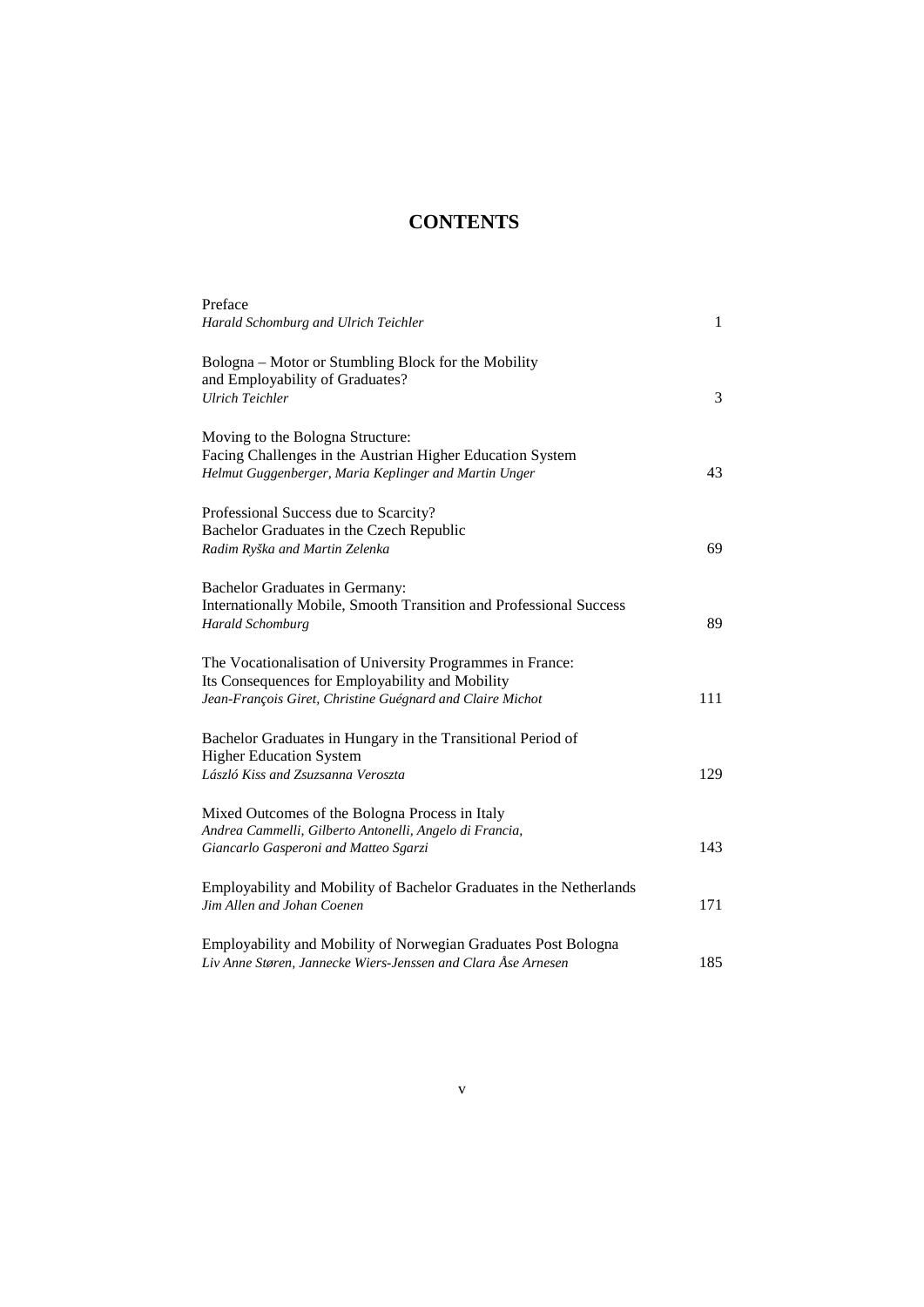# **CONTENTS**

| Preface<br>Harald Schomburg and Ulrich Teichler                     | $\mathbf{1}$ |
|---------------------------------------------------------------------|--------------|
|                                                                     |              |
| Bologna – Motor or Stumbling Block for the Mobility                 |              |
| and Employability of Graduates?                                     |              |
| <b>Ulrich Teichler</b>                                              | 3            |
| Moving to the Bologna Structure:                                    |              |
| Facing Challenges in the Austrian Higher Education System           |              |
| Helmut Guggenberger, Maria Keplinger and Martin Unger               | 43           |
| Professional Success due to Scarcity?                               |              |
| Bachelor Graduates in the Czech Republic                            |              |
| Radim Ryška and Martin Zelenka                                      | 69           |
| Bachelor Graduates in Germany:                                      |              |
| Internationally Mobile, Smooth Transition and Professional Success  |              |
| <b>Harald Schomburg</b>                                             | 89           |
| The Vocationalisation of University Programmes in France:           |              |
| Its Consequences for Employability and Mobility                     |              |
| Jean-François Giret, Christine Guégnard and Claire Michot           | 111          |
| Bachelor Graduates in Hungary in the Transitional Period of         |              |
| <b>Higher Education System</b>                                      |              |
| László Kiss and Zsuzsanna Veroszta                                  | 129          |
| Mixed Outcomes of the Bologna Process in Italy                      |              |
| Andrea Cammelli, Gilberto Antonelli, Angelo di Francia,             |              |
| Giancarlo Gasperoni and Matteo Sgarzi                               | 143          |
| Employability and Mobility of Bachelor Graduates in the Netherlands |              |
| Jim Allen and Johan Coenen                                          | 171          |
| Employability and Mobility of Norwegian Graduates Post Bologna      |              |
| Liv Anne Støren, Jannecke Wiers-Jenssen and Clara Åse Arnesen       | 185          |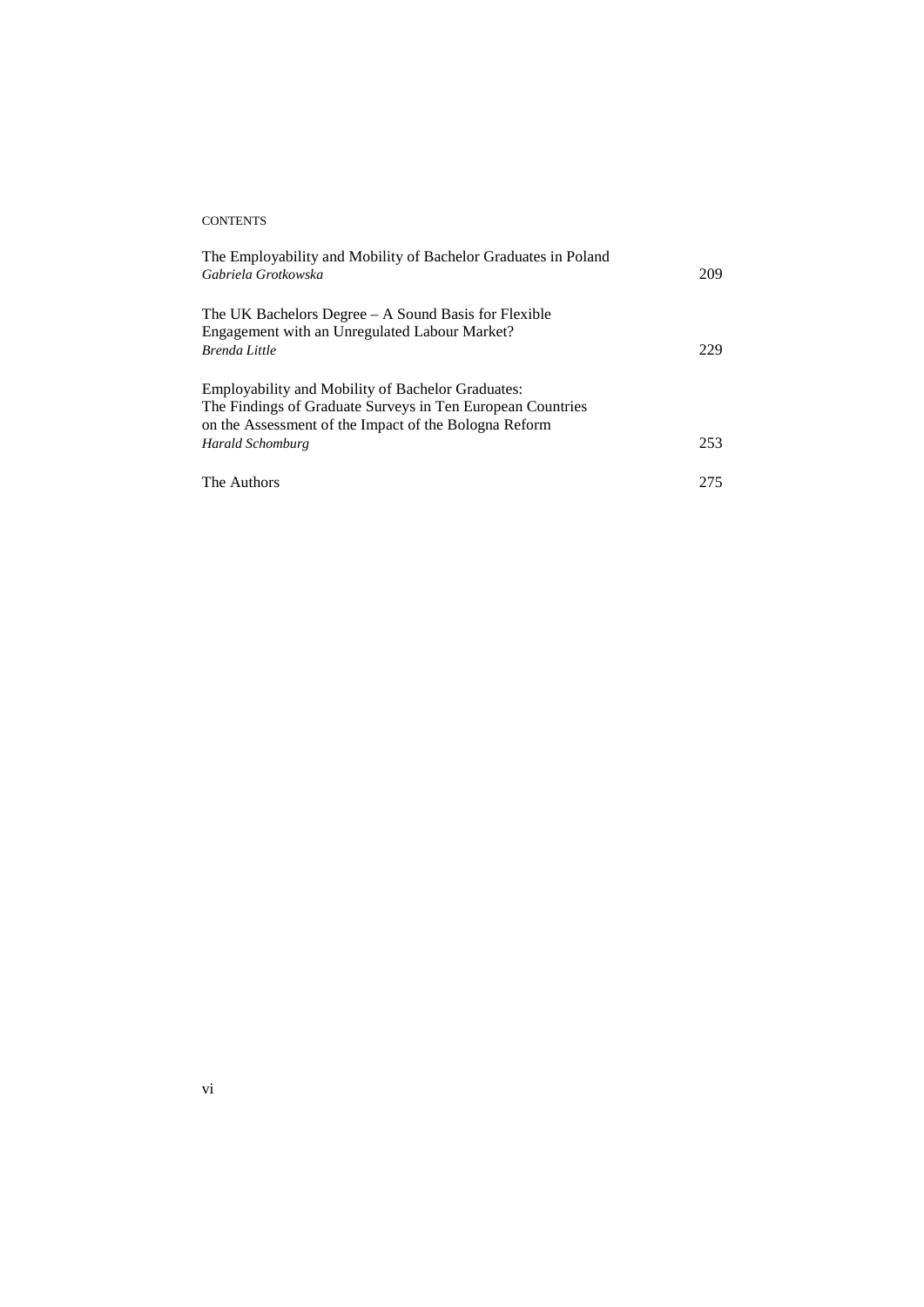# **CONTENTS**

| The Employability and Mobility of Bachelor Graduates in Poland<br>Gabriela Grotkowska                                                                                                               | 209 |
|-----------------------------------------------------------------------------------------------------------------------------------------------------------------------------------------------------|-----|
| The UK Bachelors Degree $- A$ Sound Basis for Flexible<br>Engagement with an Unregulated Labour Market?<br><b>Brenda Little</b>                                                                     | 229 |
| Employability and Mobility of Bachelor Graduates:<br>The Findings of Graduate Surveys in Ten European Countries<br>on the Assessment of the Impact of the Bologna Reform<br><b>Harald Schomburg</b> | 253 |
| The Authors                                                                                                                                                                                         | 275 |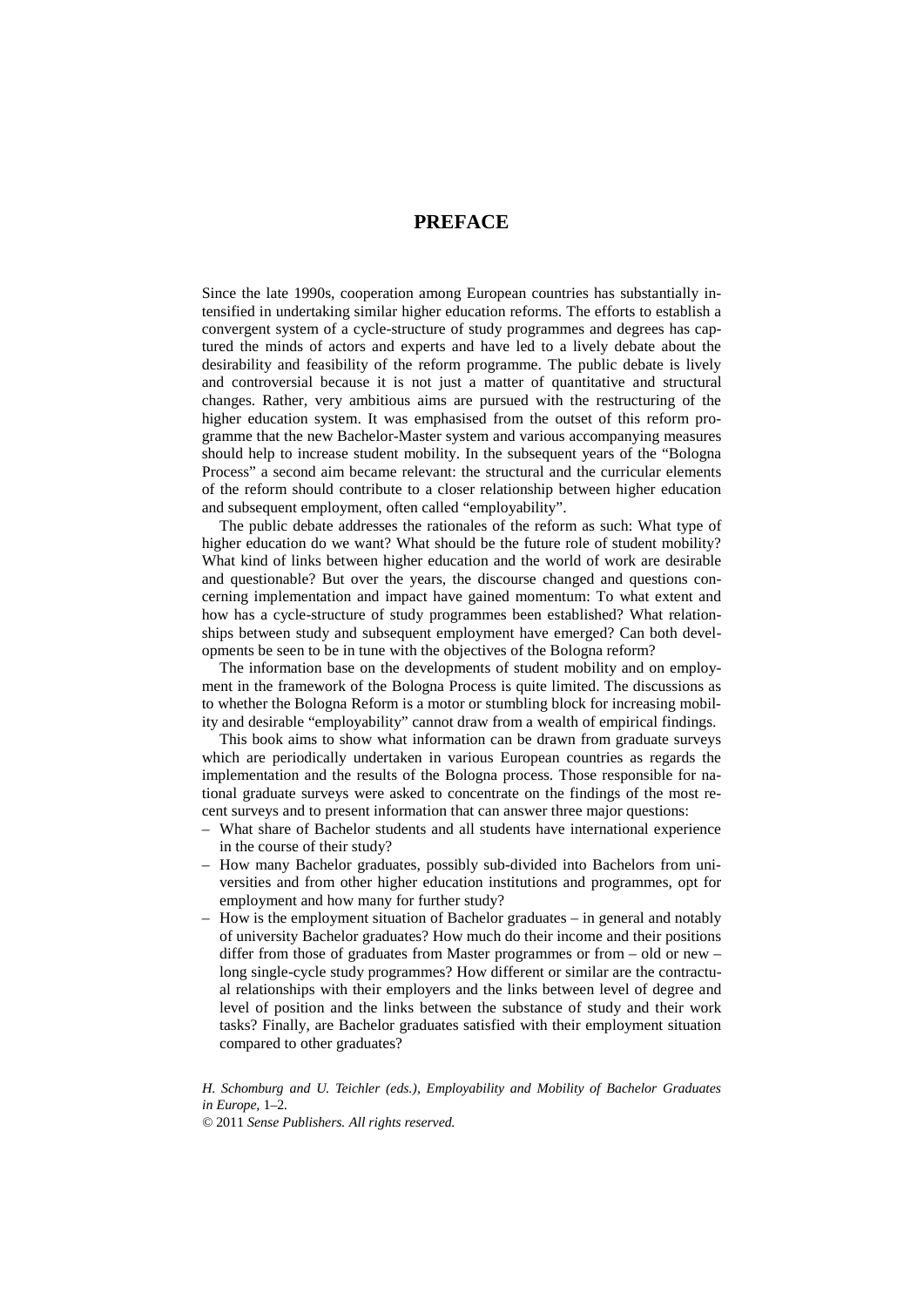# **PREFACE**

Since the late 1990s, cooperation among European countries has substantially intensified in undertaking similar higher education reforms. The efforts to establish a convergent system of a cycle-structure of study programmes and degrees has captured the minds of actors and experts and have led to a lively debate about the desirability and feasibility of the reform programme. The public debate is lively and controversial because it is not just a matter of quantitative and structural changes. Rather, very ambitious aims are pursued with the restructuring of the higher education system. It was emphasised from the outset of this reform programme that the new Bachelor-Master system and various accompanying measures should help to increase student mobility. In the subsequent years of the "Bologna" Process" a second aim became relevant: the structural and the curricular elements of the reform should contribute to a closer relationship between higher education and subsequent employment, often called "employability".

The public debate addresses the rationales of the reform as such: What type of higher education do we want? What should be the future role of student mobility? What kind of links between higher education and the world of work are desirable and questionable? But over the years, the discourse changed and questions concerning implementation and impact have gained momentum: To what extent and how has a cycle-structure of study programmes been established? What relationships between study and subsequent employment have emerged? Can both developments be seen to be in tune with the objectives of the Bologna reform?

The information base on the developments of student mobility and on employment in the framework of the Bologna Process is quite limited. The discussions as to whether the Bologna Reform is a motor or stumbling block for increasing mobility and desirable "employability" cannot draw from a wealth of empirical findings.

This book aims to show what information can be drawn from graduate surveys which are periodically undertaken in various European countries as regards the implementation and the results of the Bologna process. Those responsible for national graduate surveys were asked to concentrate on the findings of the most recent surveys and to present information that can answer three major questions:

- What share of Bachelor students and all students have international experience in the course of their study?
- How many Bachelor graduates, possibly sub-divided into Bachelors from universities and from other higher education institutions and programmes, opt for employment and how many for further study?
- How is the employment situation of Bachelor graduates in general and notably of university Bachelor graduates? How much do their income and their positions differ from those of graduates from Master programmes or from – old or new – long single-cycle study programmes? How different or similar are the contractual relationships with their employers and the links between level of degree and level of position and the links between the substance of study and their work tasks? Finally, are Bachelor graduates satisfied with their employment situation compared to other graduates?

 *H. Schomburg and U. Teichler (eds.), Employability and Mobility of Bachelor Graduates in Europe,* 1–2*. ©* 2011 *Sense Publishers. All rights reserved.*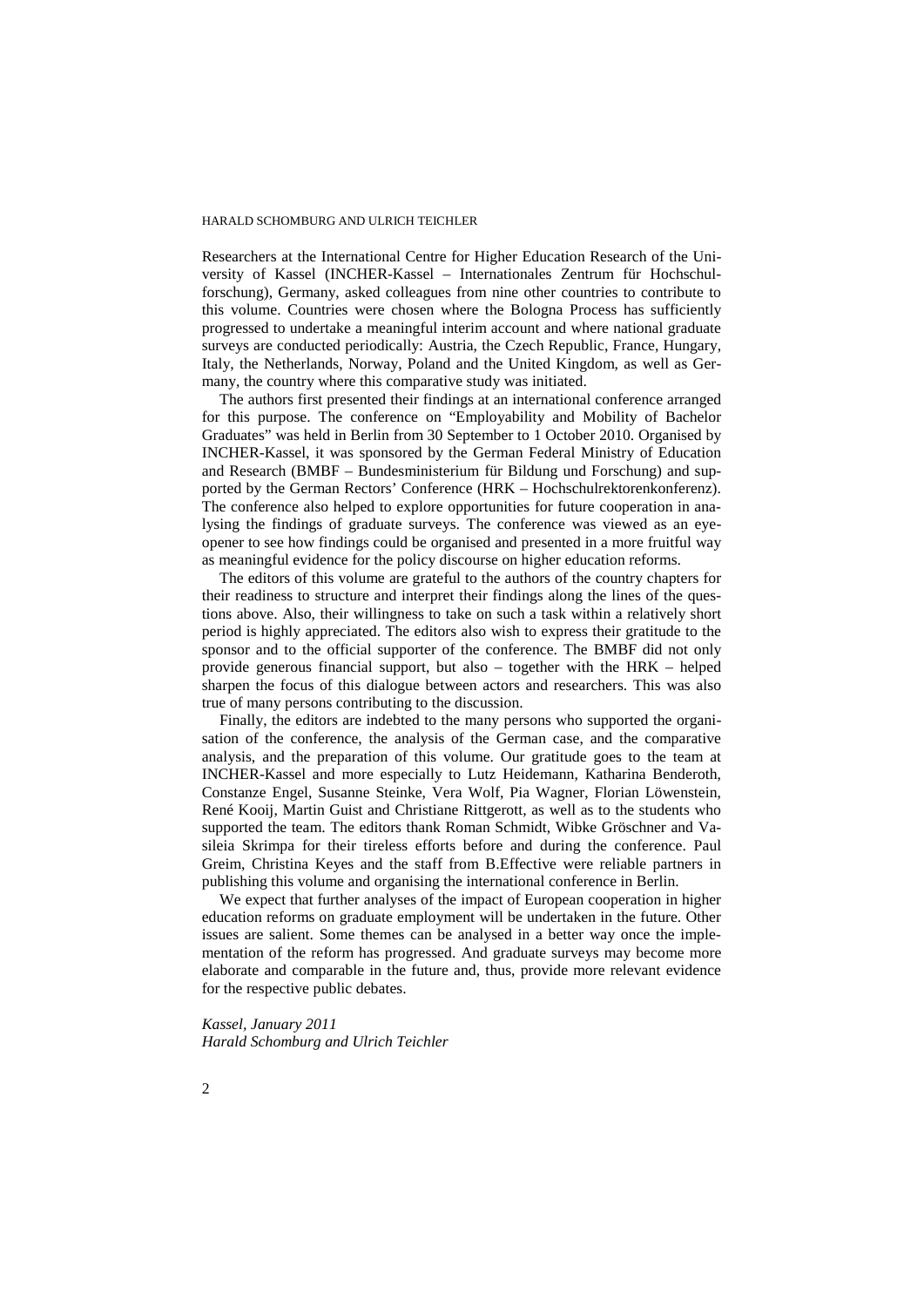#### HARALD SCHOMBURG AND ULRICH TEICHLER

Researchers at the International Centre for Higher Education Research of the University of Kassel (INCHER-Kassel – Internationales Zentrum für Hochschulforschung), Germany, asked colleagues from nine other countries to contribute to this volume. Countries were chosen where the Bologna Process has sufficiently progressed to undertake a meaningful interim account and where national graduate surveys are conducted periodically: Austria, the Czech Republic, France, Hungary, Italy, the Netherlands, Norway, Poland and the United Kingdom, as well as Germany, the country where this comparative study was initiated.

The authors first presented their findings at an international conference arranged for this purpose. The conference on "Employability and Mobility of Bachelor Graduates" was held in Berlin from 30 September to 1 October 2010. Organised by INCHER-Kassel, it was sponsored by the German Federal Ministry of Education and Research (BMBF – Bundesministerium für Bildung und Forschung) and supported by the German Rectors' Conference (HRK – Hochschulrektorenkonferenz). The conference also helped to explore opportunities for future cooperation in analysing the findings of graduate surveys. The conference was viewed as an eyeopener to see how findings could be organised and presented in a more fruitful way as meaningful evidence for the policy discourse on higher education reforms.

The editors of this volume are grateful to the authors of the country chapters for their readiness to structure and interpret their findings along the lines of the questions above. Also, their willingness to take on such a task within a relatively short period is highly appreciated. The editors also wish to express their gratitude to the sponsor and to the official supporter of the conference. The BMBF did not only provide generous financial support, but also – together with the HRK – helped sharpen the focus of this dialogue between actors and researchers. This was also true of many persons contributing to the discussion.

Finally, the editors are indebted to the many persons who supported the organisation of the conference, the analysis of the German case, and the comparative analysis, and the preparation of this volume. Our gratitude goes to the team at INCHER-Kassel and more especially to Lutz Heidemann, Katharina Benderoth, Constanze Engel, Susanne Steinke, Vera Wolf, Pia Wagner, Florian Löwenstein, René Kooij, Martin Guist and Christiane Rittgerott, as well as to the students who supported the team. The editors thank Roman Schmidt, Wibke Gröschner and Vasileia Skrimpa for their tireless efforts before and during the conference. Paul Greim, Christina Keyes and the staff from B.Effective were reliable partners in publishing this volume and organising the international conference in Berlin.

We expect that further analyses of the impact of European cooperation in higher education reforms on graduate employment will be undertaken in the future. Other issues are salient. Some themes can be analysed in a better way once the implementation of the reform has progressed. And graduate surveys may become more elaborate and comparable in the future and, thus, provide more relevant evidence for the respective public debates.

*Kassel, January 2011 Harald Schomburg and Ulrich Teichler*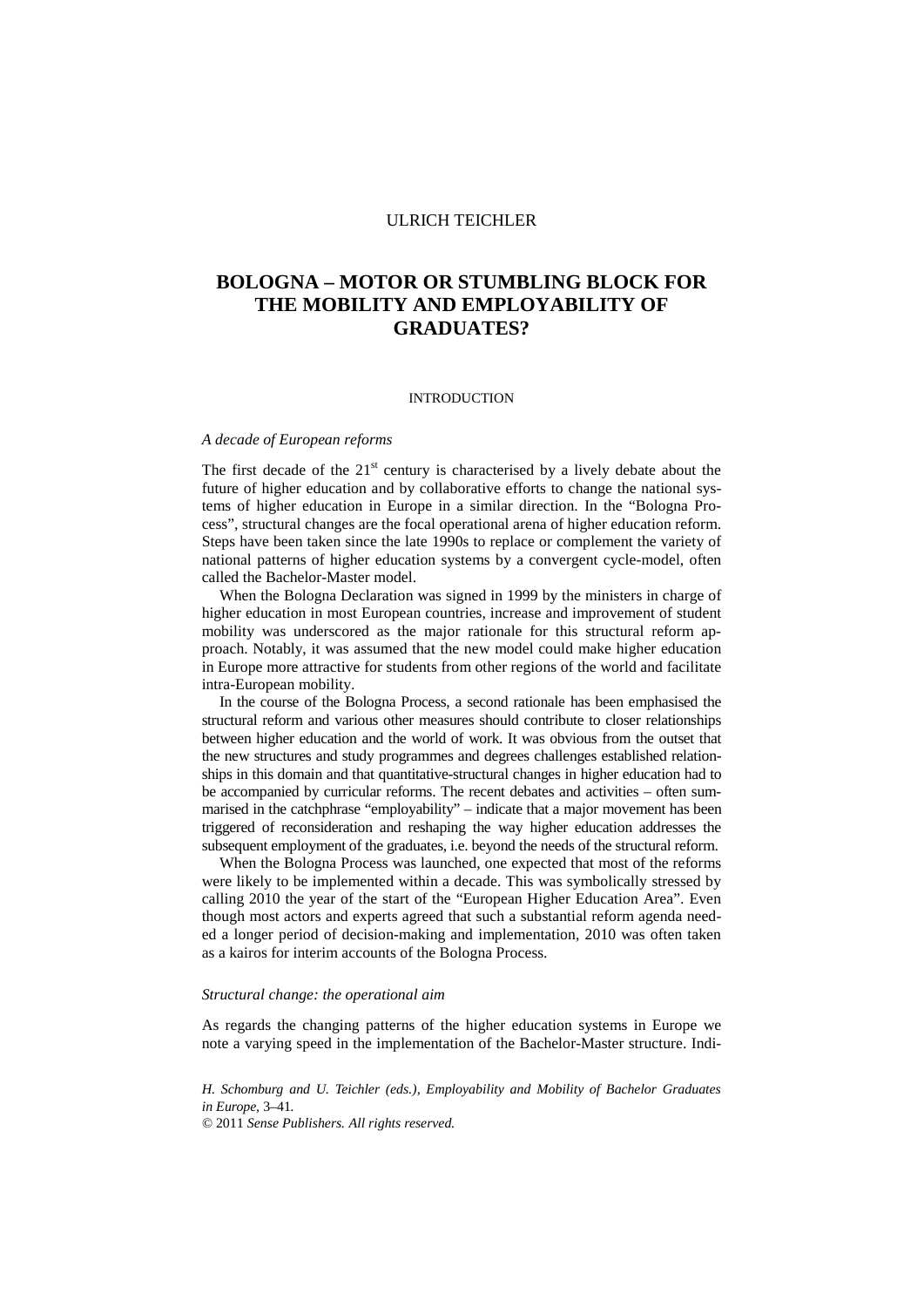# **BOLOGNA – MOTOR OR STUMBLING BLOCK FOR THE MOBILITY AND EMPLOYABILITY OF GRADUATES?**

## INTRODUCTION

# *A decade of European reforms*

The first decade of the  $21<sup>st</sup>$  century is characterised by a lively debate about the future of higher education and by collaborative efforts to change the national systems of higher education in Europe in a similar direction. In the "Bologna Process", structural changes are the focal operational arena of higher education reform. Steps have been taken since the late 1990s to replace or complement the variety of national patterns of higher education systems by a convergent cycle-model, often called the Bachelor-Master model.

When the Bologna Declaration was signed in 1999 by the ministers in charge of higher education in most European countries, increase and improvement of student mobility was underscored as the major rationale for this structural reform approach. Notably, it was assumed that the new model could make higher education in Europe more attractive for students from other regions of the world and facilitate intra-European mobility.

In the course of the Bologna Process, a second rationale has been emphasised the structural reform and various other measures should contribute to closer relationships between higher education and the world of work. It was obvious from the outset that the new structures and study programmes and degrees challenges established relationships in this domain and that quantitative-structural changes in higher education had to be accompanied by curricular reforms. The recent debates and activities – often summarised in the catchphrase "employability" – indicate that a major movement has been triggered of reconsideration and reshaping the way higher education addresses the subsequent employment of the graduates, i.e. beyond the needs of the structural reform.

When the Bologna Process was launched, one expected that most of the reforms were likely to be implemented within a decade. This was symbolically stressed by calling 2010 the year of the start of the "European Higher Education Area". Even though most actors and experts agreed that such a substantial reform agenda needed a longer period of decision-making and implementation, 2010 was often taken as a kairos for interim accounts of the Bologna Process.

#### *Structural change: the operational aim*

As regards the changing patterns of the higher education systems in Europe we note a varying speed in the implementation of the Bachelor-Master structure. Indi-

 *H. Schomburg and U. Teichler (eds.), Employability and Mobility of Bachelor Graduates in Europe,* 3–41*. ©* 2011 *Sense Publishers. All rights reserved.*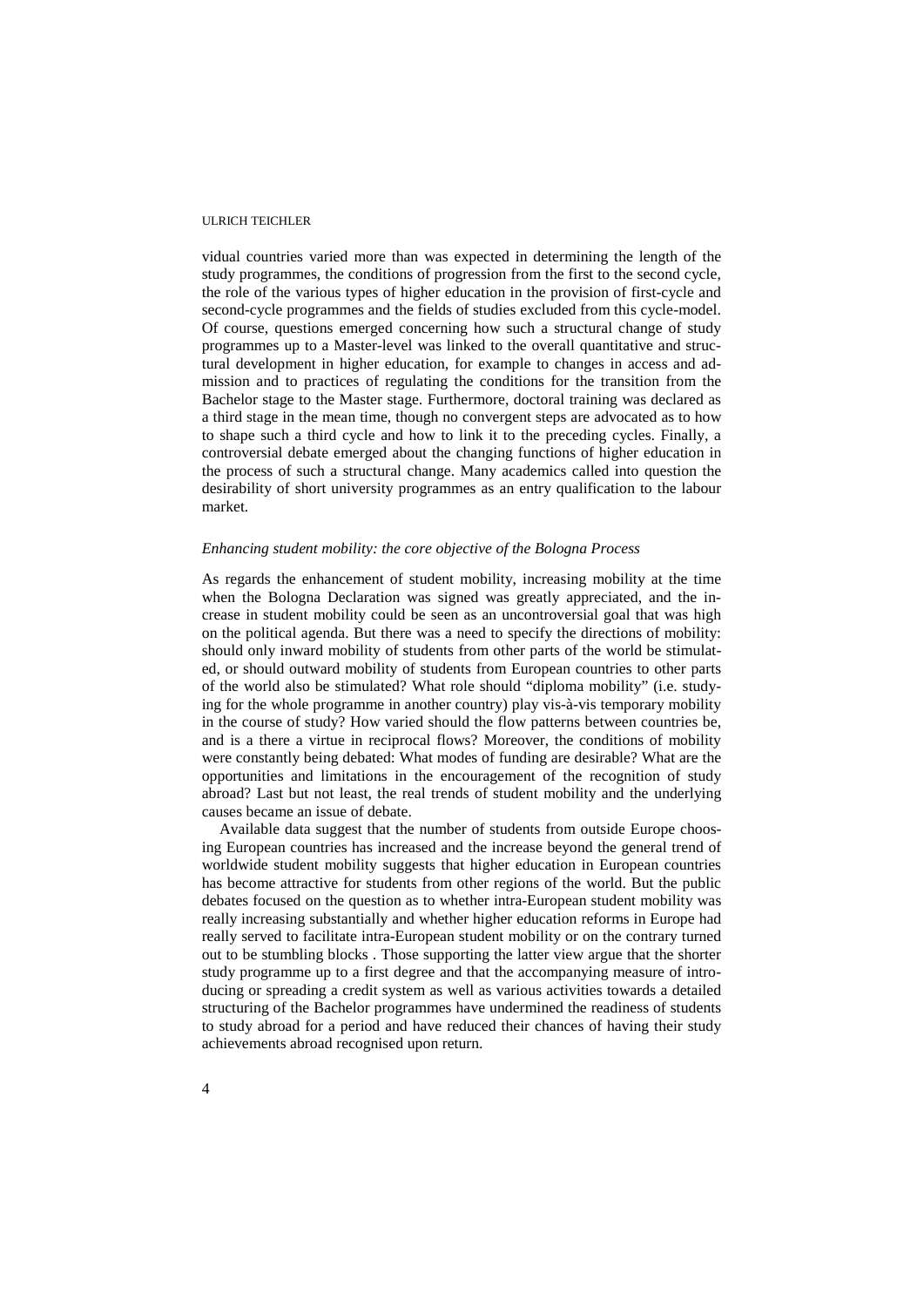vidual countries varied more than was expected in determining the length of the study programmes, the conditions of progression from the first to the second cycle, the role of the various types of higher education in the provision of first-cycle and second-cycle programmes and the fields of studies excluded from this cycle-model. Of course, questions emerged concerning how such a structural change of study programmes up to a Master-level was linked to the overall quantitative and structural development in higher education, for example to changes in access and admission and to practices of regulating the conditions for the transition from the Bachelor stage to the Master stage. Furthermore, doctoral training was declared as a third stage in the mean time, though no convergent steps are advocated as to how to shape such a third cycle and how to link it to the preceding cycles. Finally, a controversial debate emerged about the changing functions of higher education in the process of such a structural change. Many academics called into question the desirability of short university programmes as an entry qualification to the labour market.

# *Enhancing student mobility: the core objective of the Bologna Process*

As regards the enhancement of student mobility, increasing mobility at the time when the Bologna Declaration was signed was greatly appreciated, and the increase in student mobility could be seen as an uncontroversial goal that was high on the political agenda. But there was a need to specify the directions of mobility: should only inward mobility of students from other parts of the world be stimulated, or should outward mobility of students from European countries to other parts of the world also be stimulated? What role should "diploma mobility" (i.e. studying for the whole programme in another country) play vis-à-vis temporary mobility in the course of study? How varied should the flow patterns between countries be, and is a there a virtue in reciprocal flows? Moreover, the conditions of mobility were constantly being debated: What modes of funding are desirable? What are the opportunities and limitations in the encouragement of the recognition of study abroad? Last but not least, the real trends of student mobility and the underlying causes became an issue of debate.

Available data suggest that the number of students from outside Europe choosing European countries has increased and the increase beyond the general trend of worldwide student mobility suggests that higher education in European countries has become attractive for students from other regions of the world. But the public debates focused on the question as to whether intra-European student mobility was really increasing substantially and whether higher education reforms in Europe had really served to facilitate intra-European student mobility or on the contrary turned out to be stumbling blocks . Those supporting the latter view argue that the shorter study programme up to a first degree and that the accompanying measure of introducing or spreading a credit system as well as various activities towards a detailed structuring of the Bachelor programmes have undermined the readiness of students to study abroad for a period and have reduced their chances of having their study achievements abroad recognised upon return.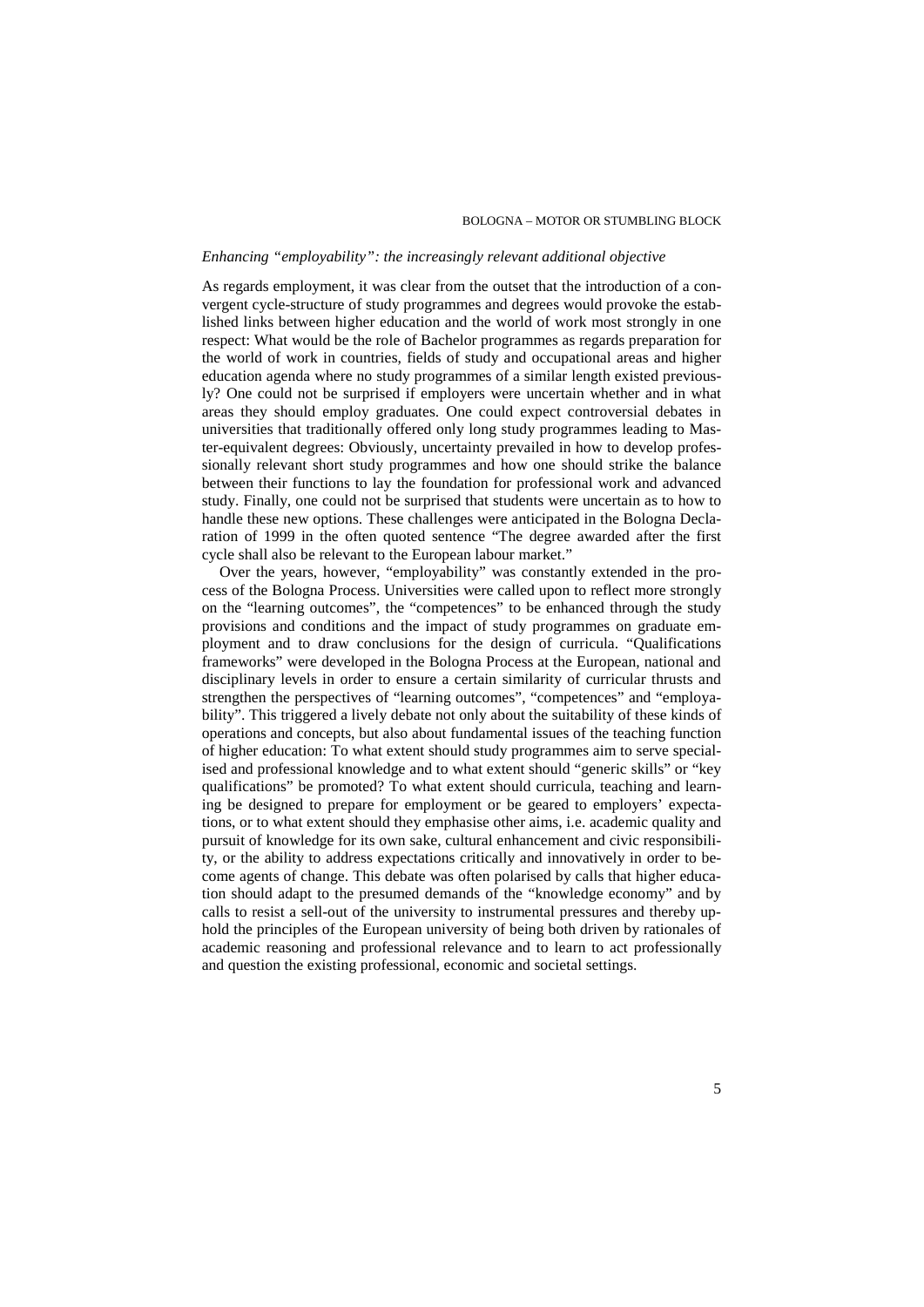# *Enhancing "employability": the increasingly relevant additional objective*

As regards employment, it was clear from the outset that the introduction of a convergent cycle-structure of study programmes and degrees would provoke the established links between higher education and the world of work most strongly in one respect: What would be the role of Bachelor programmes as regards preparation for the world of work in countries, fields of study and occupational areas and higher education agenda where no study programmes of a similar length existed previously? One could not be surprised if employers were uncertain whether and in what areas they should employ graduates. One could expect controversial debates in universities that traditionally offered only long study programmes leading to Master-equivalent degrees: Obviously, uncertainty prevailed in how to develop professionally relevant short study programmes and how one should strike the balance between their functions to lay the foundation for professional work and advanced study. Finally, one could not be surprised that students were uncertain as to how to handle these new options. These challenges were anticipated in the Bologna Declaration of 1999 in the often quoted sentence "The degree awarded after the first cycle shall also be relevant to the European labour market."

Over the years, however, "employability" was constantly extended in the process of the Bologna Process. Universities were called upon to reflect more strongly on the "learning outcomes", the "competences" to be enhanced through the study provisions and conditions and the impact of study programmes on graduate employment and to draw conclusions for the design of curricula. "Qualifications frameworks" were developed in the Bologna Process at the European, national and disciplinary levels in order to ensure a certain similarity of curricular thrusts and strengthen the perspectives of "learning outcomes", "competences" and "employability". This triggered a lively debate not only about the suitability of these kinds of operations and concepts, but also about fundamental issues of the teaching function of higher education: To what extent should study programmes aim to serve specialised and professional knowledge and to what extent should "generic skills" or "key qualifications" be promoted? To what extent should curricula, teaching and learning be designed to prepare for employment or be geared to employers' expectations, or to what extent should they emphasise other aims, i.e. academic quality and pursuit of knowledge for its own sake, cultural enhancement and civic responsibility, or the ability to address expectations critically and innovatively in order to become agents of change. This debate was often polarised by calls that higher education should adapt to the presumed demands of the "knowledge economy" and by calls to resist a sell-out of the university to instrumental pressures and thereby uphold the principles of the European university of being both driven by rationales of academic reasoning and professional relevance and to learn to act professionally and question the existing professional, economic and societal settings.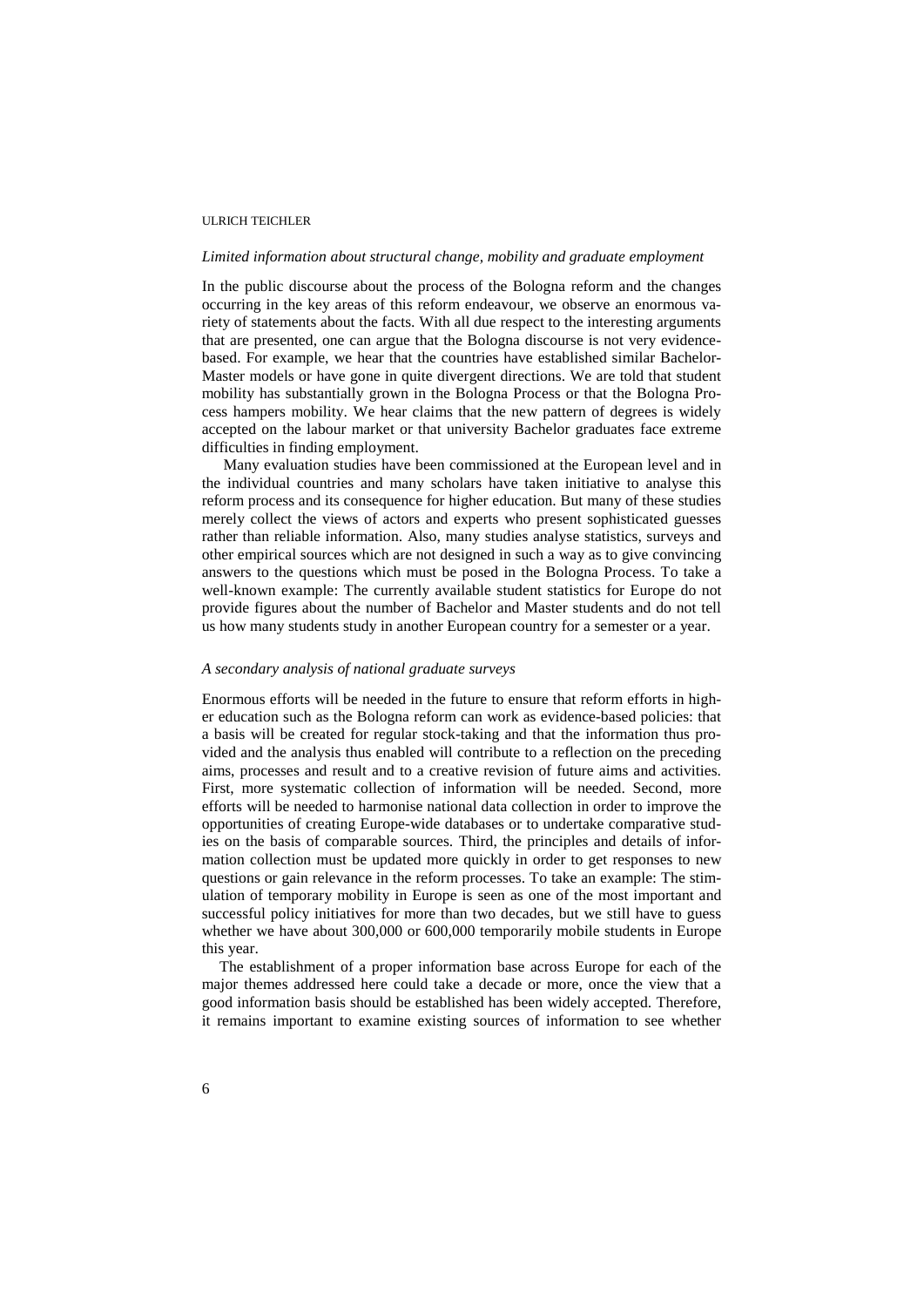# *Limited information about structural change, mobility and graduate employment*

In the public discourse about the process of the Bologna reform and the changes occurring in the key areas of this reform endeavour, we observe an enormous variety of statements about the facts. With all due respect to the interesting arguments that are presented, one can argue that the Bologna discourse is not very evidencebased. For example, we hear that the countries have established similar Bachelor-Master models or have gone in quite divergent directions. We are told that student mobility has substantially grown in the Bologna Process or that the Bologna Process hampers mobility. We hear claims that the new pattern of degrees is widely accepted on the labour market or that university Bachelor graduates face extreme difficulties in finding employment.

 Many evaluation studies have been commissioned at the European level and in the individual countries and many scholars have taken initiative to analyse this reform process and its consequence for higher education. But many of these studies merely collect the views of actors and experts who present sophisticated guesses rather than reliable information. Also, many studies analyse statistics, surveys and other empirical sources which are not designed in such a way as to give convincing answers to the questions which must be posed in the Bologna Process. To take a well-known example: The currently available student statistics for Europe do not provide figures about the number of Bachelor and Master students and do not tell us how many students study in another European country for a semester or a year.

# *A secondary analysis of national graduate surveys*

Enormous efforts will be needed in the future to ensure that reform efforts in higher education such as the Bologna reform can work as evidence-based policies: that a basis will be created for regular stock-taking and that the information thus provided and the analysis thus enabled will contribute to a reflection on the preceding aims, processes and result and to a creative revision of future aims and activities. First, more systematic collection of information will be needed. Second, more efforts will be needed to harmonise national data collection in order to improve the opportunities of creating Europe-wide databases or to undertake comparative studies on the basis of comparable sources. Third, the principles and details of information collection must be updated more quickly in order to get responses to new questions or gain relevance in the reform processes. To take an example: The stimulation of temporary mobility in Europe is seen as one of the most important and successful policy initiatives for more than two decades, but we still have to guess whether we have about 300,000 or 600,000 temporarily mobile students in Europe this year.

The establishment of a proper information base across Europe for each of the major themes addressed here could take a decade or more, once the view that a good information basis should be established has been widely accepted. Therefore, it remains important to examine existing sources of information to see whether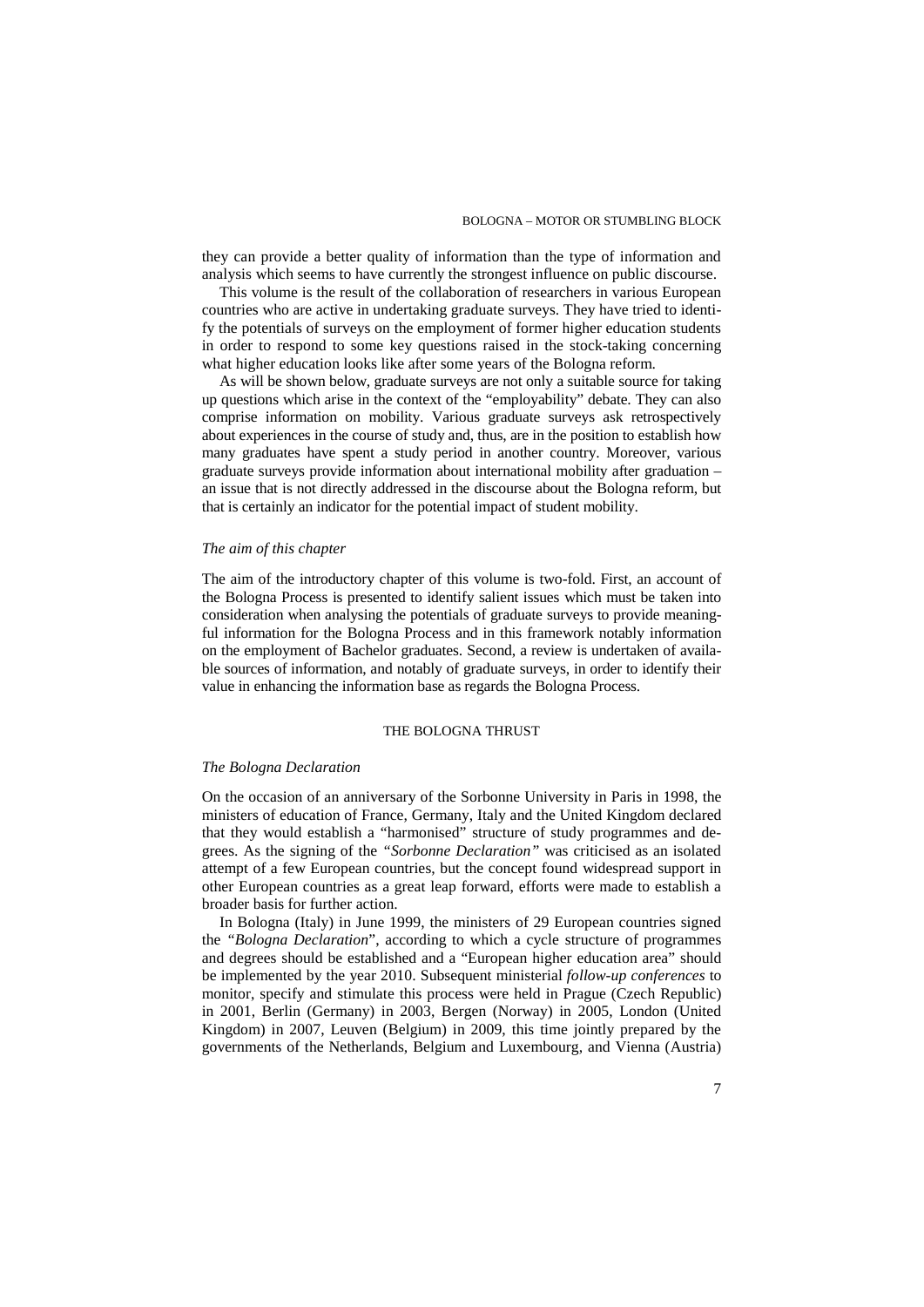they can provide a better quality of information than the type of information and analysis which seems to have currently the strongest influence on public discourse.

This volume is the result of the collaboration of researchers in various European countries who are active in undertaking graduate surveys. They have tried to identify the potentials of surveys on the employment of former higher education students in order to respond to some key questions raised in the stock-taking concerning what higher education looks like after some years of the Bologna reform.

As will be shown below, graduate surveys are not only a suitable source for taking up questions which arise in the context of the "employability" debate. They can also comprise information on mobility. Various graduate surveys ask retrospectively about experiences in the course of study and, thus, are in the position to establish how many graduates have spent a study period in another country. Moreover, various graduate surveys provide information about international mobility after graduation – an issue that is not directly addressed in the discourse about the Bologna reform, but that is certainly an indicator for the potential impact of student mobility.

#### *The aim of this chapter*

The aim of the introductory chapter of this volume is two-fold. First, an account of the Bologna Process is presented to identify salient issues which must be taken into consideration when analysing the potentials of graduate surveys to provide meaningful information for the Bologna Process and in this framework notably information on the employment of Bachelor graduates. Second, a review is undertaken of available sources of information, and notably of graduate surveys, in order to identify their value in enhancing the information base as regards the Bologna Process.

#### THE BOLOGNA THRUST

#### *The Bologna Declaration*

On the occasion of an anniversary of the Sorbonne University in Paris in 1998, the ministers of education of France, Germany, Italy and the United Kingdom declared that they would establish a "harmonised" structure of study programmes and degrees. As the signing of the *"Sorbonne Declaration"* was criticised as an isolated attempt of a few European countries, but the concept found widespread support in other European countries as a great leap forward, efforts were made to establish a broader basis for further action.

In Bologna (Italy) in June 1999, the ministers of 29 European countries signed the *"Bologna Declaration*", according to which a cycle structure of programmes and degrees should be established and a "European higher education area" should be implemented by the year 2010. Subsequent ministerial *follow-up conferences* to monitor, specify and stimulate this process were held in Prague (Czech Republic) in 2001, Berlin (Germany) in 2003, Bergen (Norway) in 2005, London (United Kingdom) in 2007, Leuven (Belgium) in 2009, this time jointly prepared by the governments of the Netherlands, Belgium and Luxembourg, and Vienna (Austria)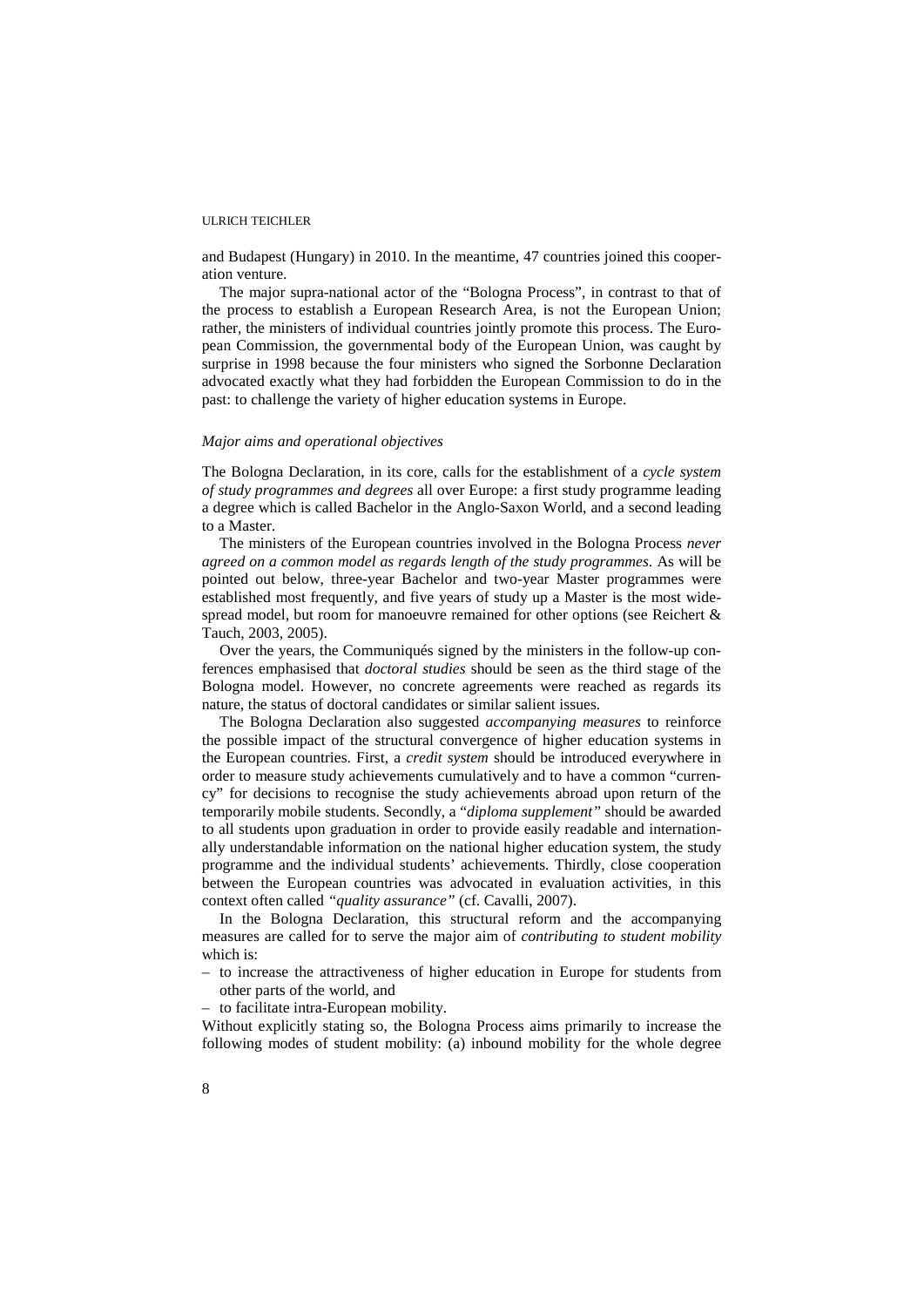and Budapest (Hungary) in 2010. In the meantime, 47 countries joined this cooperation venture.

The major supra-national actor of the "Bologna Process", in contrast to that of the process to establish a European Research Area, is not the European Union; rather, the ministers of individual countries jointly promote this process. The European Commission, the governmental body of the European Union, was caught by surprise in 1998 because the four ministers who signed the Sorbonne Declaration advocated exactly what they had forbidden the European Commission to do in the past: to challenge the variety of higher education systems in Europe.

# *Major aims and operational objectives*

The Bologna Declaration, in its core, calls for the establishment of a *cycle system of study programmes and degrees* all over Europe: a first study programme leading a degree which is called Bachelor in the Anglo-Saxon World, and a second leading to a Master.

The ministers of the European countries involved in the Bologna Process *never agreed on a common model as regards length of the study programmes*. As will be pointed out below, three-year Bachelor and two-year Master programmes were established most frequently, and five years of study up a Master is the most widespread model, but room for manoeuvre remained for other options (see Reichert & Tauch, 2003, 2005).

Over the years, the Communiqués signed by the ministers in the follow-up conferences emphasised that *doctoral studies* should be seen as the third stage of the Bologna model. However, no concrete agreements were reached as regards its nature, the status of doctoral candidates or similar salient issues.

The Bologna Declaration also suggested *accompanying measures* to reinforce the possible impact of the structural convergence of higher education systems in the European countries. First, a *credit system* should be introduced everywhere in order to measure study achievements cumulatively and to have a common "currency" for decisions to recognise the study achievements abroad upon return of the temporarily mobile students. Secondly, a "*diploma supplement"* should be awarded to all students upon graduation in order to provide easily readable and internationally understandable information on the national higher education system, the study programme and the individual students' achievements. Thirdly, close cooperation between the European countries was advocated in evaluation activities, in this context often called *"quality assurance"* (cf. Cavalli, 2007).

In the Bologna Declaration, this structural reform and the accompanying measures are called for to serve the major aim of *contributing to student mobility* which is:

- to increase the attractiveness of higher education in Europe for students from other parts of the world, and
- to facilitate intra-European mobility.

Without explicitly stating so, the Bologna Process aims primarily to increase the following modes of student mobility: (a) inbound mobility for the whole degree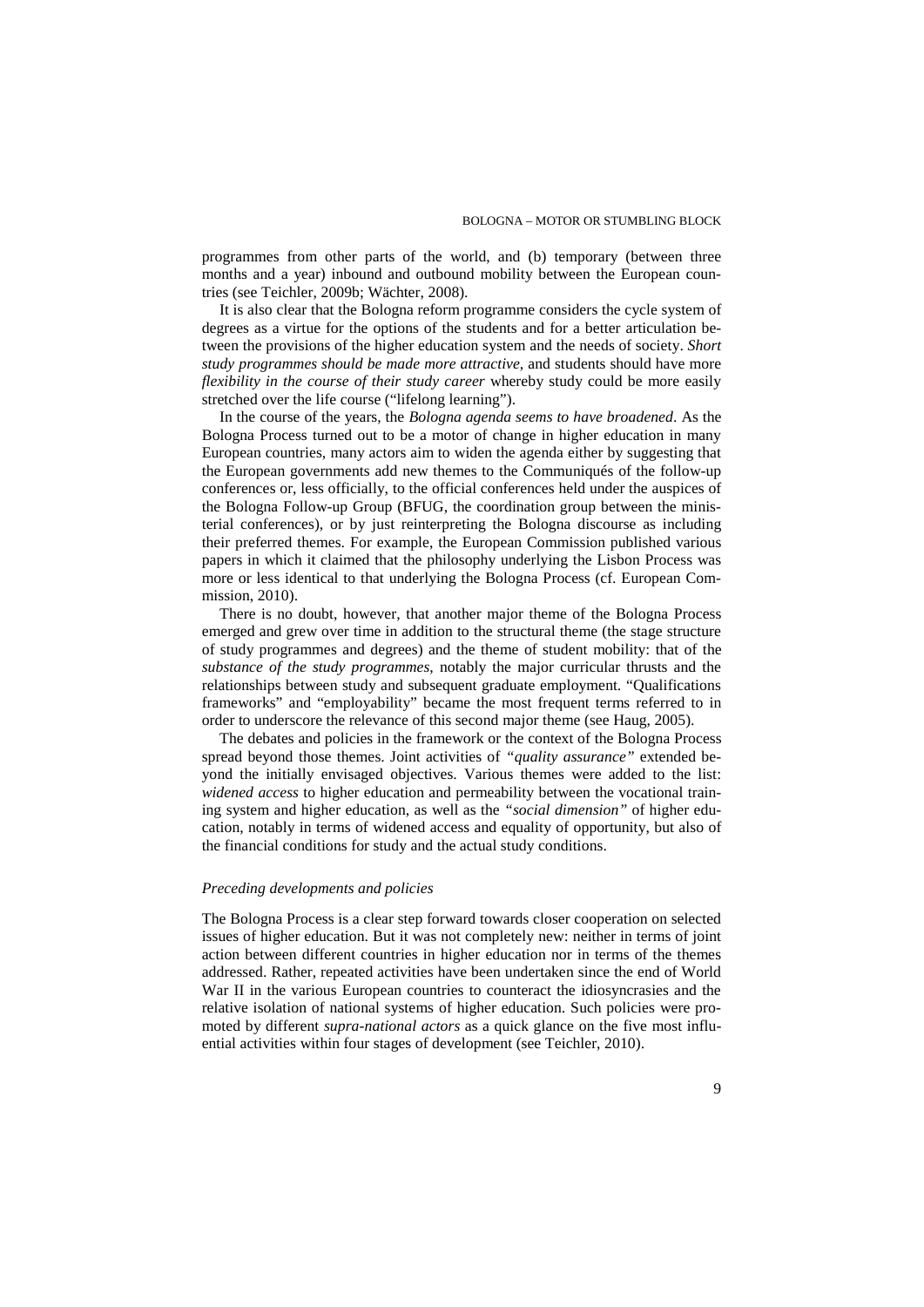programmes from other parts of the world, and (b) temporary (between three months and a year) inbound and outbound mobility between the European countries (see Teichler, 2009b; Wächter, 2008).

It is also clear that the Bologna reform programme considers the cycle system of degrees as a virtue for the options of the students and for a better articulation between the provisions of the higher education system and the needs of society. *Short study programmes should be made more attractive*, and students should have more *flexibility in the course of their study career* whereby study could be more easily stretched over the life course ("lifelong learning").

In the course of the years, the *Bologna agenda seems to have broadened*. As the Bologna Process turned out to be a motor of change in higher education in many European countries, many actors aim to widen the agenda either by suggesting that the European governments add new themes to the Communiqués of the follow-up conferences or, less officially, to the official conferences held under the auspices of the Bologna Follow-up Group (BFUG, the coordination group between the ministerial conferences), or by just reinterpreting the Bologna discourse as including their preferred themes. For example, the European Commission published various papers in which it claimed that the philosophy underlying the Lisbon Process was more or less identical to that underlying the Bologna Process (cf. European Commission, 2010).

There is no doubt, however, that another major theme of the Bologna Process emerged and grew over time in addition to the structural theme (the stage structure of study programmes and degrees) and the theme of student mobility: that of the *substance of the study programmes*, notably the major curricular thrusts and the relationships between study and subsequent graduate employment. "Qualifications frameworks" and "employability" became the most frequent terms referred to in order to underscore the relevance of this second major theme (see Haug, 2005).

The debates and policies in the framework or the context of the Bologna Process spread beyond those themes. Joint activities of *"quality assurance"* extended beyond the initially envisaged objectives. Various themes were added to the list: *widened access* to higher education and permeability between the vocational training system and higher education, as well as the *"social dimension"* of higher education, notably in terms of widened access and equality of opportunity, but also of the financial conditions for study and the actual study conditions.

#### *Preceding developments and policies*

The Bologna Process is a clear step forward towards closer cooperation on selected issues of higher education. But it was not completely new: neither in terms of joint action between different countries in higher education nor in terms of the themes addressed. Rather, repeated activities have been undertaken since the end of World War II in the various European countries to counteract the idiosyncrasies and the relative isolation of national systems of higher education. Such policies were promoted by different *supra-national actors* as a quick glance on the five most influential activities within four stages of development (see Teichler, 2010).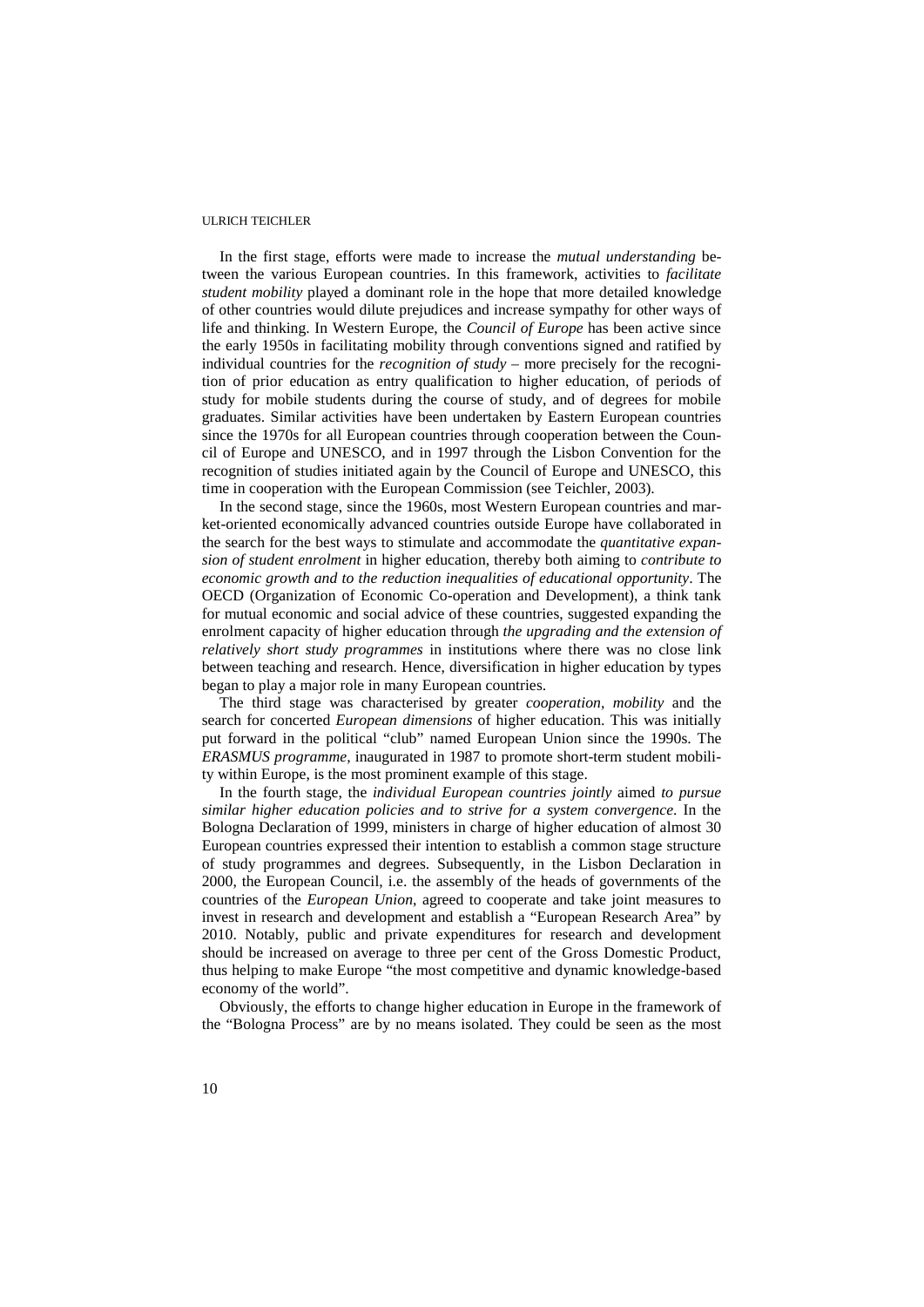In the first stage, efforts were made to increase the *mutual understanding* between the various European countries. In this framework, activities to *facilitate student mobility* played a dominant role in the hope that more detailed knowledge of other countries would dilute prejudices and increase sympathy for other ways of life and thinking. In Western Europe, the *Council of Europe* has been active since the early 1950s in facilitating mobility through conventions signed and ratified by individual countries for the *recognition of study* – more precisely for the recognition of prior education as entry qualification to higher education, of periods of study for mobile students during the course of study, and of degrees for mobile graduates. Similar activities have been undertaken by Eastern European countries since the 1970s for all European countries through cooperation between the Council of Europe and UNESCO, and in 1997 through the Lisbon Convention for the recognition of studies initiated again by the Council of Europe and UNESCO, this time in cooperation with the European Commission (see Teichler, 2003).

In the second stage, since the 1960s, most Western European countries and market-oriented economically advanced countries outside Europe have collaborated in the search for the best ways to stimulate and accommodate the *quantitative expansion of student enrolment* in higher education, thereby both aiming to *contribute to economic growth and to the reduction inequalities of educational opportunity*. The OECD (Organization of Economic Co-operation and Development), a think tank for mutual economic and social advice of these countries, suggested expanding the enrolment capacity of higher education through *the upgrading and the extension of relatively short study programmes* in institutions where there was no close link between teaching and research. Hence, diversification in higher education by types began to play a major role in many European countries.

The third stage was characterised by greater *cooperation, mobility* and the search for concerted *European dimensions* of higher education. This was initially put forward in the political "club" named European Union since the 1990s. The *ERASMUS programme,* inaugurated in 1987 to promote short-term student mobility within Europe, is the most prominent example of this stage.

In the fourth stage, the *individual European countries jointly* aimed *to pursue similar higher education policies and to strive for a system convergence*. In the Bologna Declaration of 1999, ministers in charge of higher education of almost 30 European countries expressed their intention to establish a common stage structure of study programmes and degrees. Subsequently, in the Lisbon Declaration in 2000, the European Council, i.e. the assembly of the heads of governments of the countries of the *European Union*, agreed to cooperate and take joint measures to invest in research and development and establish a "European Research Area" by 2010. Notably, public and private expenditures for research and development should be increased on average to three per cent of the Gross Domestic Product, thus helping to make Europe "the most competitive and dynamic knowledge-based economy of the world".

Obviously, the efforts to change higher education in Europe in the framework of the "Bologna Process" are by no means isolated. They could be seen as the most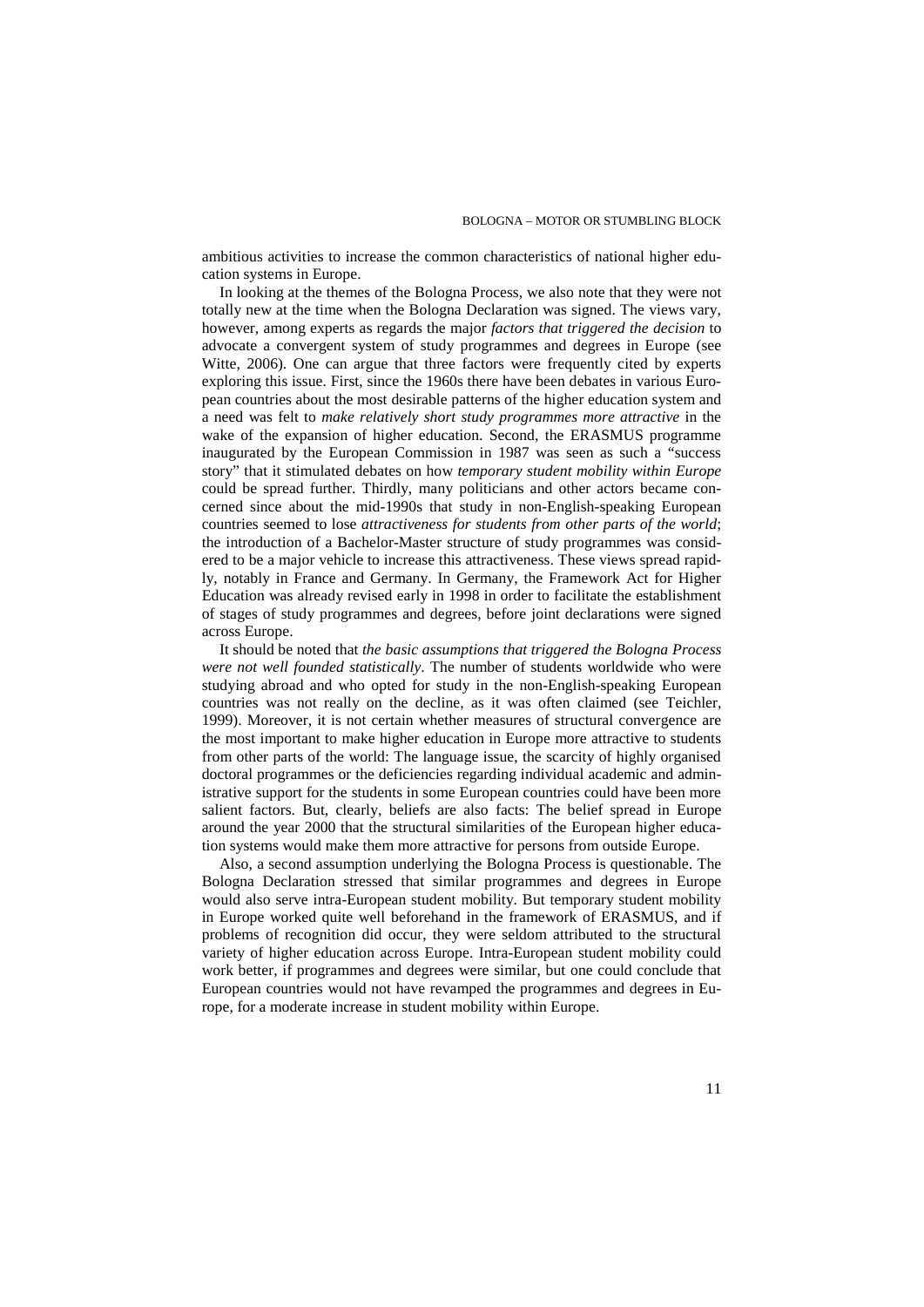ambitious activities to increase the common characteristics of national higher education systems in Europe.

In looking at the themes of the Bologna Process, we also note that they were not totally new at the time when the Bologna Declaration was signed. The views vary, however, among experts as regards the major *factors that triggered the decision* to advocate a convergent system of study programmes and degrees in Europe (see Witte, 2006). One can argue that three factors were frequently cited by experts exploring this issue. First, since the 1960s there have been debates in various European countries about the most desirable patterns of the higher education system and a need was felt to *make relatively short study programmes more attractive* in the wake of the expansion of higher education. Second, the ERASMUS programme inaugurated by the European Commission in 1987 was seen as such a "success story" that it stimulated debates on how *temporary student mobility within Europe* could be spread further. Thirdly, many politicians and other actors became concerned since about the mid-1990s that study in non-English-speaking European countries seemed to lose *attractiveness for students from other parts of the world*; the introduction of a Bachelor-Master structure of study programmes was considered to be a major vehicle to increase this attractiveness. These views spread rapidly, notably in France and Germany. In Germany, the Framework Act for Higher Education was already revised early in 1998 in order to facilitate the establishment of stages of study programmes and degrees, before joint declarations were signed across Europe.

It should be noted that *the basic assumptions that triggered the Bologna Process were not well founded statistically*. The number of students worldwide who were studying abroad and who opted for study in the non-English-speaking European countries was not really on the decline, as it was often claimed (see Teichler, 1999). Moreover, it is not certain whether measures of structural convergence are the most important to make higher education in Europe more attractive to students from other parts of the world: The language issue, the scarcity of highly organised doctoral programmes or the deficiencies regarding individual academic and administrative support for the students in some European countries could have been more salient factors. But, clearly, beliefs are also facts: The belief spread in Europe around the year 2000 that the structural similarities of the European higher education systems would make them more attractive for persons from outside Europe.

Also, a second assumption underlying the Bologna Process is questionable. The Bologna Declaration stressed that similar programmes and degrees in Europe would also serve intra-European student mobility. But temporary student mobility in Europe worked quite well beforehand in the framework of ERASMUS, and if problems of recognition did occur, they were seldom attributed to the structural variety of higher education across Europe. Intra-European student mobility could work better, if programmes and degrees were similar, but one could conclude that European countries would not have revamped the programmes and degrees in Europe, for a moderate increase in student mobility within Europe.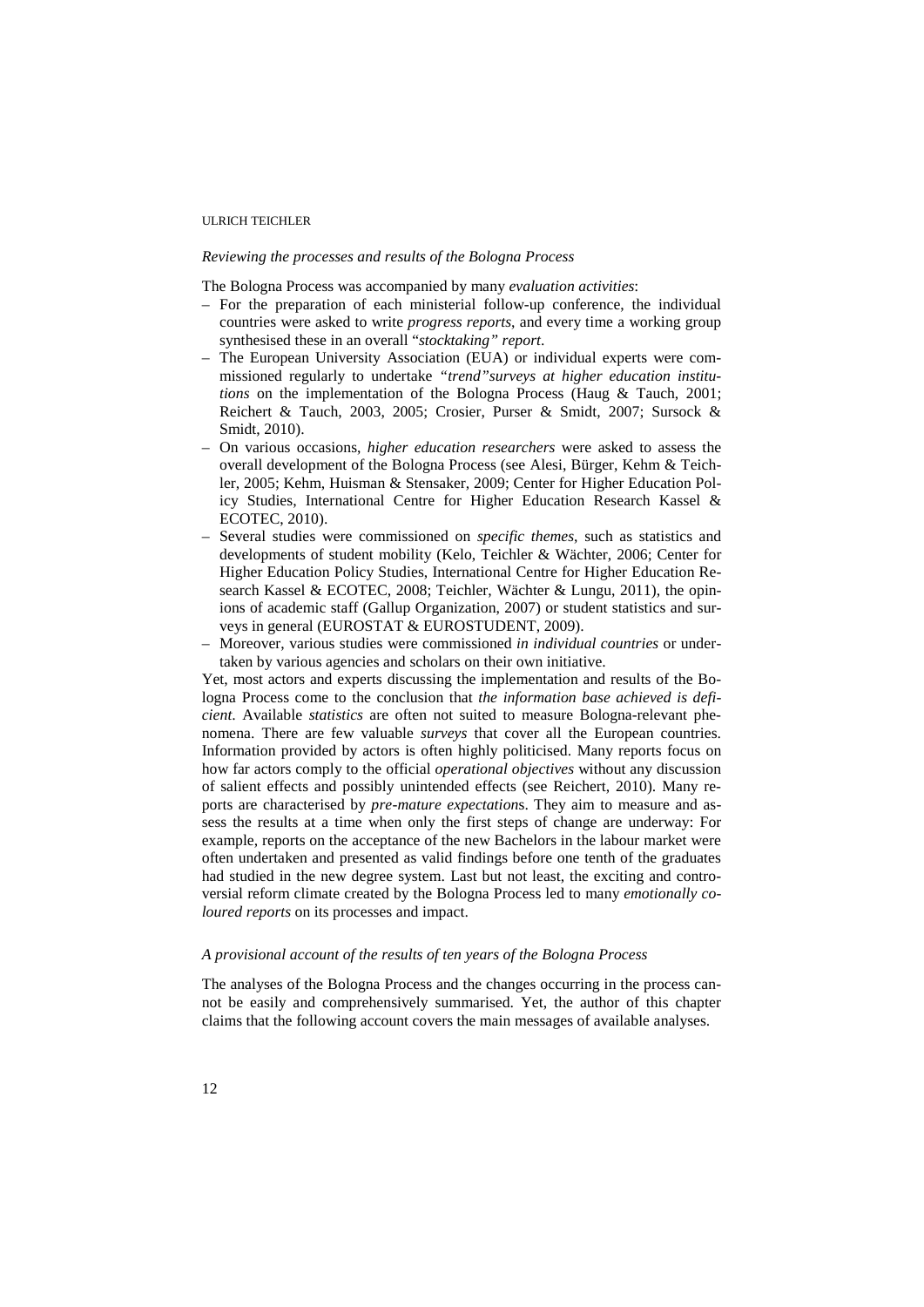# *Reviewing the processes and results of the Bologna Process*

The Bologna Process was accompanied by many *evaluation activities*:

- For the preparation of each ministerial follow-up conference, the individual countries were asked to write *progress reports*, and every time a working group synthesised these in an overall "*stocktaking" report*.
- The European University Association (EUA) or individual experts were commissioned regularly to undertake *"trend"surveys at higher education institutions* on the implementation of the Bologna Process (Haug & Tauch, 2001; Reichert & Tauch, 2003, 2005; Crosier, Purser & Smidt, 2007; Sursock & Smidt, 2010).
- On various occasions, *higher education researchers* were asked to assess the overall development of the Bologna Process (see Alesi, Bürger, Kehm & Teichler, 2005; Kehm, Huisman & Stensaker, 2009; Center for Higher Education Policy Studies, International Centre for Higher Education Research Kassel & ECOTEC, 2010).
- Several studies were commissioned on *specific themes*, such as statistics and developments of student mobility (Kelo, Teichler & Wächter, 2006; Center for Higher Education Policy Studies, International Centre for Higher Education Research Kassel & ECOTEC, 2008; Teichler, Wächter & Lungu, 2011), the opinions of academic staff (Gallup Organization, 2007) or student statistics and surveys in general (EUROSTAT & EUROSTUDENT, 2009).
- Moreover, various studies were commissioned *in individual countries* or undertaken by various agencies and scholars on their own initiative.

Yet, most actors and experts discussing the implementation and results of the Bologna Process come to the conclusion that *the information base achieved is deficient*. Available *statistics* are often not suited to measure Bologna-relevant phenomena. There are few valuable *surveys* that cover all the European countries. Information provided by actors is often highly politicised. Many reports focus on how far actors comply to the official *operational objectives* without any discussion of salient effects and possibly unintended effects (see Reichert, 2010). Many reports are characterised by *pre-mature expectation*s. They aim to measure and assess the results at a time when only the first steps of change are underway: For example, reports on the acceptance of the new Bachelors in the labour market were often undertaken and presented as valid findings before one tenth of the graduates had studied in the new degree system. Last but not least, the exciting and controversial reform climate created by the Bologna Process led to many *emotionally coloured reports* on its processes and impact.

# *A provisional account of the results of ten years of the Bologna Process*

The analyses of the Bologna Process and the changes occurring in the process cannot be easily and comprehensively summarised. Yet, the author of this chapter claims that the following account covers the main messages of available analyses.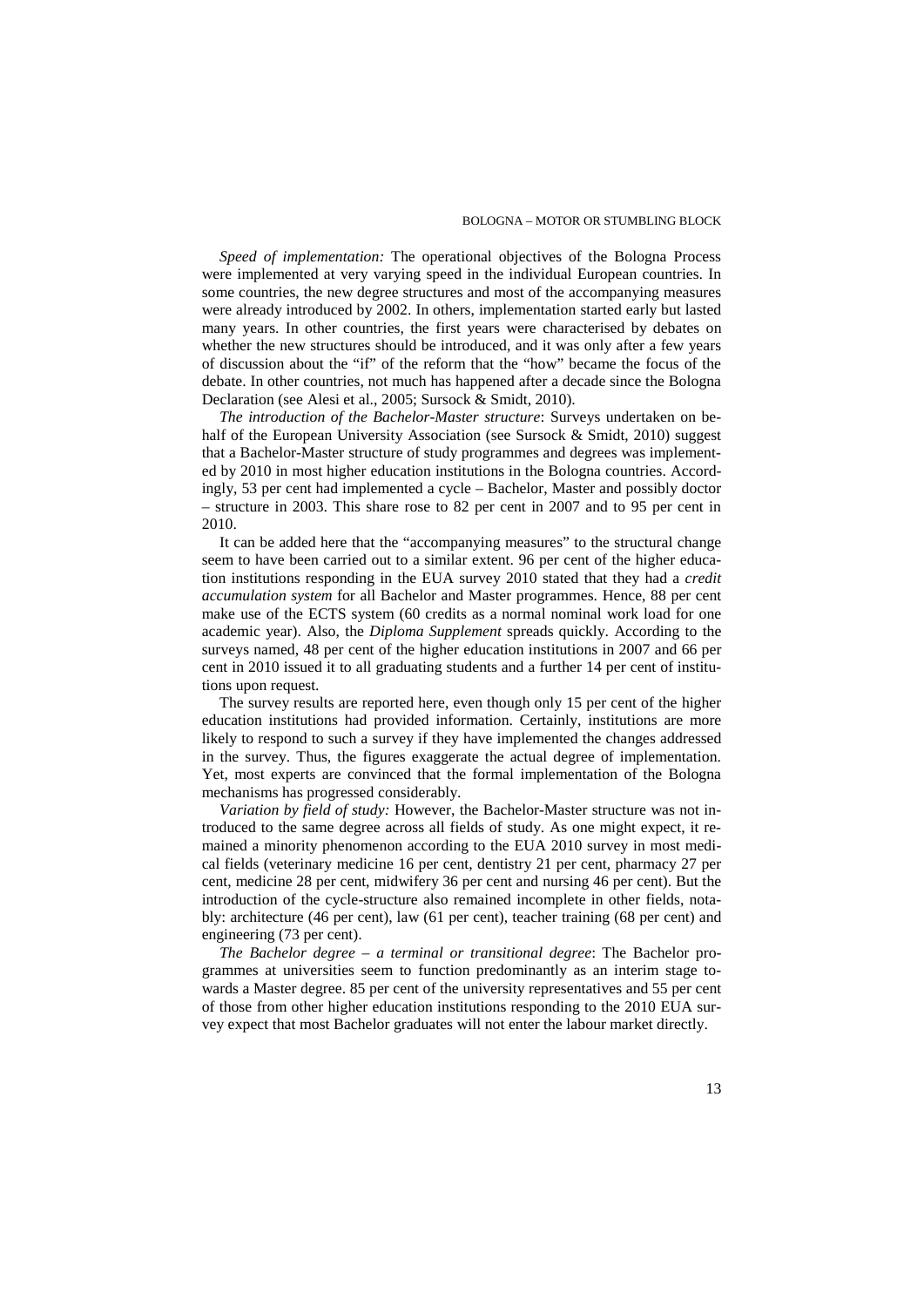*Speed of implementation:* The operational objectives of the Bologna Process were implemented at very varying speed in the individual European countries. In some countries, the new degree structures and most of the accompanying measures were already introduced by 2002. In others, implementation started early but lasted many years. In other countries, the first years were characterised by debates on whether the new structures should be introduced, and it was only after a few years of discussion about the "if" of the reform that the "how" became the focus of the debate. In other countries, not much has happened after a decade since the Bologna Declaration (see Alesi et al., 2005; Sursock & Smidt, 2010).

*The introduction of the Bachelor-Master structure*: Surveys undertaken on behalf of the European University Association (see Sursock & Smidt, 2010) suggest that a Bachelor-Master structure of study programmes and degrees was implemented by 2010 in most higher education institutions in the Bologna countries. Accordingly, 53 per cent had implemented a cycle – Bachelor, Master and possibly doctor – structure in 2003. This share rose to 82 per cent in 2007 and to 95 per cent in 2010.

It can be added here that the "accompanying measures" to the structural change seem to have been carried out to a similar extent. 96 per cent of the higher education institutions responding in the EUA survey 2010 stated that they had a *credit accumulation system* for all Bachelor and Master programmes. Hence, 88 per cent make use of the ECTS system (60 credits as a normal nominal work load for one academic year). Also, the *Diploma Supplement* spreads quickly. According to the surveys named, 48 per cent of the higher education institutions in 2007 and 66 per cent in 2010 issued it to all graduating students and a further 14 per cent of institutions upon request.

The survey results are reported here, even though only 15 per cent of the higher education institutions had provided information. Certainly, institutions are more likely to respond to such a survey if they have implemented the changes addressed in the survey. Thus, the figures exaggerate the actual degree of implementation. Yet, most experts are convinced that the formal implementation of the Bologna mechanisms has progressed considerably.

*Variation by field of study:* However, the Bachelor-Master structure was not introduced to the same degree across all fields of study. As one might expect, it remained a minority phenomenon according to the EUA 2010 survey in most medical fields (veterinary medicine 16 per cent, dentistry 21 per cent, pharmacy 27 per cent, medicine 28 per cent, midwifery 36 per cent and nursing 46 per cent). But the introduction of the cycle-structure also remained incomplete in other fields, notably: architecture (46 per cent), law (61 per cent), teacher training (68 per cent) and engineering (73 per cent).

*The Bachelor degree – a terminal or transitional degree*: The Bachelor programmes at universities seem to function predominantly as an interim stage towards a Master degree. 85 per cent of the university representatives and 55 per cent of those from other higher education institutions responding to the 2010 EUA survey expect that most Bachelor graduates will not enter the labour market directly.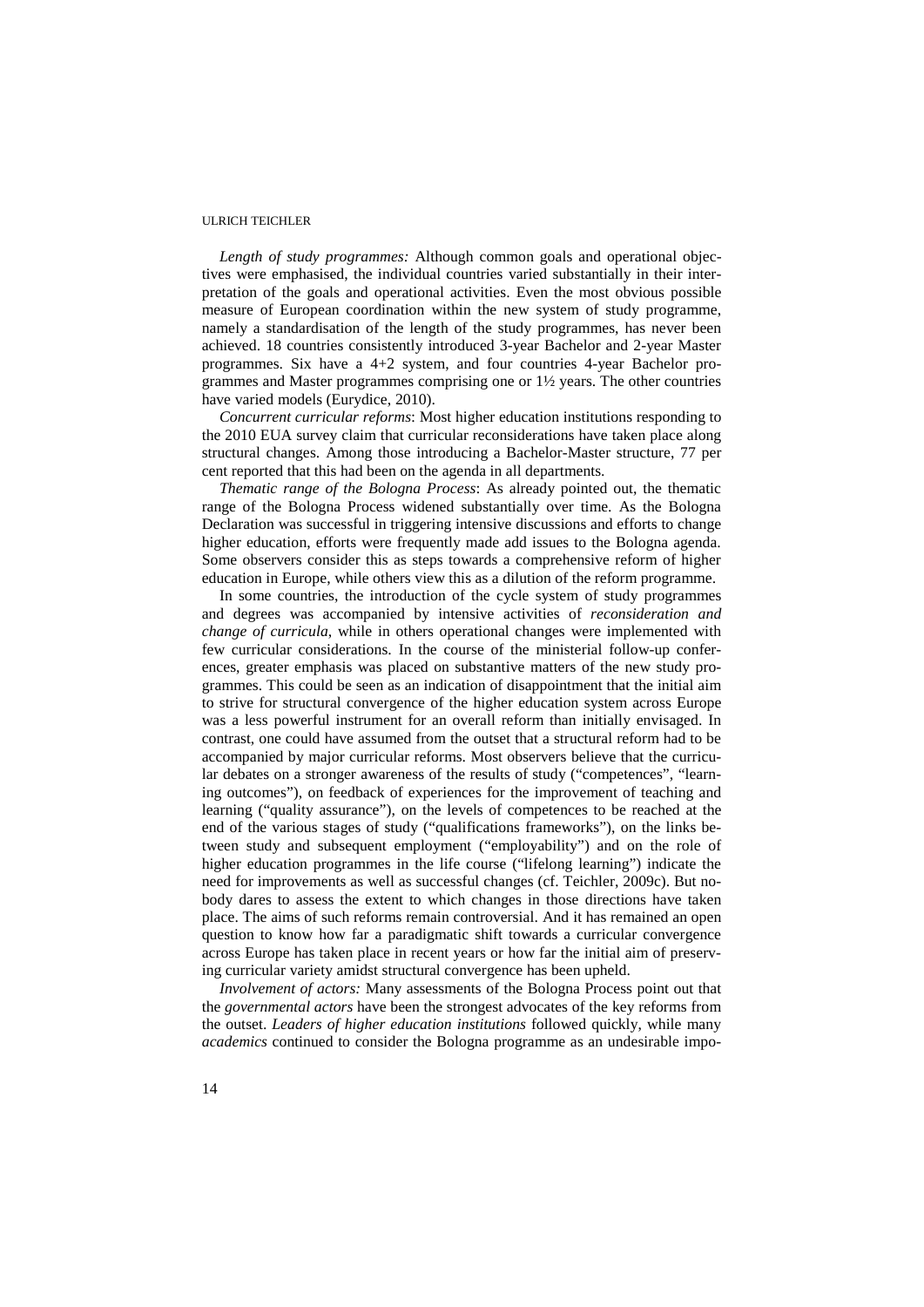*Length of study programmes:* Although common goals and operational objectives were emphasised, the individual countries varied substantially in their interpretation of the goals and operational activities. Even the most obvious possible measure of European coordination within the new system of study programme, namely a standardisation of the length of the study programmes, has never been achieved. 18 countries consistently introduced 3-year Bachelor and 2-year Master programmes. Six have a 4+2 system, and four countries 4-year Bachelor programmes and Master programmes comprising one or 1½ years. The other countries have varied models (Eurydice, 2010).

*Concurrent curricular reforms*: Most higher education institutions responding to the 2010 EUA survey claim that curricular reconsiderations have taken place along structural changes. Among those introducing a Bachelor-Master structure, 77 per cent reported that this had been on the agenda in all departments.

*Thematic range of the Bologna Process*: As already pointed out, the thematic range of the Bologna Process widened substantially over time. As the Bologna Declaration was successful in triggering intensive discussions and efforts to change higher education, efforts were frequently made add issues to the Bologna agenda. Some observers consider this as steps towards a comprehensive reform of higher education in Europe, while others view this as a dilution of the reform programme.

In some countries, the introduction of the cycle system of study programmes and degrees was accompanied by intensive activities of *reconsideration and change of curricula*, while in others operational changes were implemented with few curricular considerations. In the course of the ministerial follow-up conferences, greater emphasis was placed on substantive matters of the new study programmes. This could be seen as an indication of disappointment that the initial aim to strive for structural convergence of the higher education system across Europe was a less powerful instrument for an overall reform than initially envisaged. In contrast, one could have assumed from the outset that a structural reform had to be accompanied by major curricular reforms. Most observers believe that the curricular debates on a stronger awareness of the results of study ("competences", "learning outcomes"), on feedback of experiences for the improvement of teaching and learning ("quality assurance"), on the levels of competences to be reached at the end of the various stages of study ("qualifications frameworks"), on the links between study and subsequent employment ("employability") and on the role of higher education programmes in the life course ("lifelong learning") indicate the need for improvements as well as successful changes (cf. Teichler, 2009c). But nobody dares to assess the extent to which changes in those directions have taken place. The aims of such reforms remain controversial. And it has remained an open question to know how far a paradigmatic shift towards a curricular convergence across Europe has taken place in recent years or how far the initial aim of preserving curricular variety amidst structural convergence has been upheld.

*Involvement of actors:* Many assessments of the Bologna Process point out that the *governmental actors* have been the strongest advocates of the key reforms from the outset. *Leaders of higher education institutions* followed quickly, while many *academics* continued to consider the Bologna programme as an undesirable impo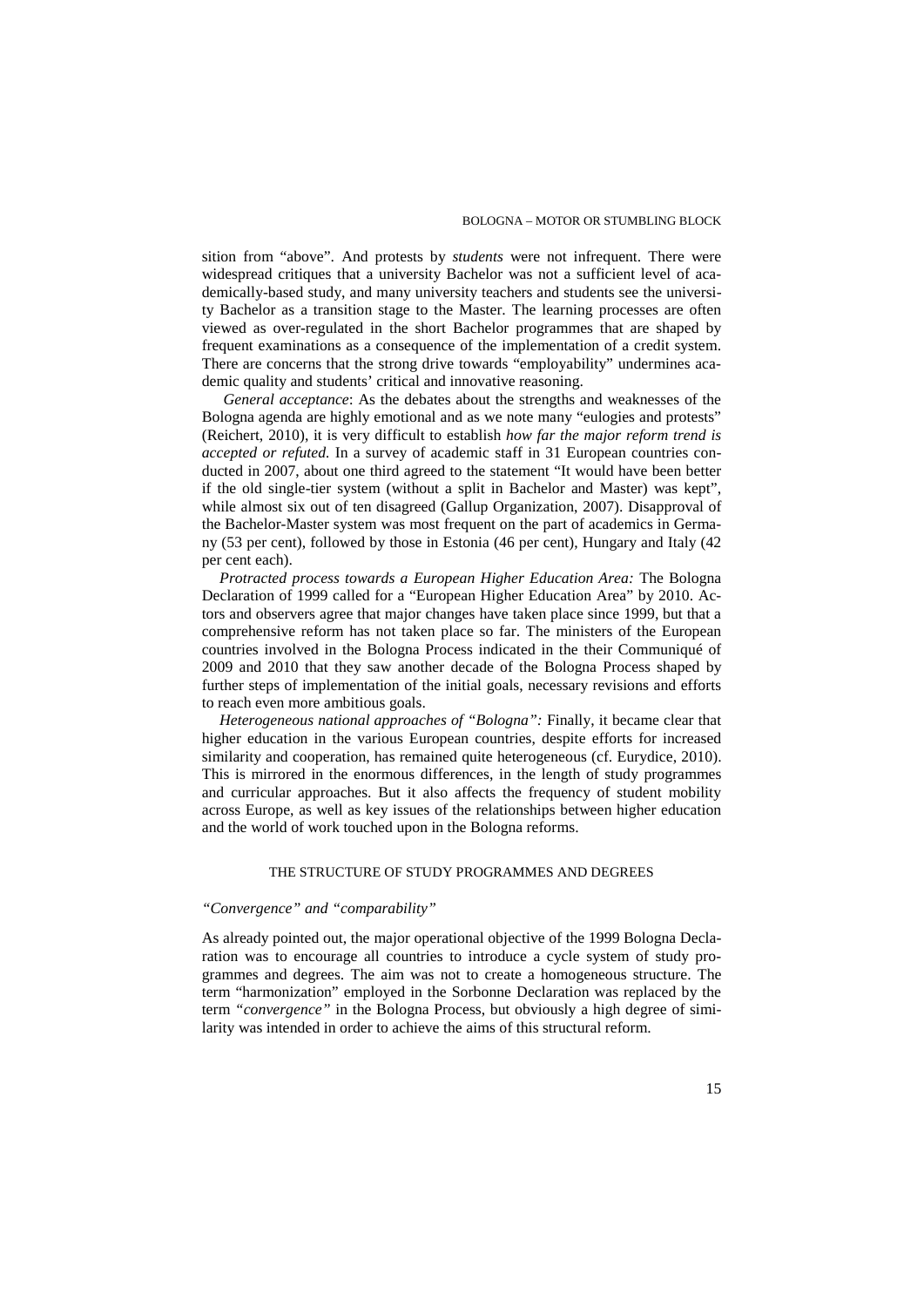sition from "above". And protests by *students* were not infrequent. There were widespread critiques that a university Bachelor was not a sufficient level of academically-based study, and many university teachers and students see the university Bachelor as a transition stage to the Master. The learning processes are often viewed as over-regulated in the short Bachelor programmes that are shaped by frequent examinations as a consequence of the implementation of a credit system. There are concerns that the strong drive towards "employability" undermines academic quality and students' critical and innovative reasoning.

 *General acceptance*: As the debates about the strengths and weaknesses of the Bologna agenda are highly emotional and as we note many "eulogies and protests" (Reichert, 2010), it is very difficult to establish *how far the major reform trend is accepted or refuted.* In a survey of academic staff in 31 European countries conducted in 2007, about one third agreed to the statement "It would have been better if the old single-tier system (without a split in Bachelor and Master) was kept", while almost six out of ten disagreed (Gallup Organization, 2007). Disapproval of the Bachelor-Master system was most frequent on the part of academics in Germany (53 per cent), followed by those in Estonia (46 per cent), Hungary and Italy (42 per cent each).

*Protracted process towards a European Higher Education Area:* The Bologna Declaration of 1999 called for a "European Higher Education Area" by 2010. Actors and observers agree that major changes have taken place since 1999, but that a comprehensive reform has not taken place so far. The ministers of the European countries involved in the Bologna Process indicated in the their Communiqué of 2009 and 2010 that they saw another decade of the Bologna Process shaped by further steps of implementation of the initial goals, necessary revisions and efforts to reach even more ambitious goals.

*Heterogeneous national approaches of "Bologna":* Finally, it became clear that higher education in the various European countries, despite efforts for increased similarity and cooperation, has remained quite heterogeneous (cf. Eurydice, 2010). This is mirrored in the enormous differences, in the length of study programmes and curricular approaches. But it also affects the frequency of student mobility across Europe, as well as key issues of the relationships between higher education and the world of work touched upon in the Bologna reforms.

#### THE STRUCTURE OF STUDY PROGRAMMES AND DEGREES

# *"Convergence" and "comparability"*

As already pointed out, the major operational objective of the 1999 Bologna Declaration was to encourage all countries to introduce a cycle system of study programmes and degrees. The aim was not to create a homogeneous structure. The term "harmonization" employed in the Sorbonne Declaration was replaced by the term *"convergence"* in the Bologna Process, but obviously a high degree of similarity was intended in order to achieve the aims of this structural reform.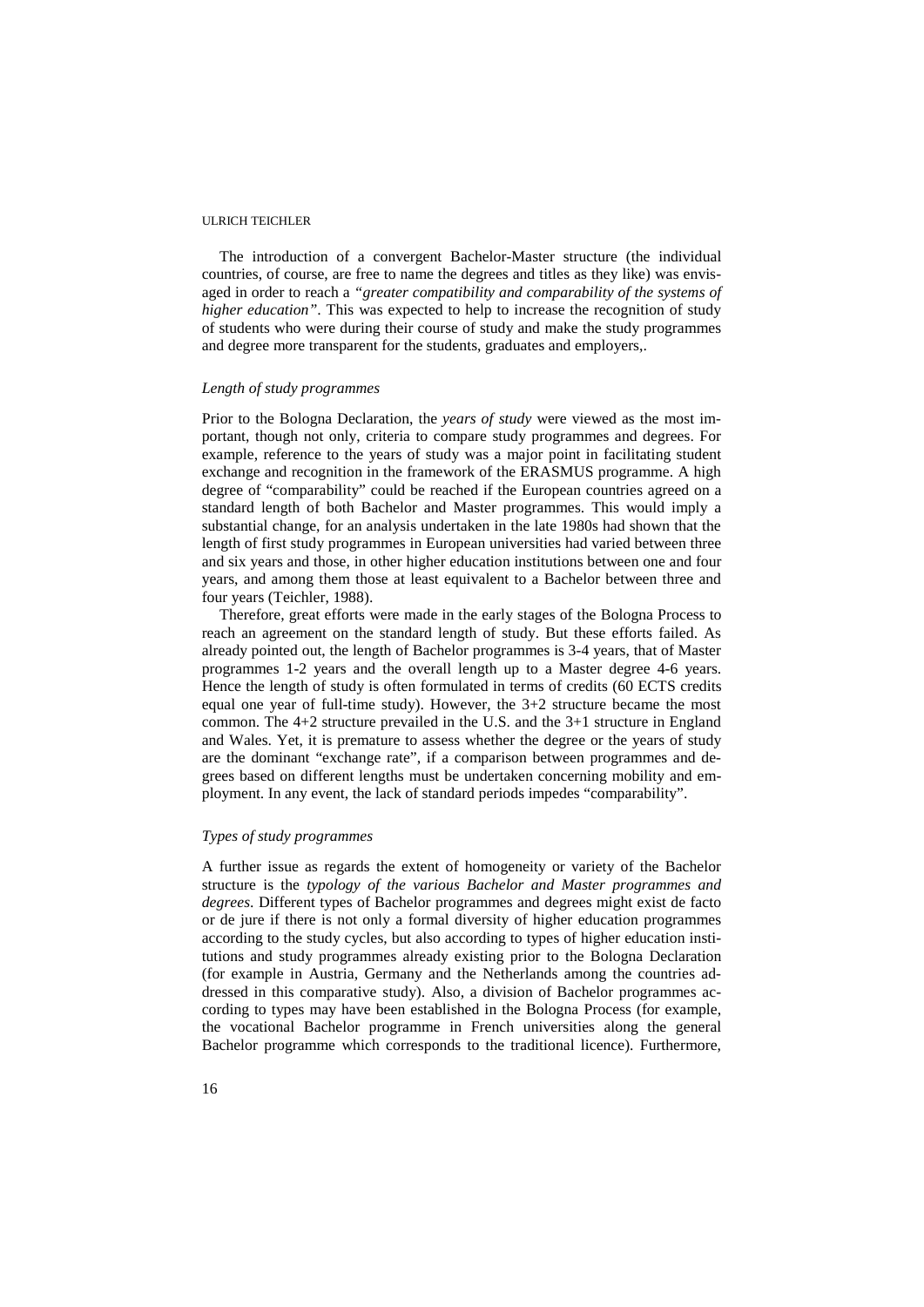The introduction of a convergent Bachelor-Master structure (the individual countries, of course, are free to name the degrees and titles as they like) was envisaged in order to reach a *"greater compatibility and comparability of the systems of higher education"*. This was expected to help to increase the recognition of study of students who were during their course of study and make the study programmes and degree more transparent for the students, graduates and employers,.

# *Length of study programmes*

Prior to the Bologna Declaration, the *years of study* were viewed as the most important, though not only, criteria to compare study programmes and degrees. For example, reference to the years of study was a major point in facilitating student exchange and recognition in the framework of the ERASMUS programme. A high degree of "comparability" could be reached if the European countries agreed on a standard length of both Bachelor and Master programmes. This would imply a substantial change, for an analysis undertaken in the late 1980s had shown that the length of first study programmes in European universities had varied between three and six years and those, in other higher education institutions between one and four years, and among them those at least equivalent to a Bachelor between three and four years (Teichler, 1988).

Therefore, great efforts were made in the early stages of the Bologna Process to reach an agreement on the standard length of study. But these efforts failed. As already pointed out, the length of Bachelor programmes is 3-4 years, that of Master programmes 1-2 years and the overall length up to a Master degree 4-6 years. Hence the length of study is often formulated in terms of credits (60 ECTS credits equal one year of full-time study). However, the  $3+2$  structure became the most common. The 4+2 structure prevailed in the U.S. and the 3+1 structure in England and Wales. Yet, it is premature to assess whether the degree or the years of study are the dominant "exchange rate", if a comparison between programmes and degrees based on different lengths must be undertaken concerning mobility and employment. In any event, the lack of standard periods impedes "comparability".

# *Types of study programmes*

A further issue as regards the extent of homogeneity or variety of the Bachelor structure is the *typology of the various Bachelor and Master programmes and degrees*. Different types of Bachelor programmes and degrees might exist de facto or de jure if there is not only a formal diversity of higher education programmes according to the study cycles, but also according to types of higher education institutions and study programmes already existing prior to the Bologna Declaration (for example in Austria, Germany and the Netherlands among the countries addressed in this comparative study). Also, a division of Bachelor programmes according to types may have been established in the Bologna Process (for example, the vocational Bachelor programme in French universities along the general Bachelor programme which corresponds to the traditional licence). Furthermore,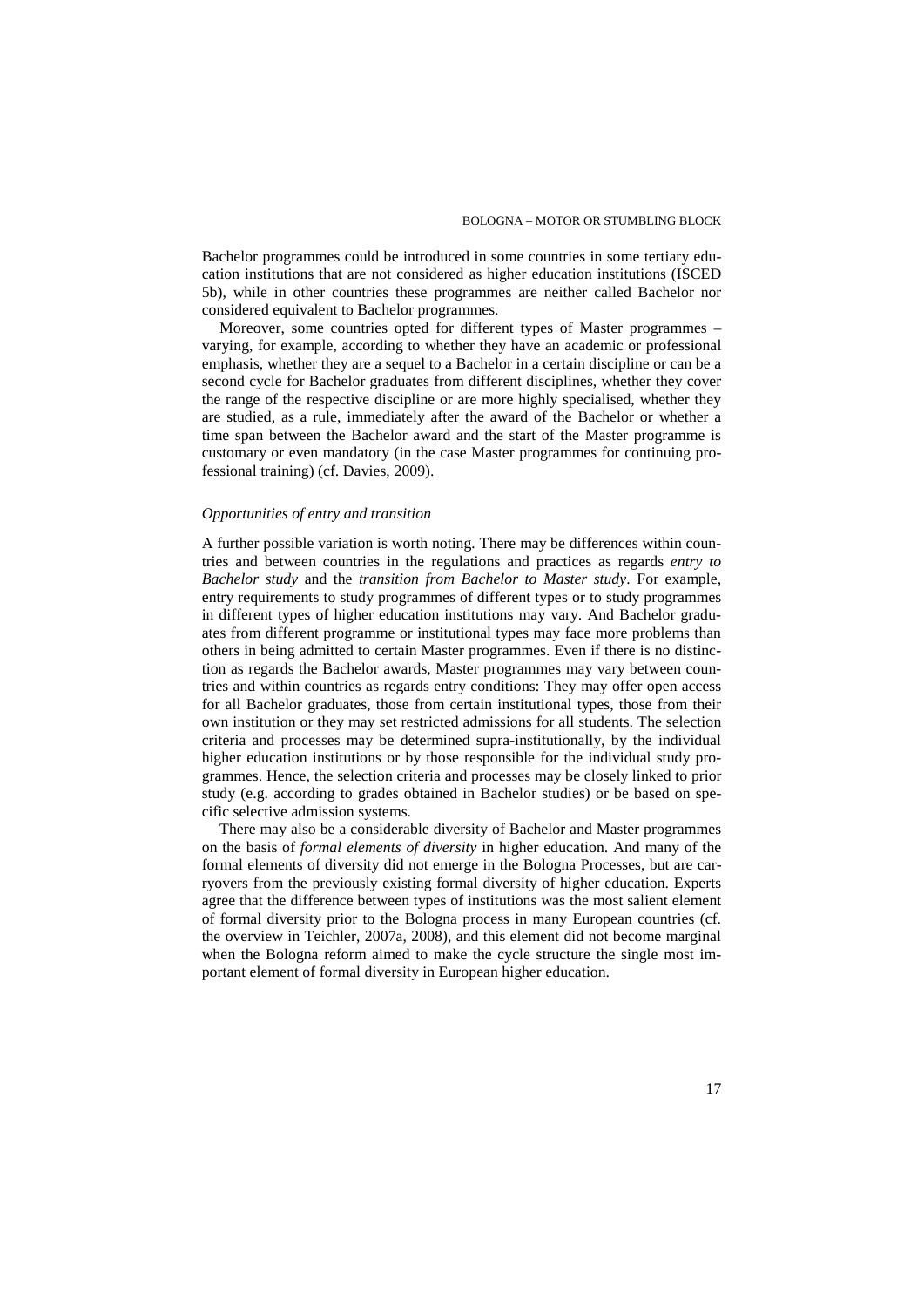Bachelor programmes could be introduced in some countries in some tertiary education institutions that are not considered as higher education institutions (ISCED 5b), while in other countries these programmes are neither called Bachelor nor considered equivalent to Bachelor programmes.

Moreover, some countries opted for different types of Master programmes – varying, for example, according to whether they have an academic or professional emphasis, whether they are a sequel to a Bachelor in a certain discipline or can be a second cycle for Bachelor graduates from different disciplines, whether they cover the range of the respective discipline or are more highly specialised, whether they are studied, as a rule, immediately after the award of the Bachelor or whether a time span between the Bachelor award and the start of the Master programme is customary or even mandatory (in the case Master programmes for continuing professional training) (cf. Davies, 2009).

# *Opportunities of entry and transition*

A further possible variation is worth noting. There may be differences within countries and between countries in the regulations and practices as regards *entry to Bachelor study* and the *transition from Bachelor to Master study*. For example, entry requirements to study programmes of different types or to study programmes in different types of higher education institutions may vary. And Bachelor graduates from different programme or institutional types may face more problems than others in being admitted to certain Master programmes. Even if there is no distinction as regards the Bachelor awards, Master programmes may vary between countries and within countries as regards entry conditions: They may offer open access for all Bachelor graduates, those from certain institutional types, those from their own institution or they may set restricted admissions for all students. The selection criteria and processes may be determined supra-institutionally, by the individual higher education institutions or by those responsible for the individual study programmes. Hence, the selection criteria and processes may be closely linked to prior study (e.g. according to grades obtained in Bachelor studies) or be based on specific selective admission systems.

There may also be a considerable diversity of Bachelor and Master programmes on the basis of *formal elements of diversity* in higher education. And many of the formal elements of diversity did not emerge in the Bologna Processes, but are carryovers from the previously existing formal diversity of higher education. Experts agree that the difference between types of institutions was the most salient element of formal diversity prior to the Bologna process in many European countries (cf. the overview in Teichler, 2007a, 2008), and this element did not become marginal when the Bologna reform aimed to make the cycle structure the single most important element of formal diversity in European higher education.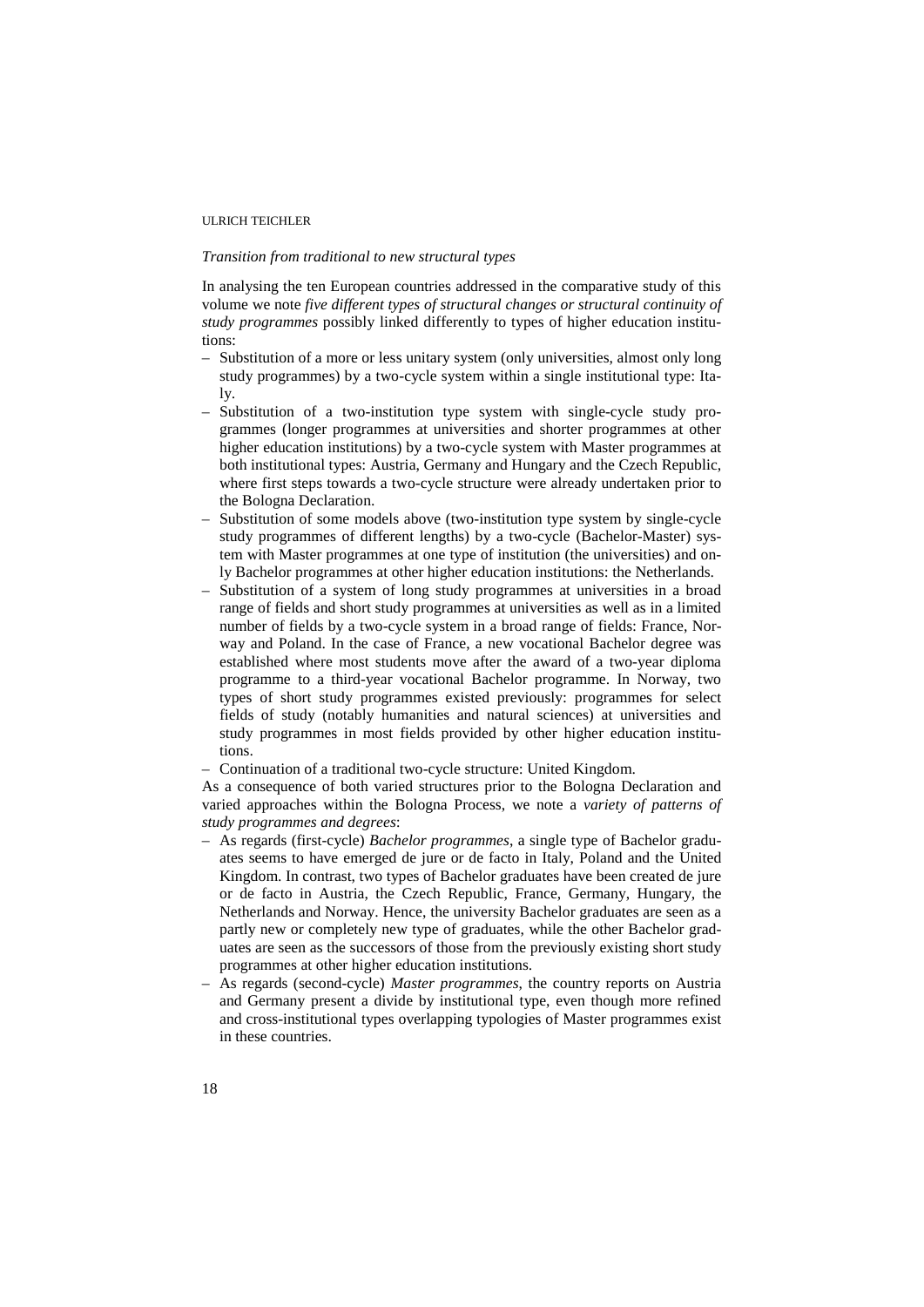# *Transition from traditional to new structural types*

In analysing the ten European countries addressed in the comparative study of this volume we note *five different types of structural changes or structural continuity of study programmes* possibly linked differently to types of higher education institutions:

- Substitution of a more or less unitary system (only universities, almost only long study programmes) by a two-cycle system within a single institutional type: Italy.
- Substitution of a two-institution type system with single-cycle study programmes (longer programmes at universities and shorter programmes at other higher education institutions) by a two-cycle system with Master programmes at both institutional types: Austria, Germany and Hungary and the Czech Republic, where first steps towards a two-cycle structure were already undertaken prior to the Bologna Declaration.
- Substitution of some models above (two-institution type system by single-cycle study programmes of different lengths) by a two-cycle (Bachelor-Master) system with Master programmes at one type of institution (the universities) and only Bachelor programmes at other higher education institutions: the Netherlands.
- Substitution of a system of long study programmes at universities in a broad range of fields and short study programmes at universities as well as in a limited number of fields by a two-cycle system in a broad range of fields: France, Norway and Poland. In the case of France, a new vocational Bachelor degree was established where most students move after the award of a two-year diploma programme to a third-year vocational Bachelor programme. In Norway, two types of short study programmes existed previously: programmes for select fields of study (notably humanities and natural sciences) at universities and study programmes in most fields provided by other higher education institutions.
- Continuation of a traditional two-cycle structure: United Kingdom.

As a consequence of both varied structures prior to the Bologna Declaration and varied approaches within the Bologna Process, we note a *variety of patterns of study programmes and degrees*:

- As regards (first-cycle) *Bachelor programmes*, a single type of Bachelor graduates seems to have emerged de jure or de facto in Italy, Poland and the United Kingdom. In contrast, two types of Bachelor graduates have been created de jure or de facto in Austria, the Czech Republic, France, Germany, Hungary, the Netherlands and Norway. Hence, the university Bachelor graduates are seen as a partly new or completely new type of graduates, while the other Bachelor graduates are seen as the successors of those from the previously existing short study programmes at other higher education institutions.
- As regards (second-cycle) *Master programmes*, the country reports on Austria and Germany present a divide by institutional type, even though more refined and cross-institutional types overlapping typologies of Master programmes exist in these countries.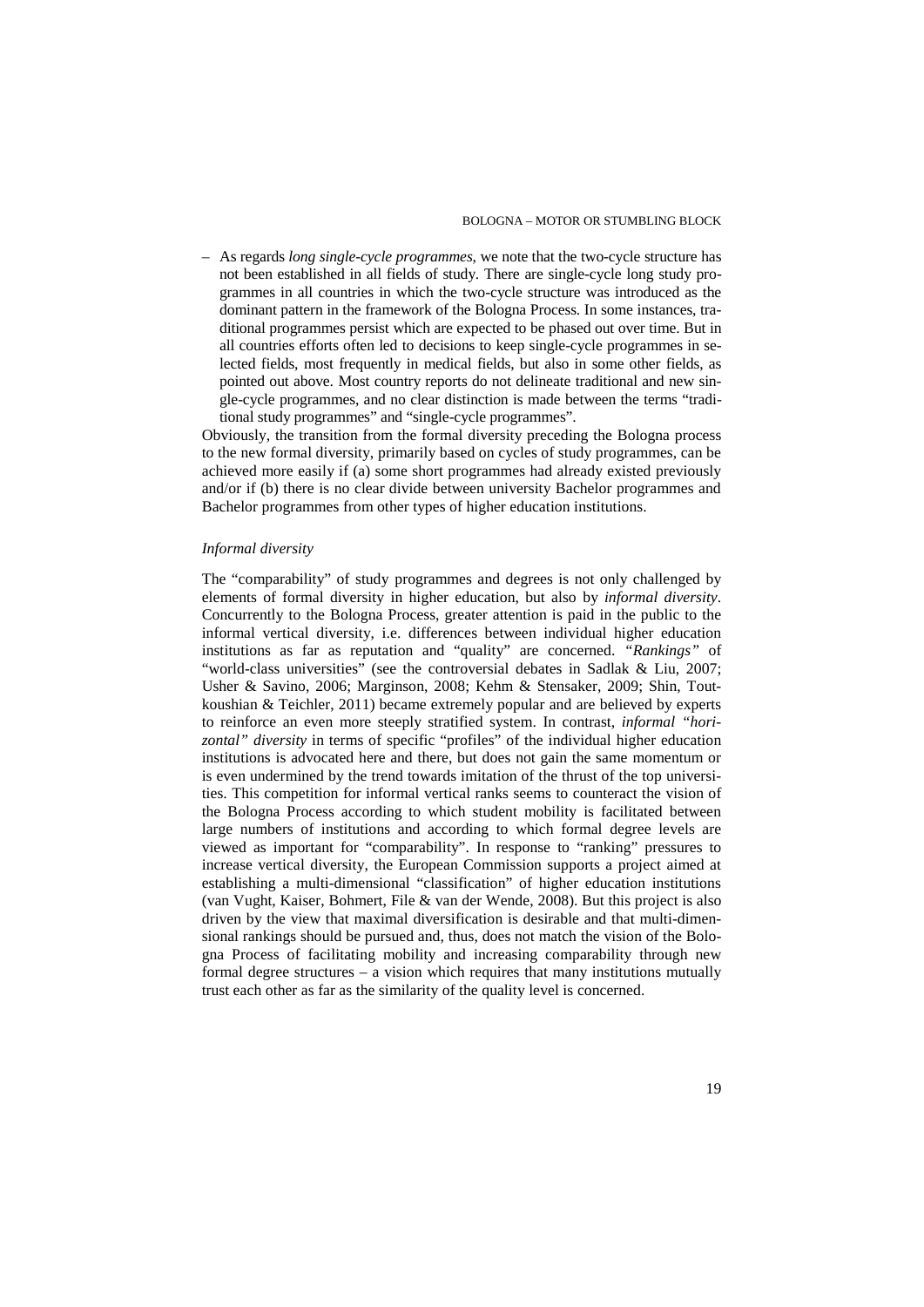– As regards *long single-cycle programmes*, we note that the two-cycle structure has not been established in all fields of study. There are single-cycle long study programmes in all countries in which the two-cycle structure was introduced as the dominant pattern in the framework of the Bologna Process. In some instances, traditional programmes persist which are expected to be phased out over time. But in all countries efforts often led to decisions to keep single-cycle programmes in selected fields, most frequently in medical fields, but also in some other fields, as pointed out above. Most country reports do not delineate traditional and new single-cycle programmes, and no clear distinction is made between the terms "traditional study programmes" and "single-cycle programmes".

Obviously, the transition from the formal diversity preceding the Bologna process to the new formal diversity, primarily based on cycles of study programmes, can be achieved more easily if (a) some short programmes had already existed previously and/or if (b) there is no clear divide between university Bachelor programmes and Bachelor programmes from other types of higher education institutions.

# *Informal diversity*

The "comparability" of study programmes and degrees is not only challenged by elements of formal diversity in higher education, but also by *informal diversity*. Concurrently to the Bologna Process, greater attention is paid in the public to the informal vertical diversity, i.e. differences between individual higher education institutions as far as reputation and "quality" are concerned. *"Rankings"* of "world-class universities" (see the controversial debates in Sadlak & Liu, 2007; Usher & Savino, 2006; Marginson, 2008; Kehm & Stensaker, 2009; Shin, Toutkoushian & Teichler, 2011) became extremely popular and are believed by experts to reinforce an even more steeply stratified system. In contrast, *informal "horizontal" diversity* in terms of specific "profiles" of the individual higher education institutions is advocated here and there, but does not gain the same momentum or is even undermined by the trend towards imitation of the thrust of the top universities. This competition for informal vertical ranks seems to counteract the vision of the Bologna Process according to which student mobility is facilitated between large numbers of institutions and according to which formal degree levels are viewed as important for "comparability". In response to "ranking" pressures to increase vertical diversity, the European Commission supports a project aimed at establishing a multi-dimensional "classification" of higher education institutions (van Vught, Kaiser, Bohmert, File & van der Wende, 2008). But this project is also driven by the view that maximal diversification is desirable and that multi-dimensional rankings should be pursued and, thus, does not match the vision of the Bologna Process of facilitating mobility and increasing comparability through new formal degree structures – a vision which requires that many institutions mutually trust each other as far as the similarity of the quality level is concerned.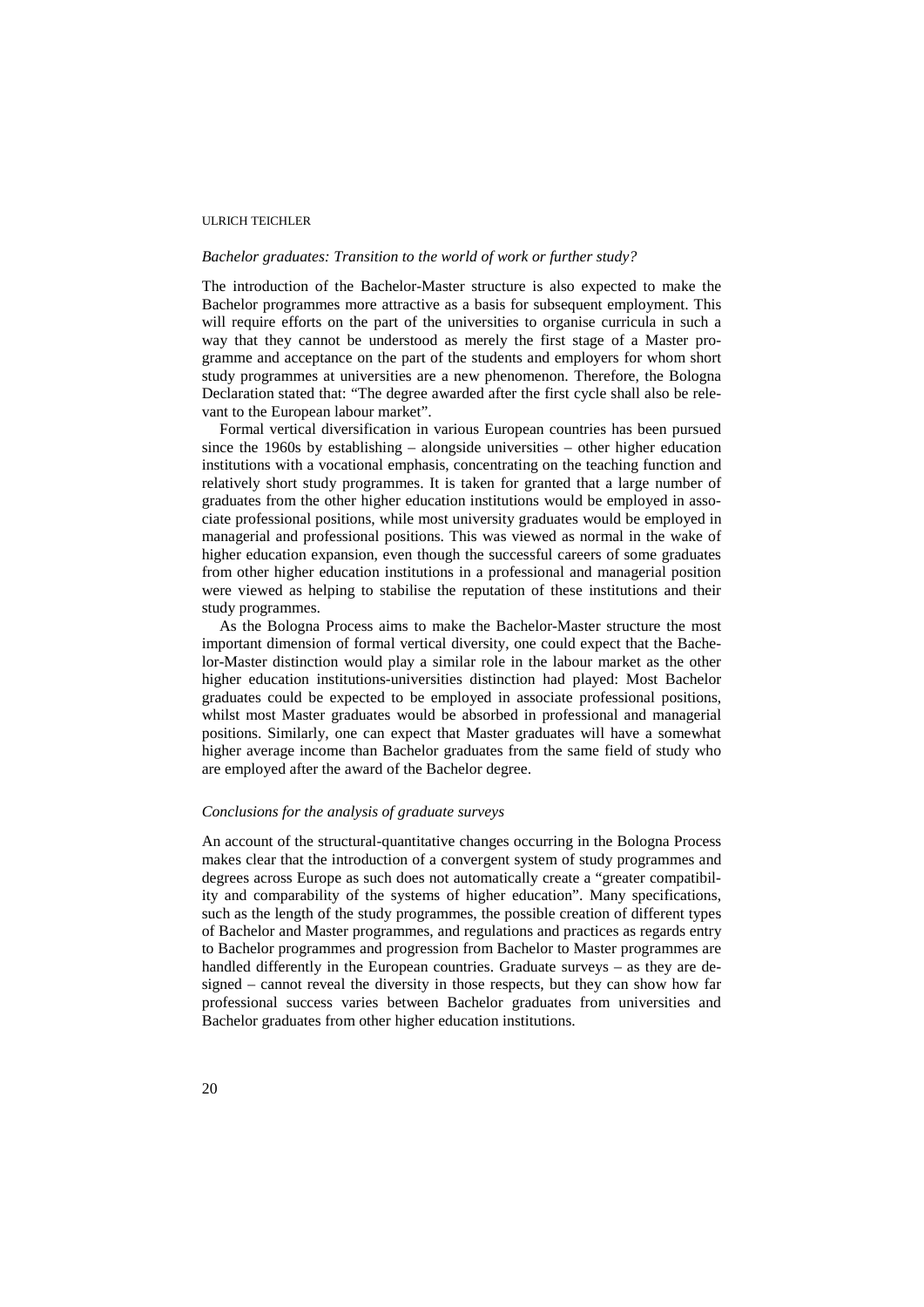# *Bachelor graduates: Transition to the world of work or further study?*

The introduction of the Bachelor-Master structure is also expected to make the Bachelor programmes more attractive as a basis for subsequent employment. This will require efforts on the part of the universities to organise curricula in such a way that they cannot be understood as merely the first stage of a Master programme and acceptance on the part of the students and employers for whom short study programmes at universities are a new phenomenon. Therefore, the Bologna Declaration stated that: "The degree awarded after the first cycle shall also be relevant to the European labour market".

Formal vertical diversification in various European countries has been pursued since the 1960s by establishing – alongside universities – other higher education institutions with a vocational emphasis, concentrating on the teaching function and relatively short study programmes. It is taken for granted that a large number of graduates from the other higher education institutions would be employed in associate professional positions, while most university graduates would be employed in managerial and professional positions. This was viewed as normal in the wake of higher education expansion, even though the successful careers of some graduates from other higher education institutions in a professional and managerial position were viewed as helping to stabilise the reputation of these institutions and their study programmes.

As the Bologna Process aims to make the Bachelor-Master structure the most important dimension of formal vertical diversity, one could expect that the Bachelor-Master distinction would play a similar role in the labour market as the other higher education institutions-universities distinction had played: Most Bachelor graduates could be expected to be employed in associate professional positions, whilst most Master graduates would be absorbed in professional and managerial positions. Similarly, one can expect that Master graduates will have a somewhat higher average income than Bachelor graduates from the same field of study who are employed after the award of the Bachelor degree.

# *Conclusions for the analysis of graduate surveys*

An account of the structural-quantitative changes occurring in the Bologna Process makes clear that the introduction of a convergent system of study programmes and degrees across Europe as such does not automatically create a "greater compatibility and comparability of the systems of higher education". Many specifications, such as the length of the study programmes, the possible creation of different types of Bachelor and Master programmes, and regulations and practices as regards entry to Bachelor programmes and progression from Bachelor to Master programmes are handled differently in the European countries. Graduate surveys – as they are designed – cannot reveal the diversity in those respects, but they can show how far professional success varies between Bachelor graduates from universities and Bachelor graduates from other higher education institutions.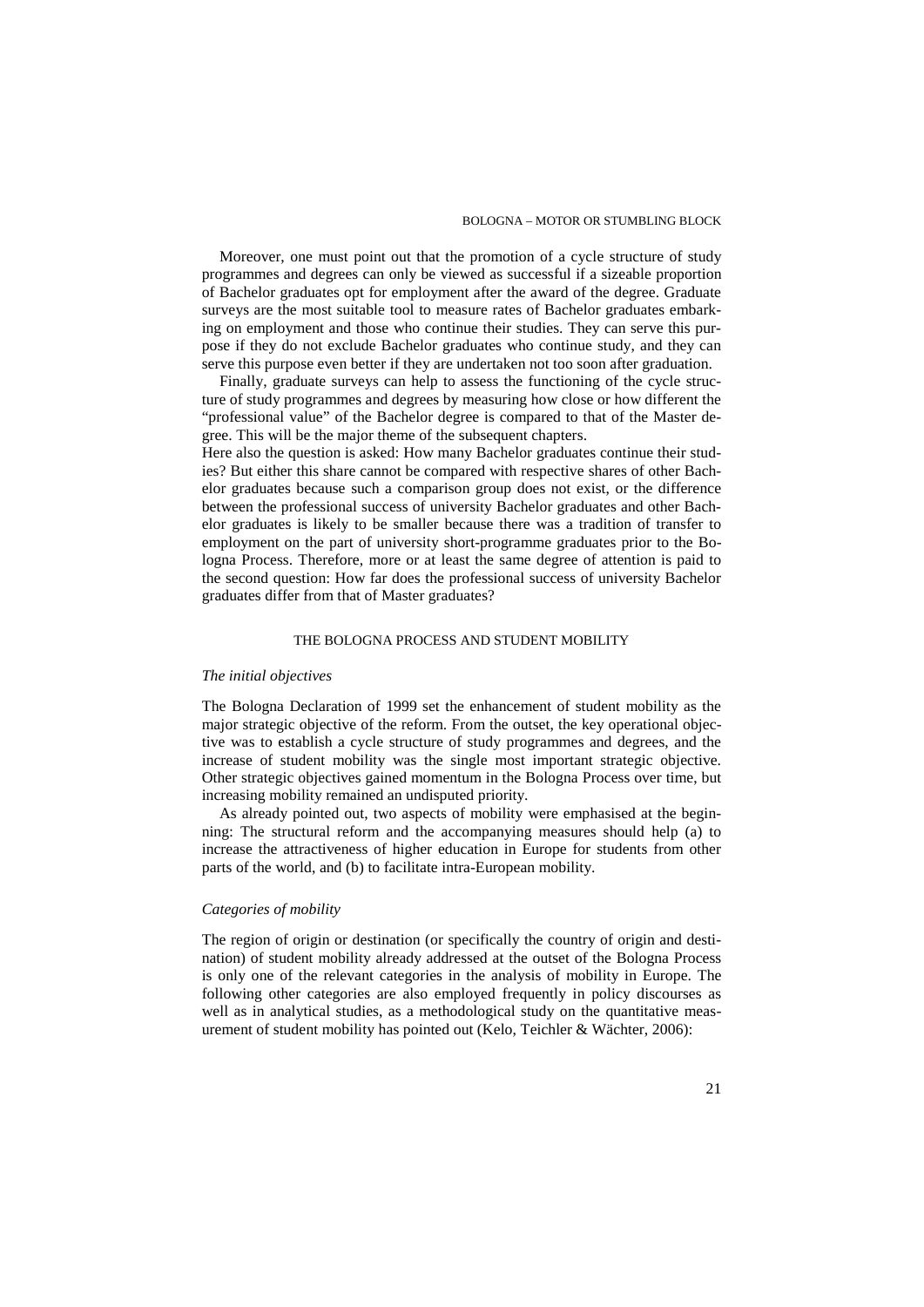Moreover, one must point out that the promotion of a cycle structure of study programmes and degrees can only be viewed as successful if a sizeable proportion of Bachelor graduates opt for employment after the award of the degree. Graduate surveys are the most suitable tool to measure rates of Bachelor graduates embarking on employment and those who continue their studies. They can serve this purpose if they do not exclude Bachelor graduates who continue study, and they can serve this purpose even better if they are undertaken not too soon after graduation.

Finally, graduate surveys can help to assess the functioning of the cycle structure of study programmes and degrees by measuring how close or how different the "professional value" of the Bachelor degree is compared to that of the Master degree. This will be the major theme of the subsequent chapters.

Here also the question is asked: How many Bachelor graduates continue their studies? But either this share cannot be compared with respective shares of other Bachelor graduates because such a comparison group does not exist, or the difference between the professional success of university Bachelor graduates and other Bachelor graduates is likely to be smaller because there was a tradition of transfer to employment on the part of university short-programme graduates prior to the Bologna Process. Therefore, more or at least the same degree of attention is paid to the second question: How far does the professional success of university Bachelor graduates differ from that of Master graduates?

#### THE BOLOGNA PROCESS AND STUDENT MOBILITY

#### *The initial objectives*

The Bologna Declaration of 1999 set the enhancement of student mobility as the major strategic objective of the reform. From the outset, the key operational objective was to establish a cycle structure of study programmes and degrees, and the increase of student mobility was the single most important strategic objective. Other strategic objectives gained momentum in the Bologna Process over time, but increasing mobility remained an undisputed priority.

As already pointed out, two aspects of mobility were emphasised at the beginning: The structural reform and the accompanying measures should help (a) to increase the attractiveness of higher education in Europe for students from other parts of the world, and (b) to facilitate intra-European mobility.

# *Categories of mobility*

The region of origin or destination (or specifically the country of origin and destination) of student mobility already addressed at the outset of the Bologna Process is only one of the relevant categories in the analysis of mobility in Europe. The following other categories are also employed frequently in policy discourses as well as in analytical studies, as a methodological study on the quantitative measurement of student mobility has pointed out (Kelo, Teichler & Wächter, 2006):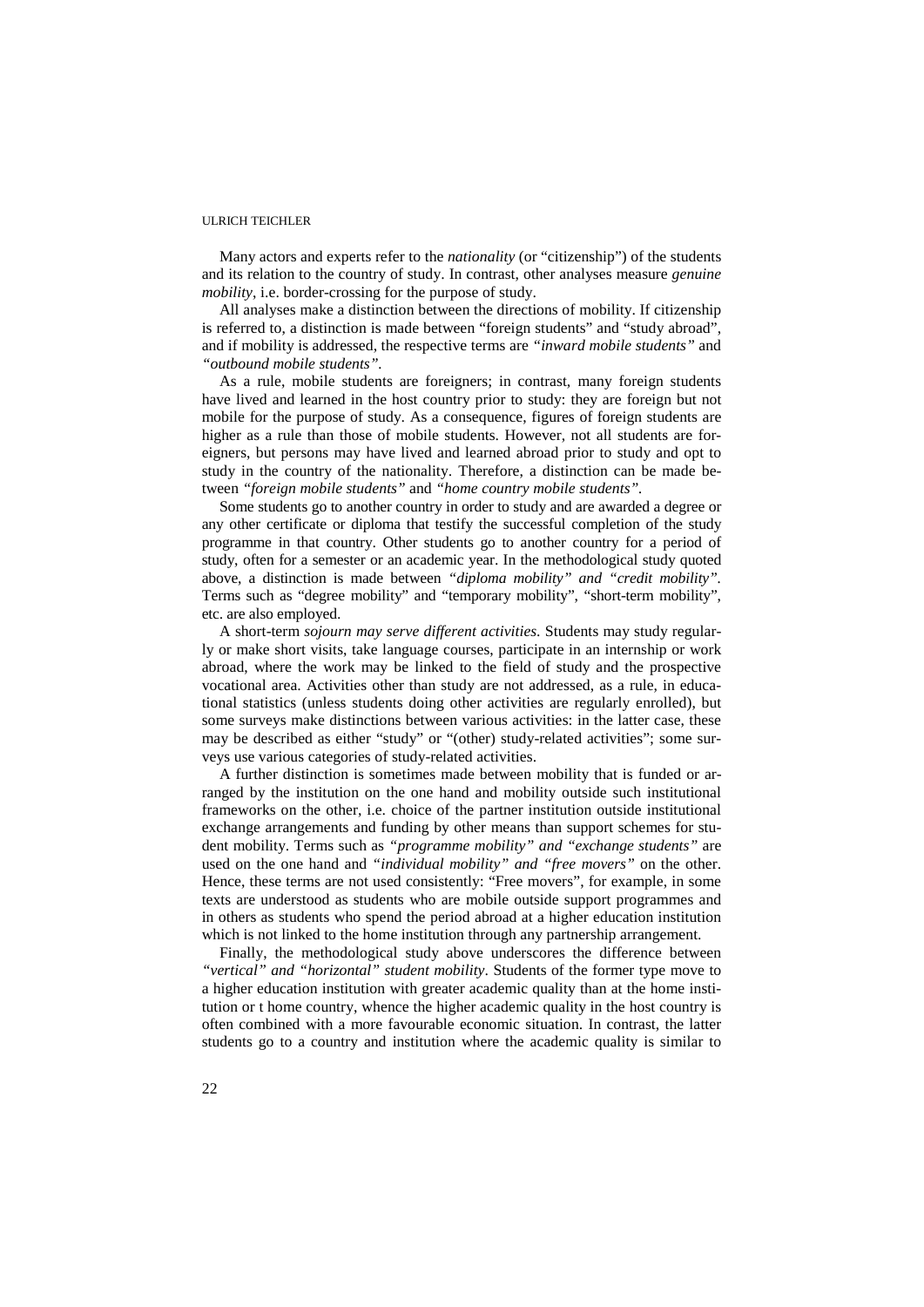Many actors and experts refer to the *nationality* (or "citizenship") of the students and its relation to the country of study. In contrast, other analyses measure *genuine mobility*, i.e. border-crossing for the purpose of study.

All analyses make a distinction between the directions of mobility. If citizenship is referred to, a distinction is made between "foreign students" and "study abroad", and if mobility is addressed, the respective terms are *"inward mobile students"* and *"outbound mobile students".*

As a rule, mobile students are foreigners; in contrast, many foreign students have lived and learned in the host country prior to study: they are foreign but not mobile for the purpose of study. As a consequence, figures of foreign students are higher as a rule than those of mobile students. However, not all students are foreigners, but persons may have lived and learned abroad prior to study and opt to study in the country of the nationality. Therefore, a distinction can be made between *"foreign mobile students"* and *"home country mobile students".*

Some students go to another country in order to study and are awarded a degree or any other certificate or diploma that testify the successful completion of the study programme in that country. Other students go to another country for a period of study, often for a semester or an academic year. In the methodological study quoted above, a distinction is made between *"diploma mobility" and "credit mobility".* Terms such as "degree mobility" and "temporary mobility", "short-term mobility", etc. are also employed.

A short-term *sojourn may serve different activities*. Students may study regularly or make short visits, take language courses, participate in an internship or work abroad, where the work may be linked to the field of study and the prospective vocational area. Activities other than study are not addressed, as a rule, in educational statistics (unless students doing other activities are regularly enrolled), but some surveys make distinctions between various activities: in the latter case, these may be described as either "study" or "(other) study-related activities"; some surveys use various categories of study-related activities.

A further distinction is sometimes made between mobility that is funded or arranged by the institution on the one hand and mobility outside such institutional frameworks on the other, i.e. choice of the partner institution outside institutional exchange arrangements and funding by other means than support schemes for student mobility. Terms such as *"programme mobility" and "exchange students"* are used on the one hand and *"individual mobility" and "free movers"* on the other. Hence, these terms are not used consistently: "Free movers", for example, in some texts are understood as students who are mobile outside support programmes and in others as students who spend the period abroad at a higher education institution which is not linked to the home institution through any partnership arrangement.

Finally, the methodological study above underscores the difference between *"vertical" and "horizontal" student mobility*. Students of the former type move to a higher education institution with greater academic quality than at the home institution or t home country, whence the higher academic quality in the host country is often combined with a more favourable economic situation. In contrast, the latter students go to a country and institution where the academic quality is similar to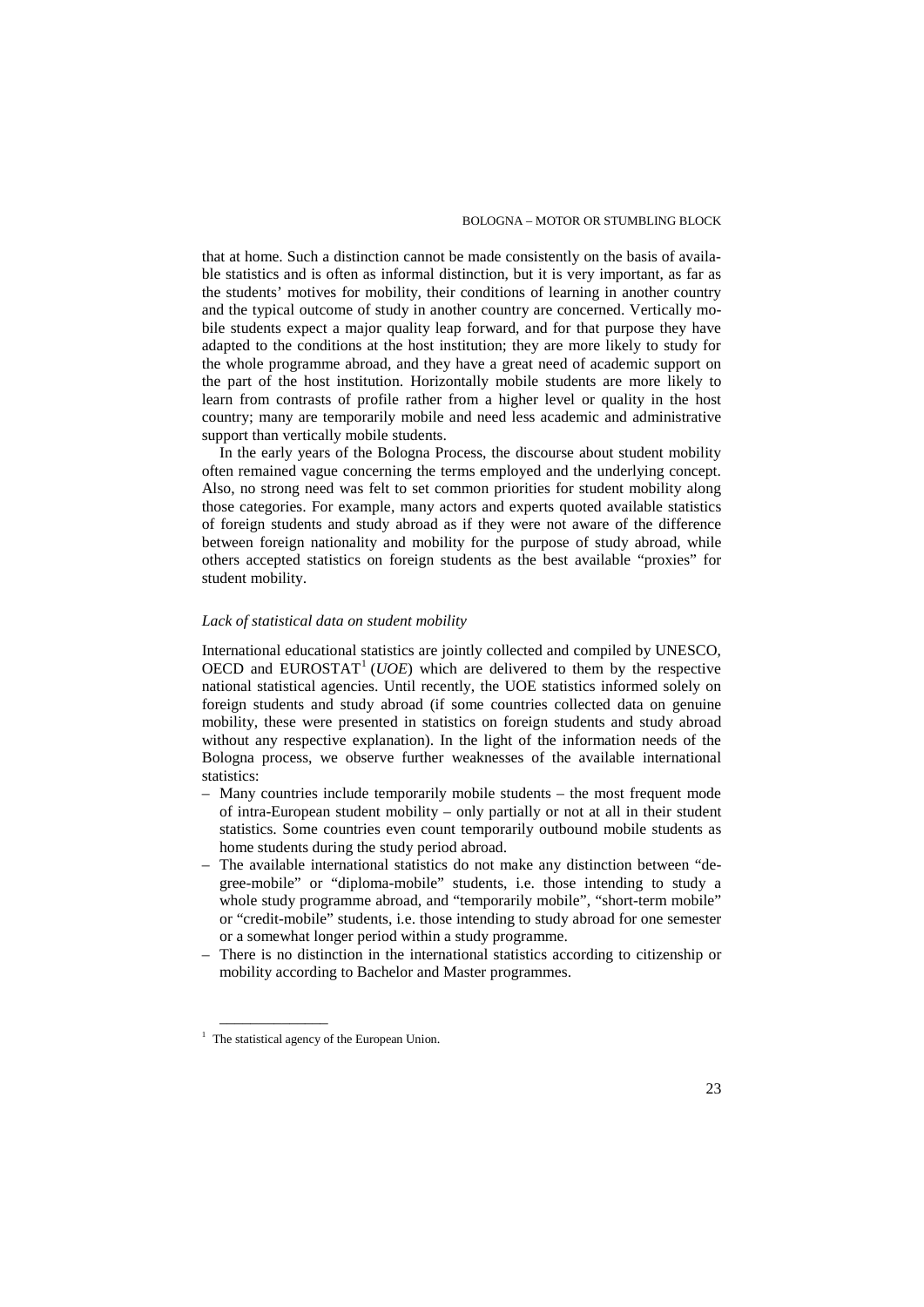that at home. Such a distinction cannot be made consistently on the basis of available statistics and is often as informal distinction, but it is very important, as far as the students' motives for mobility, their conditions of learning in another country and the typical outcome of study in another country are concerned. Vertically mobile students expect a major quality leap forward, and for that purpose they have adapted to the conditions at the host institution; they are more likely to study for the whole programme abroad, and they have a great need of academic support on the part of the host institution. Horizontally mobile students are more likely to learn from contrasts of profile rather from a higher level or quality in the host country; many are temporarily mobile and need less academic and administrative support than vertically mobile students.

In the early years of the Bologna Process, the discourse about student mobility often remained vague concerning the terms employed and the underlying concept. Also, no strong need was felt to set common priorities for student mobility along those categories. For example, many actors and experts quoted available statistics of foreign students and study abroad as if they were not aware of the difference between foreign nationality and mobility for the purpose of study abroad, while others accepted statistics on foreign students as the best available "proxies" for student mobility.

# *Lack of statistical data on student mobility*

International educational statistics are jointly collected and compiled by UNESCO, OECD and EUROSTAT<sup>1</sup> (*UOE*) which are delivered to them by the respective national statistical agencies. Until recently, the UOE statistics informed solely on foreign students and study abroad (if some countries collected data on genuine mobility, these were presented in statistics on foreign students and study abroad without any respective explanation). In the light of the information needs of the Bologna process, we observe further weaknesses of the available international statistics:

- Many countries include temporarily mobile students the most frequent mode of intra-European student mobility – only partially or not at all in their student statistics. Some countries even count temporarily outbound mobile students as home students during the study period abroad.
- The available international statistics do not make any distinction between "degree-mobile" or "diploma-mobile" students, i.e. those intending to study a whole study programme abroad, and "temporarily mobile", "short-term mobile" or "credit-mobile" students, i.e. those intending to study abroad for one semester or a somewhat longer period within a study programme.
- There is no distinction in the international statistics according to citizenship or mobility according to Bachelor and Master programmes.

The statistical agency of the European Union.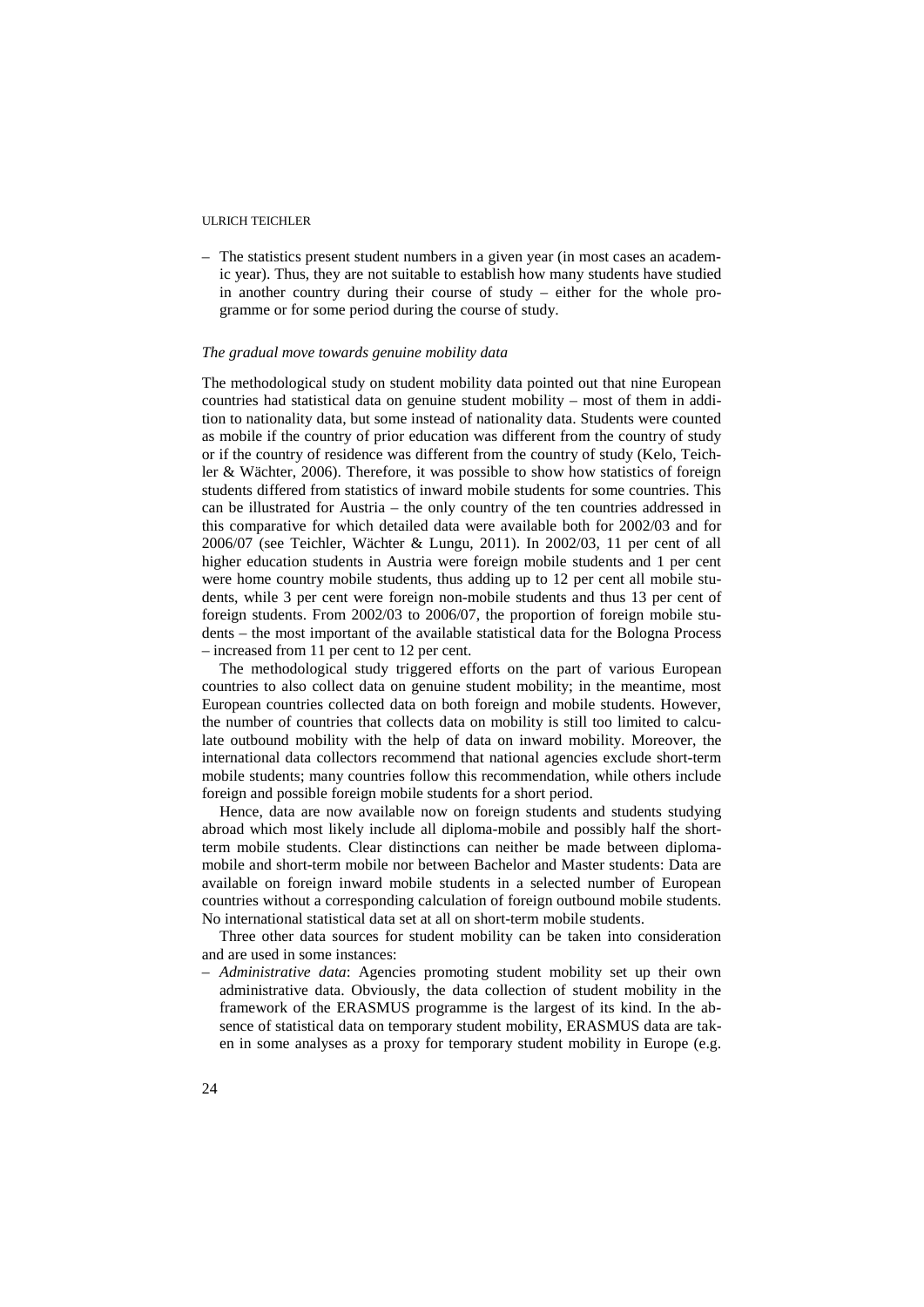– The statistics present student numbers in a given year (in most cases an academic year). Thus, they are not suitable to establish how many students have studied in another country during their course of study – either for the whole programme or for some period during the course of study.

# *The gradual move towards genuine mobility data*

The methodological study on student mobility data pointed out that nine European countries had statistical data on genuine student mobility – most of them in addition to nationality data, but some instead of nationality data. Students were counted as mobile if the country of prior education was different from the country of study or if the country of residence was different from the country of study (Kelo, Teichler & Wächter, 2006). Therefore, it was possible to show how statistics of foreign students differed from statistics of inward mobile students for some countries. This can be illustrated for Austria – the only country of the ten countries addressed in this comparative for which detailed data were available both for 2002/03 and for 2006/07 (see Teichler, Wächter & Lungu, 2011). In 2002/03, 11 per cent of all higher education students in Austria were foreign mobile students and 1 per cent were home country mobile students, thus adding up to 12 per cent all mobile students, while 3 per cent were foreign non-mobile students and thus 13 per cent of foreign students. From 2002/03 to 2006/07, the proportion of foreign mobile students – the most important of the available statistical data for the Bologna Process – increased from 11 per cent to 12 per cent.

The methodological study triggered efforts on the part of various European countries to also collect data on genuine student mobility; in the meantime, most European countries collected data on both foreign and mobile students. However, the number of countries that collects data on mobility is still too limited to calculate outbound mobility with the help of data on inward mobility. Moreover, the international data collectors recommend that national agencies exclude short-term mobile students; many countries follow this recommendation, while others include foreign and possible foreign mobile students for a short period.

Hence, data are now available now on foreign students and students studying abroad which most likely include all diploma-mobile and possibly half the shortterm mobile students. Clear distinctions can neither be made between diplomamobile and short-term mobile nor between Bachelor and Master students: Data are available on foreign inward mobile students in a selected number of European countries without a corresponding calculation of foreign outbound mobile students. No international statistical data set at all on short-term mobile students.

Three other data sources for student mobility can be taken into consideration and are used in some instances:

– *Administrative data*: Agencies promoting student mobility set up their own administrative data. Obviously, the data collection of student mobility in the framework of the ERASMUS programme is the largest of its kind. In the absence of statistical data on temporary student mobility, ERASMUS data are taken in some analyses as a proxy for temporary student mobility in Europe (e.g.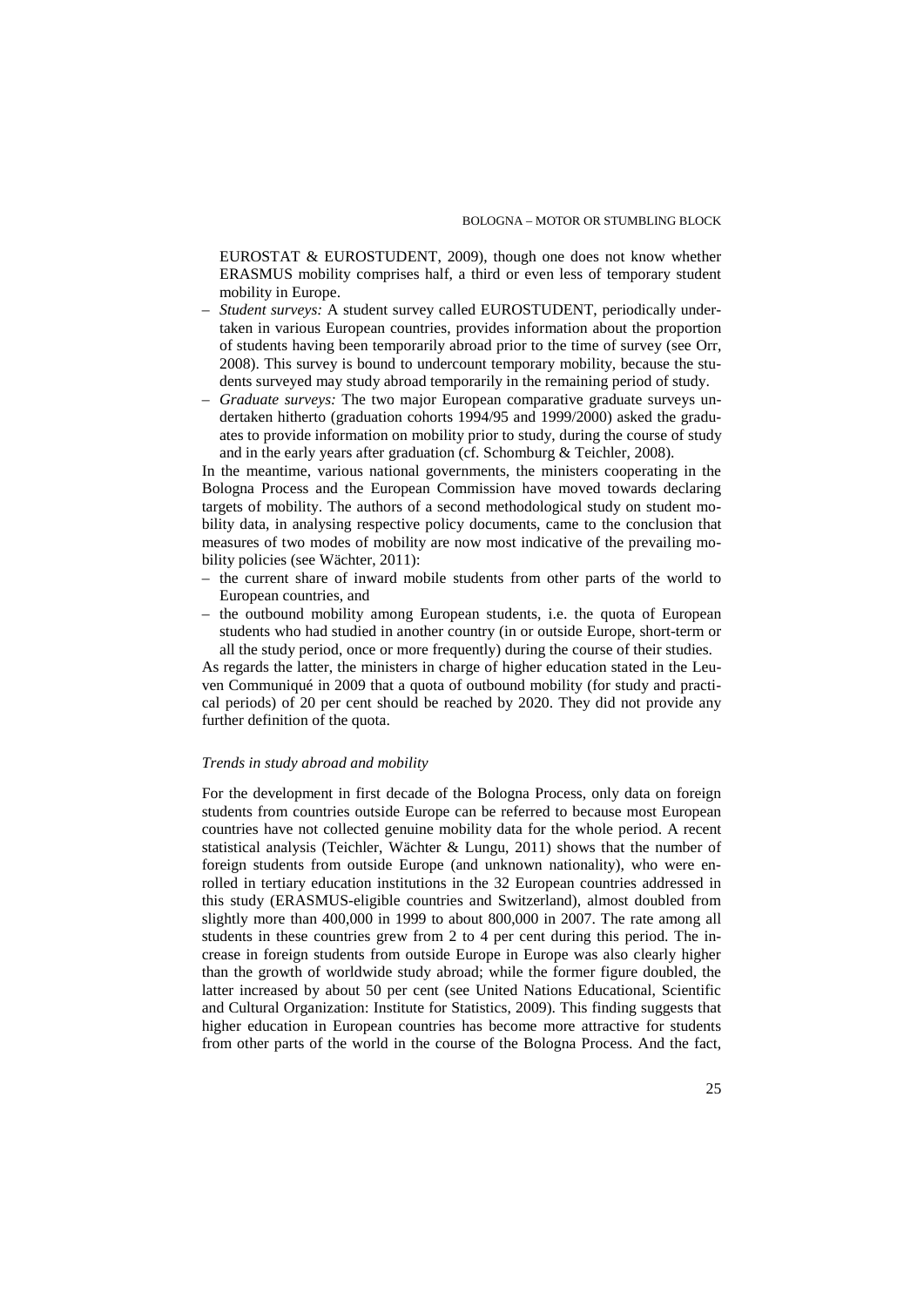EUROSTAT & EUROSTUDENT, 2009), though one does not know whether ERASMUS mobility comprises half, a third or even less of temporary student mobility in Europe.

- *Student surveys:* A student survey called EUROSTUDENT, periodically undertaken in various European countries, provides information about the proportion of students having been temporarily abroad prior to the time of survey (see Orr, 2008). This survey is bound to undercount temporary mobility, because the students surveyed may study abroad temporarily in the remaining period of study.
- *Graduate surveys:* The two major European comparative graduate surveys undertaken hitherto (graduation cohorts 1994/95 and 1999/2000) asked the graduates to provide information on mobility prior to study, during the course of study and in the early years after graduation (cf. Schomburg & Teichler, 2008).

In the meantime, various national governments, the ministers cooperating in the Bologna Process and the European Commission have moved towards declaring targets of mobility. The authors of a second methodological study on student mobility data, in analysing respective policy documents, came to the conclusion that measures of two modes of mobility are now most indicative of the prevailing mobility policies (see Wächter, 2011):

- the current share of inward mobile students from other parts of the world to European countries, and
- the outbound mobility among European students, i.e. the quota of European students who had studied in another country (in or outside Europe, short-term or all the study period, once or more frequently) during the course of their studies.

As regards the latter, the ministers in charge of higher education stated in the Leuven Communiqué in 2009 that a quota of outbound mobility (for study and practical periods) of 20 per cent should be reached by 2020. They did not provide any further definition of the quota.

# *Trends in study abroad and mobility*

For the development in first decade of the Bologna Process, only data on foreign students from countries outside Europe can be referred to because most European countries have not collected genuine mobility data for the whole period. A recent statistical analysis (Teichler, Wächter & Lungu, 2011) shows that the number of foreign students from outside Europe (and unknown nationality), who were enrolled in tertiary education institutions in the 32 European countries addressed in this study (ERASMUS-eligible countries and Switzerland), almost doubled from slightly more than 400,000 in 1999 to about 800,000 in 2007. The rate among all students in these countries grew from 2 to 4 per cent during this period. The increase in foreign students from outside Europe in Europe was also clearly higher than the growth of worldwide study abroad; while the former figure doubled, the latter increased by about 50 per cent (see United Nations Educational, Scientific and Cultural Organization: Institute for Statistics, 2009). This finding suggests that higher education in European countries has become more attractive for students from other parts of the world in the course of the Bologna Process. And the fact,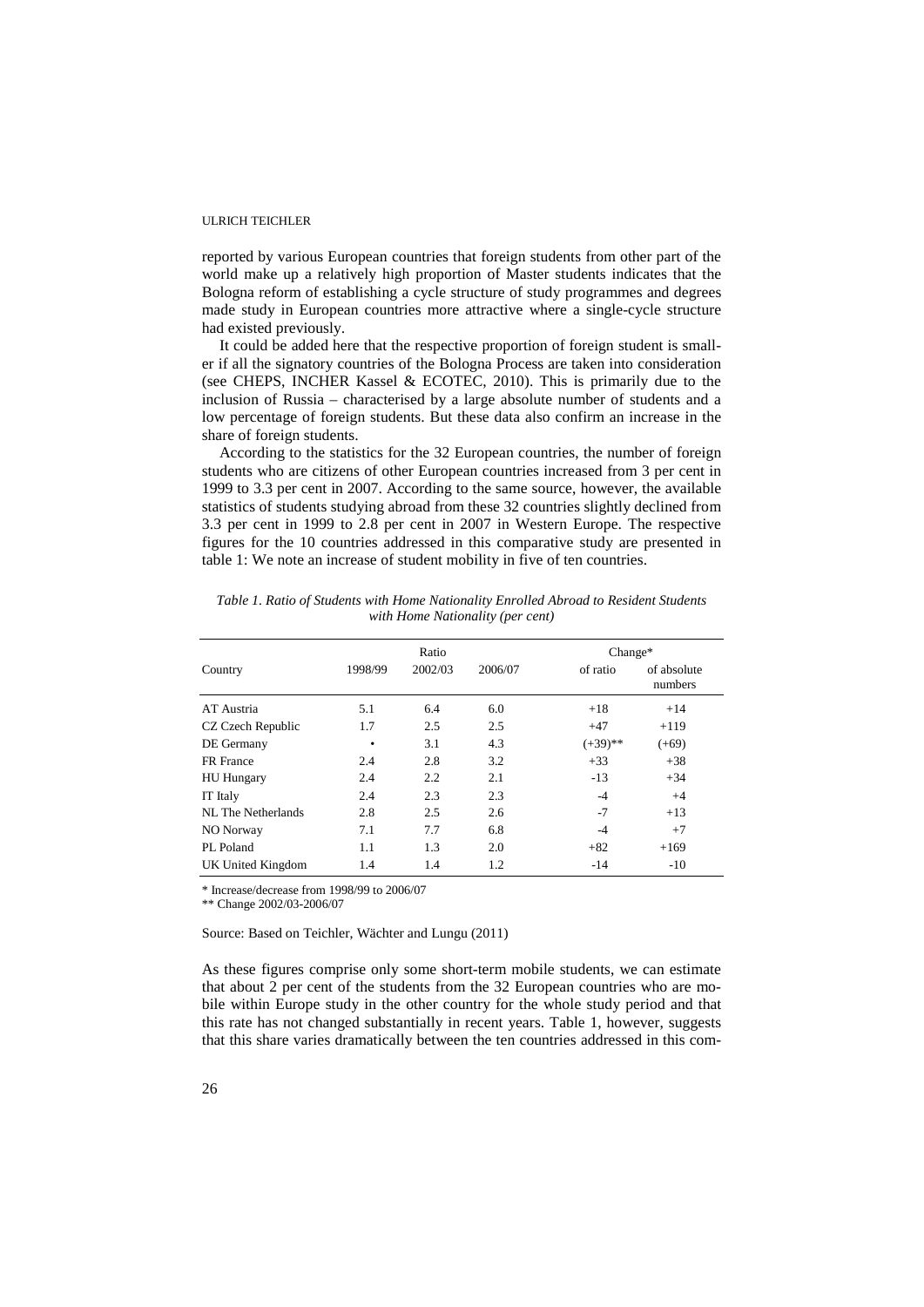reported by various European countries that foreign students from other part of the world make up a relatively high proportion of Master students indicates that the Bologna reform of establishing a cycle structure of study programmes and degrees made study in European countries more attractive where a single-cycle structure had existed previously.

It could be added here that the respective proportion of foreign student is smaller if all the signatory countries of the Bologna Process are taken into consideration (see CHEPS, INCHER Kassel & ECOTEC, 2010). This is primarily due to the inclusion of Russia – characterised by a large absolute number of students and a low percentage of foreign students. But these data also confirm an increase in the share of foreign students.

According to the statistics for the 32 European countries, the number of foreign students who are citizens of other European countries increased from 3 per cent in 1999 to 3.3 per cent in 2007. According to the same source, however, the available statistics of students studying abroad from these 32 countries slightly declined from 3.3 per cent in 1999 to 2.8 per cent in 2007 in Western Europe. The respective figures for the 10 countries addressed in this comparative study are presented in table 1: We note an increase of student mobility in five of ten countries.

|                    | Ratio   |         |         | $Change*$  |                        |
|--------------------|---------|---------|---------|------------|------------------------|
| Country            | 1998/99 | 2002/03 | 2006/07 | of ratio   | of absolute<br>numbers |
| AT Austria         | 5.1     | 6.4     | 6.0     | $+18$      | $+14$                  |
| CZ Czech Republic  | 1.7     | 2.5     | 2.5     | $+47$      | $+119$                 |
| DE Germany         | ٠       | 3.1     | 4.3     | $(+39)$ ** | $(+69)$                |
| FR France          | 2.4     | 2.8     | 3.2     | $+33$      | $+38$                  |
| <b>HU</b> Hungary  | 2.4     | 2.2     | 2.1     | $-13$      | $+34$                  |
| IT Italy           | 2.4     | 2.3     | 2.3     | $-4$       | $+4$                   |
| NL The Netherlands | 2.8     | 2.5     | 2.6     | $-7$       | $+13$                  |
| NO Norway          | 7.1     | 7.7     | 6.8     | $-4$       | $+7$                   |
| PL Poland          | 1.1     | 1.3     | 2.0     | $+82$      | $+169$                 |
| UK United Kingdom  | 1.4     | 1.4     | 1.2     | $-14$      | $-10$                  |

*Table 1. Ratio of Students with Home Nationality Enrolled Abroad to Resident Students with Home Nationality (per cent)* 

\* Increase/decrease from 1998/99 to 2006/07

\*\* Change 2002/03-2006/07

Source: Based on Teichler, Wächter and Lungu (2011)

As these figures comprise only some short-term mobile students, we can estimate that about 2 per cent of the students from the 32 European countries who are mobile within Europe study in the other country for the whole study period and that this rate has not changed substantially in recent years. Table 1, however, suggests that this share varies dramatically between the ten countries addressed in this com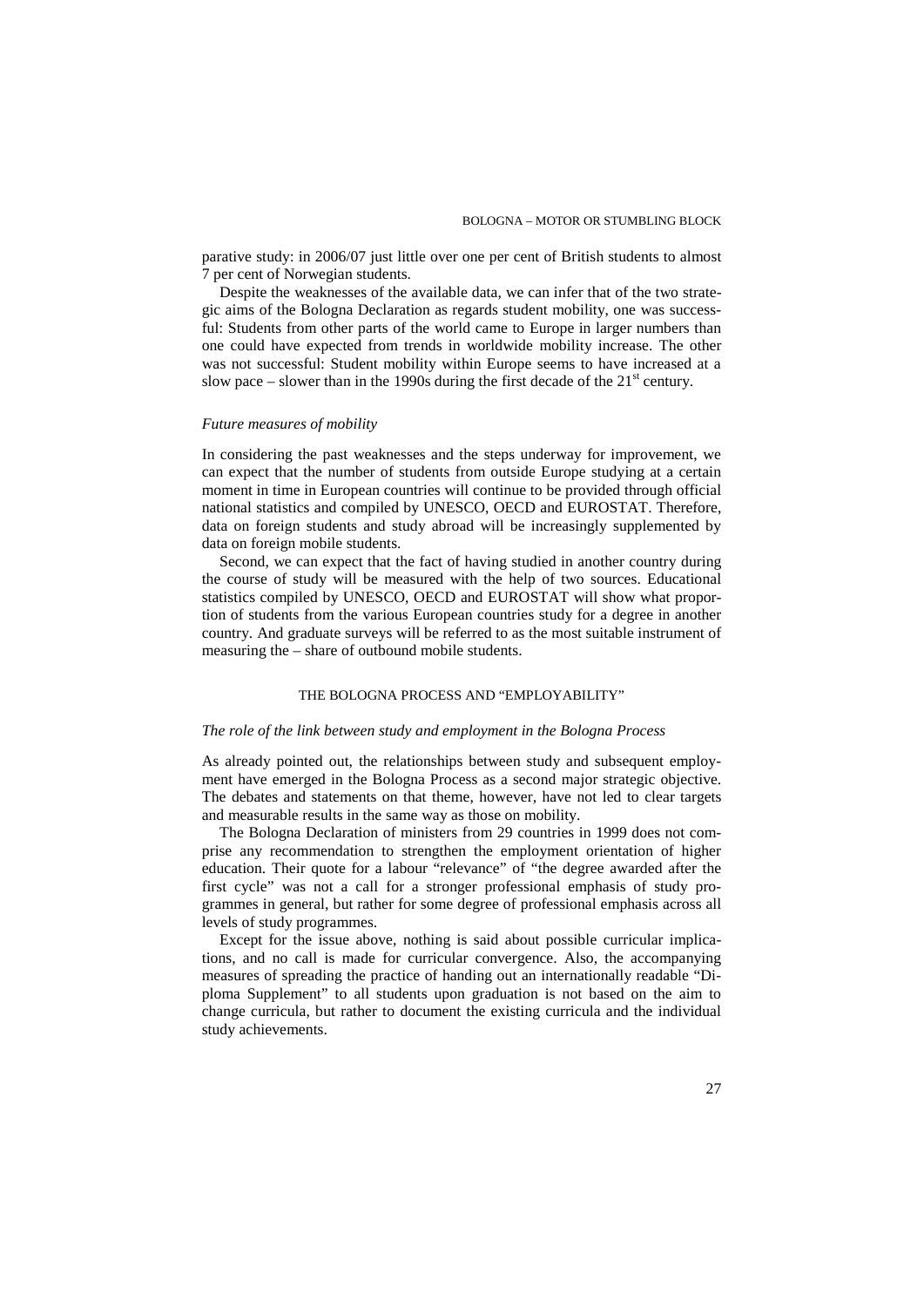parative study: in 2006/07 just little over one per cent of British students to almost 7 per cent of Norwegian students.

Despite the weaknesses of the available data, we can infer that of the two strategic aims of the Bologna Declaration as regards student mobility, one was successful: Students from other parts of the world came to Europe in larger numbers than one could have expected from trends in worldwide mobility increase. The other was not successful: Student mobility within Europe seems to have increased at a slow pace – slower than in the 1990s during the first decade of the  $21<sup>st</sup>$  century.

#### *Future measures of mobility*

In considering the past weaknesses and the steps underway for improvement, we can expect that the number of students from outside Europe studying at a certain moment in time in European countries will continue to be provided through official national statistics and compiled by UNESCO, OECD and EUROSTAT. Therefore, data on foreign students and study abroad will be increasingly supplemented by data on foreign mobile students.

Second, we can expect that the fact of having studied in another country during the course of study will be measured with the help of two sources. Educational statistics compiled by UNESCO, OECD and EUROSTAT will show what proportion of students from the various European countries study for a degree in another country. And graduate surveys will be referred to as the most suitable instrument of measuring the – share of outbound mobile students.

#### THE BOLOGNA PROCESS AND "EMPLOYABILITY"

#### *The role of the link between study and employment in the Bologna Process*

As already pointed out, the relationships between study and subsequent employment have emerged in the Bologna Process as a second major strategic objective. The debates and statements on that theme, however, have not led to clear targets and measurable results in the same way as those on mobility.

The Bologna Declaration of ministers from 29 countries in 1999 does not comprise any recommendation to strengthen the employment orientation of higher education. Their quote for a labour "relevance" of "the degree awarded after the first cycle" was not a call for a stronger professional emphasis of study programmes in general, but rather for some degree of professional emphasis across all levels of study programmes.

Except for the issue above, nothing is said about possible curricular implications, and no call is made for curricular convergence. Also, the accompanying measures of spreading the practice of handing out an internationally readable "Diploma Supplement" to all students upon graduation is not based on the aim to change curricula, but rather to document the existing curricula and the individual study achievements.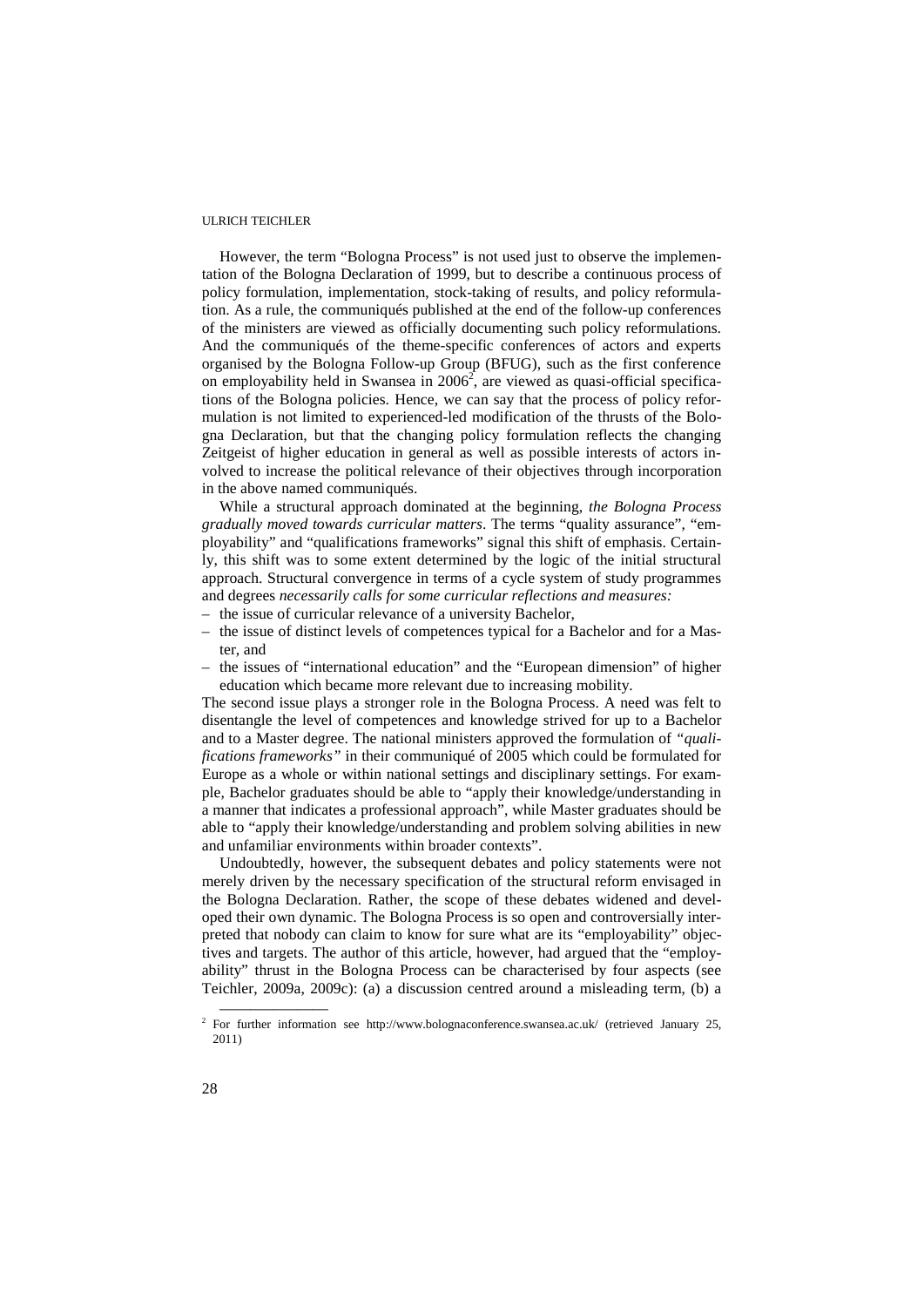However, the term "Bologna Process" is not used just to observe the implementation of the Bologna Declaration of 1999, but to describe a continuous process of policy formulation, implementation, stock-taking of results, and policy reformulation. As a rule, the communiqués published at the end of the follow-up conferences of the ministers are viewed as officially documenting such policy reformulations. And the communiqués of the theme-specific conferences of actors and experts organised by the Bologna Follow-up Group (BFUG), such as the first conference on employability held in Swansea in  $2006^2$ , are viewed as quasi-official specifications of the Bologna policies. Hence, we can say that the process of policy reformulation is not limited to experienced-led modification of the thrusts of the Bologna Declaration, but that the changing policy formulation reflects the changing Zeitgeist of higher education in general as well as possible interests of actors involved to increase the political relevance of their objectives through incorporation in the above named communiqués.

While a structural approach dominated at the beginning, *the Bologna Process gradually moved towards curricular matters*. The terms "quality assurance", "employability" and "qualifications frameworks" signal this shift of emphasis. Certainly, this shift was to some extent determined by the logic of the initial structural approach. Structural convergence in terms of a cycle system of study programmes and degrees *necessarily calls for some curricular reflections and measures:* 

- the issue of curricular relevance of a university Bachelor,
- the issue of distinct levels of competences typical for a Bachelor and for a Master, and
- the issues of "international education" and the "European dimension" of higher education which became more relevant due to increasing mobility.

The second issue plays a stronger role in the Bologna Process. A need was felt to disentangle the level of competences and knowledge strived for up to a Bachelor and to a Master degree. The national ministers approved the formulation of *"qualifications frameworks"* in their communiqué of 2005 which could be formulated for Europe as a whole or within national settings and disciplinary settings. For example, Bachelor graduates should be able to "apply their knowledge/understanding in a manner that indicates a professional approach", while Master graduates should be able to "apply their knowledge/understanding and problem solving abilities in new and unfamiliar environments within broader contexts".

Undoubtedly, however, the subsequent debates and policy statements were not merely driven by the necessary specification of the structural reform envisaged in the Bologna Declaration. Rather, the scope of these debates widened and developed their own dynamic. The Bologna Process is so open and controversially interpreted that nobody can claim to know for sure what are its "employability" objectives and targets. The author of this article, however, had argued that the "employability" thrust in the Bologna Process can be characterised by four aspects (see Teichler, 2009a, 2009c): (a) a discussion centred around a misleading term, (b) a

<sup>–––––––––––––– 2</sup> For further information see http://www.bolognaconference.swansea.ac.uk/ (retrieved January 25, 2011)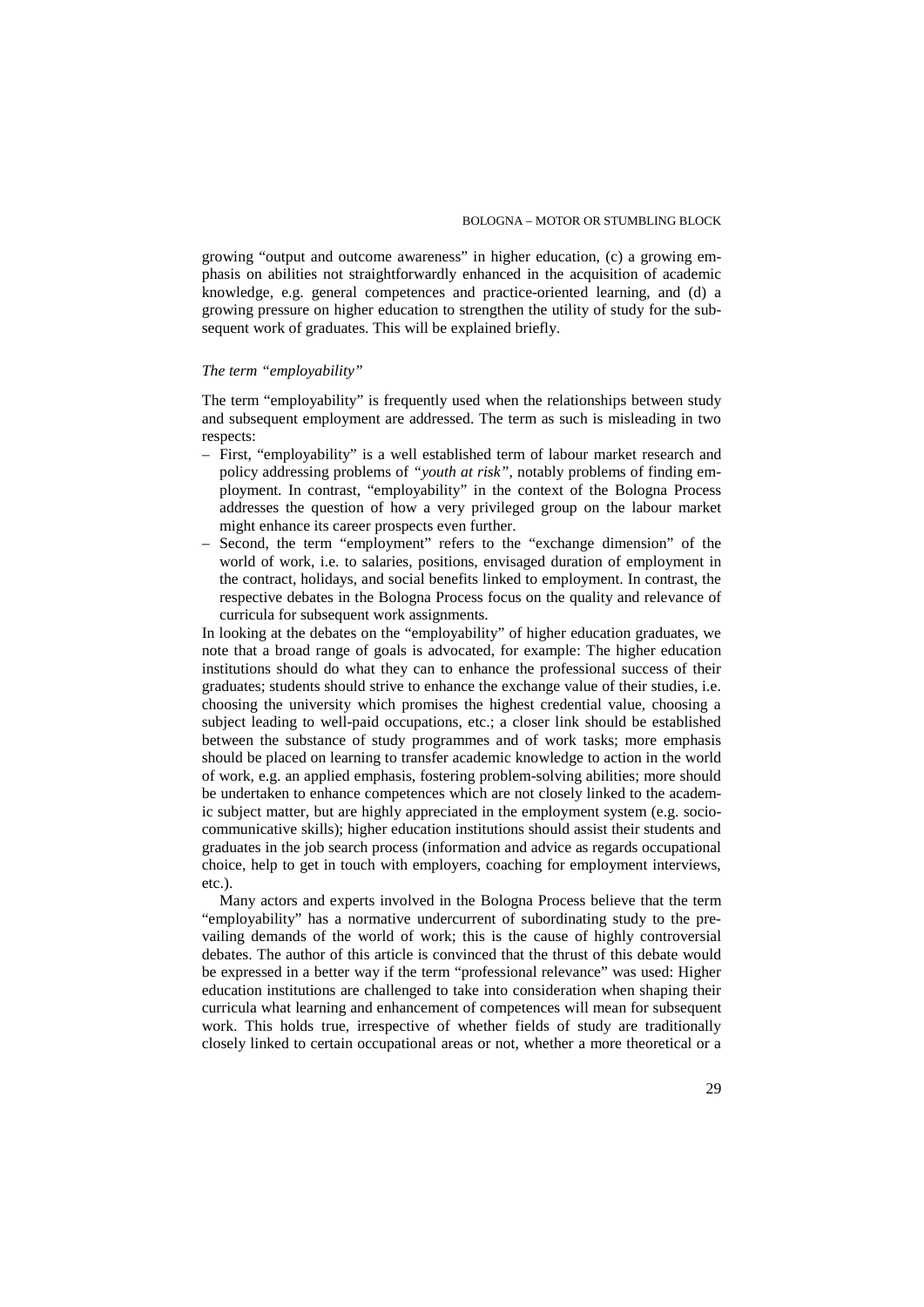growing "output and outcome awareness" in higher education, (c) a growing emphasis on abilities not straightforwardly enhanced in the acquisition of academic knowledge, e.g. general competences and practice-oriented learning, and (d) a growing pressure on higher education to strengthen the utility of study for the subsequent work of graduates. This will be explained briefly.

# *The term "employability"*

The term "employability" is frequently used when the relationships between study and subsequent employment are addressed. The term as such is misleading in two respects:

- First, "employability" is a well established term of labour market research and policy addressing problems of *"youth at risk"*, notably problems of finding employment. In contrast, "employability" in the context of the Bologna Process addresses the question of how a very privileged group on the labour market might enhance its career prospects even further.
- Second, the term "employment" refers to the "exchange dimension" of the world of work, i.e. to salaries, positions, envisaged duration of employment in the contract, holidays, and social benefits linked to employment. In contrast, the respective debates in the Bologna Process focus on the quality and relevance of curricula for subsequent work assignments.

In looking at the debates on the "employability" of higher education graduates, we note that a broad range of goals is advocated, for example: The higher education institutions should do what they can to enhance the professional success of their graduates; students should strive to enhance the exchange value of their studies, i.e. choosing the university which promises the highest credential value, choosing a subject leading to well-paid occupations, etc.; a closer link should be established between the substance of study programmes and of work tasks; more emphasis should be placed on learning to transfer academic knowledge to action in the world of work, e.g. an applied emphasis, fostering problem-solving abilities; more should be undertaken to enhance competences which are not closely linked to the academic subject matter, but are highly appreciated in the employment system (e.g. sociocommunicative skills); higher education institutions should assist their students and graduates in the job search process (information and advice as regards occupational choice, help to get in touch with employers, coaching for employment interviews, etc.).

Many actors and experts involved in the Bologna Process believe that the term "employability" has a normative undercurrent of subordinating study to the prevailing demands of the world of work; this is the cause of highly controversial debates. The author of this article is convinced that the thrust of this debate would be expressed in a better way if the term "professional relevance" was used: Higher education institutions are challenged to take into consideration when shaping their curricula what learning and enhancement of competences will mean for subsequent work. This holds true, irrespective of whether fields of study are traditionally closely linked to certain occupational areas or not, whether a more theoretical or a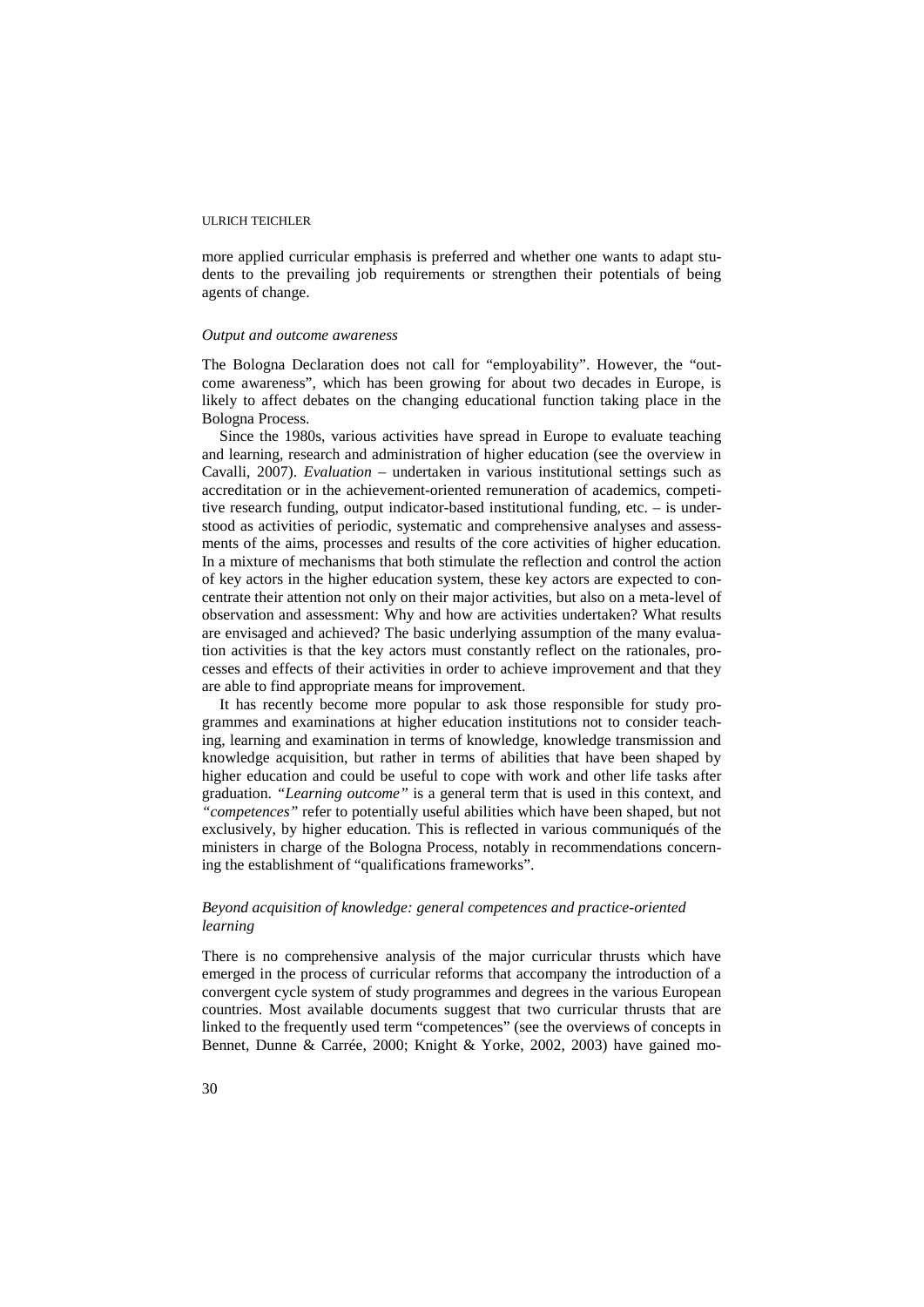### ULRICH TEICHLER

more applied curricular emphasis is preferred and whether one wants to adapt students to the prevailing job requirements or strengthen their potentials of being agents of change.

# *Output and outcome awareness*

The Bologna Declaration does not call for "employability". However, the "outcome awareness", which has been growing for about two decades in Europe, is likely to affect debates on the changing educational function taking place in the Bologna Process.

Since the 1980s, various activities have spread in Europe to evaluate teaching and learning, research and administration of higher education (see the overview in Cavalli, 2007). *Evaluation* – undertaken in various institutional settings such as accreditation or in the achievement-oriented remuneration of academics, competitive research funding, output indicator-based institutional funding, etc. – is understood as activities of periodic, systematic and comprehensive analyses and assessments of the aims, processes and results of the core activities of higher education. In a mixture of mechanisms that both stimulate the reflection and control the action of key actors in the higher education system, these key actors are expected to concentrate their attention not only on their major activities, but also on a meta-level of observation and assessment: Why and how are activities undertaken? What results are envisaged and achieved? The basic underlying assumption of the many evaluation activities is that the key actors must constantly reflect on the rationales, processes and effects of their activities in order to achieve improvement and that they are able to find appropriate means for improvement.

It has recently become more popular to ask those responsible for study programmes and examinations at higher education institutions not to consider teaching, learning and examination in terms of knowledge, knowledge transmission and knowledge acquisition, but rather in terms of abilities that have been shaped by higher education and could be useful to cope with work and other life tasks after graduation. *"Learning outcome"* is a general term that is used in this context, and *"competences"* refer to potentially useful abilities which have been shaped, but not exclusively, by higher education. This is reflected in various communiqués of the ministers in charge of the Bologna Process, notably in recommendations concerning the establishment of "qualifications frameworks".

# *Beyond acquisition of knowledge: general competences and practice-oriented learning*

There is no comprehensive analysis of the major curricular thrusts which have emerged in the process of curricular reforms that accompany the introduction of a convergent cycle system of study programmes and degrees in the various European countries. Most available documents suggest that two curricular thrusts that are linked to the frequently used term "competences" (see the overviews of concepts in Bennet, Dunne & Carrée, 2000; Knight & Yorke, 2002, 2003) have gained mo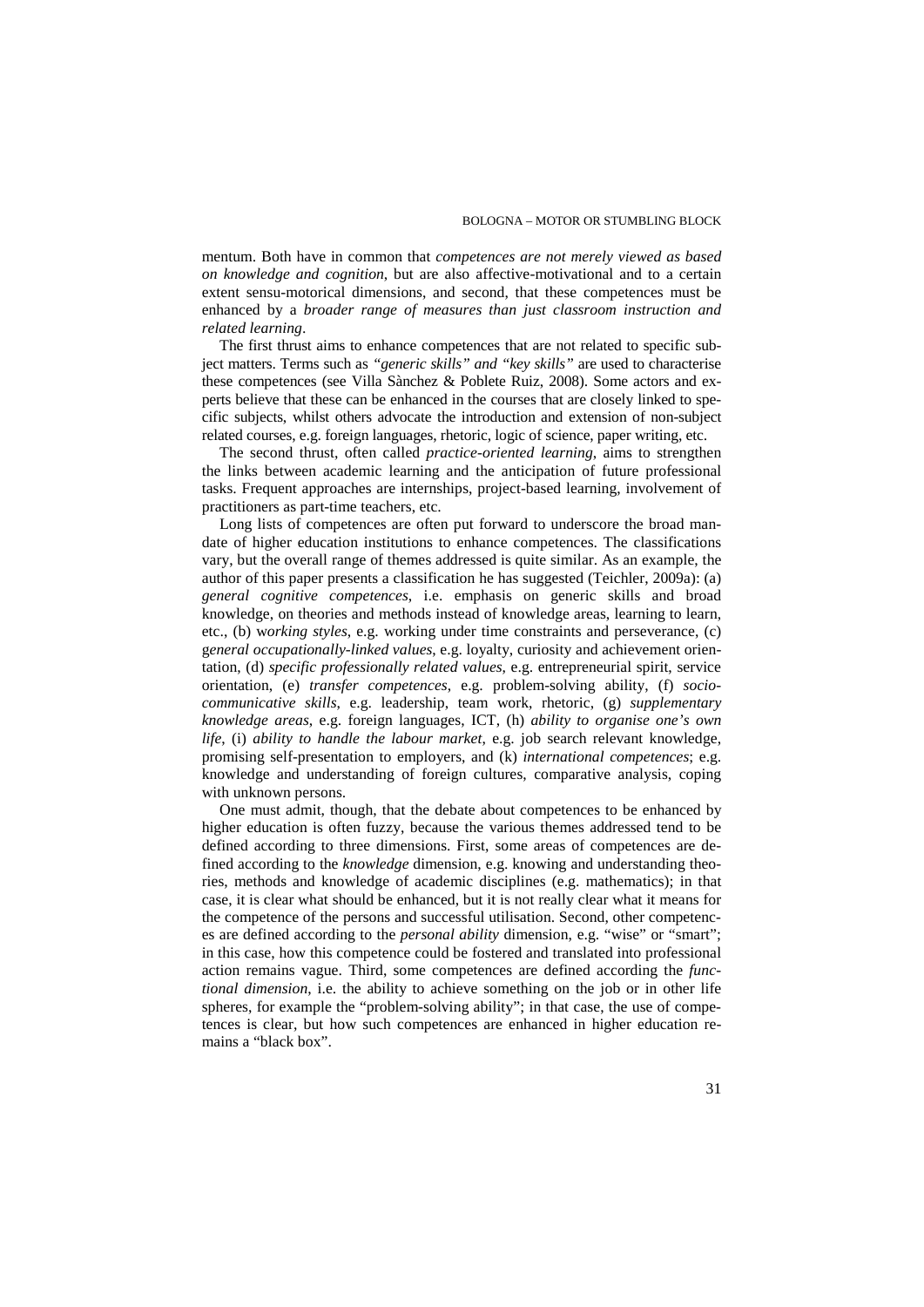mentum. Both have in common that *competences are not merely viewed as based on knowledge and cognition*, but are also affective-motivational and to a certain extent sensu-motorical dimensions, and second, that these competences must be enhanced by a *broader range of measures than just classroom instruction and related learning*.

The first thrust aims to enhance competences that are not related to specific subject matters. Terms such as *"generic skills" and "key skills"* are used to characterise these competences (see Villa Sànchez & Poblete Ruiz, 2008). Some actors and experts believe that these can be enhanced in the courses that are closely linked to specific subjects, whilst others advocate the introduction and extension of non-subject related courses, e.g. foreign languages, rhetoric, logic of science, paper writing, etc.

The second thrust, often called *practice-oriented learning*, aims to strengthen the links between academic learning and the anticipation of future professional tasks. Frequent approaches are internships, project-based learning, involvement of practitioners as part-time teachers, etc.

Long lists of competences are often put forward to underscore the broad mandate of higher education institutions to enhance competences. The classifications vary, but the overall range of themes addressed is quite similar. As an example, the author of this paper presents a classification he has suggested (Teichler, 2009a): (a) *general cognitive competences*, i.e. emphasis on generic skills and broad knowledge, on theories and methods instead of knowledge areas, learning to learn, etc., (b) w*orking styles*, e.g. working under time constraints and perseverance, (c) g*eneral occupationally-linked values*, e.g. loyalty, curiosity and achievement orientation, (d) *specific professionally related values*, e.g. entrepreneurial spirit, service orientation, (e) *transfer competences*, e.g. problem-solving ability, (f) *sociocommunicative skills*, e.g. leadership, team work, rhetoric, (g) *supplementary knowledge areas*, e.g. foreign languages, ICT, (h) *ability to organise one's own life*, (i) *ability to handle the labour market*, e.g. job search relevant knowledge, promising self-presentation to employers, and (k) *international competences*; e.g. knowledge and understanding of foreign cultures, comparative analysis, coping with unknown persons.

One must admit, though, that the debate about competences to be enhanced by higher education is often fuzzy, because the various themes addressed tend to be defined according to three dimensions. First, some areas of competences are defined according to the *knowledge* dimension, e.g. knowing and understanding theories, methods and knowledge of academic disciplines (e.g. mathematics); in that case, it is clear what should be enhanced, but it is not really clear what it means for the competence of the persons and successful utilisation. Second, other competences are defined according to the *personal ability* dimension, e.g. "wise" or "smart"; in this case, how this competence could be fostered and translated into professional action remains vague. Third, some competences are defined according the *functional dimension*, i.e. the ability to achieve something on the job or in other life spheres, for example the "problem-solving ability"; in that case, the use of competences is clear, but how such competences are enhanced in higher education remains a "black box".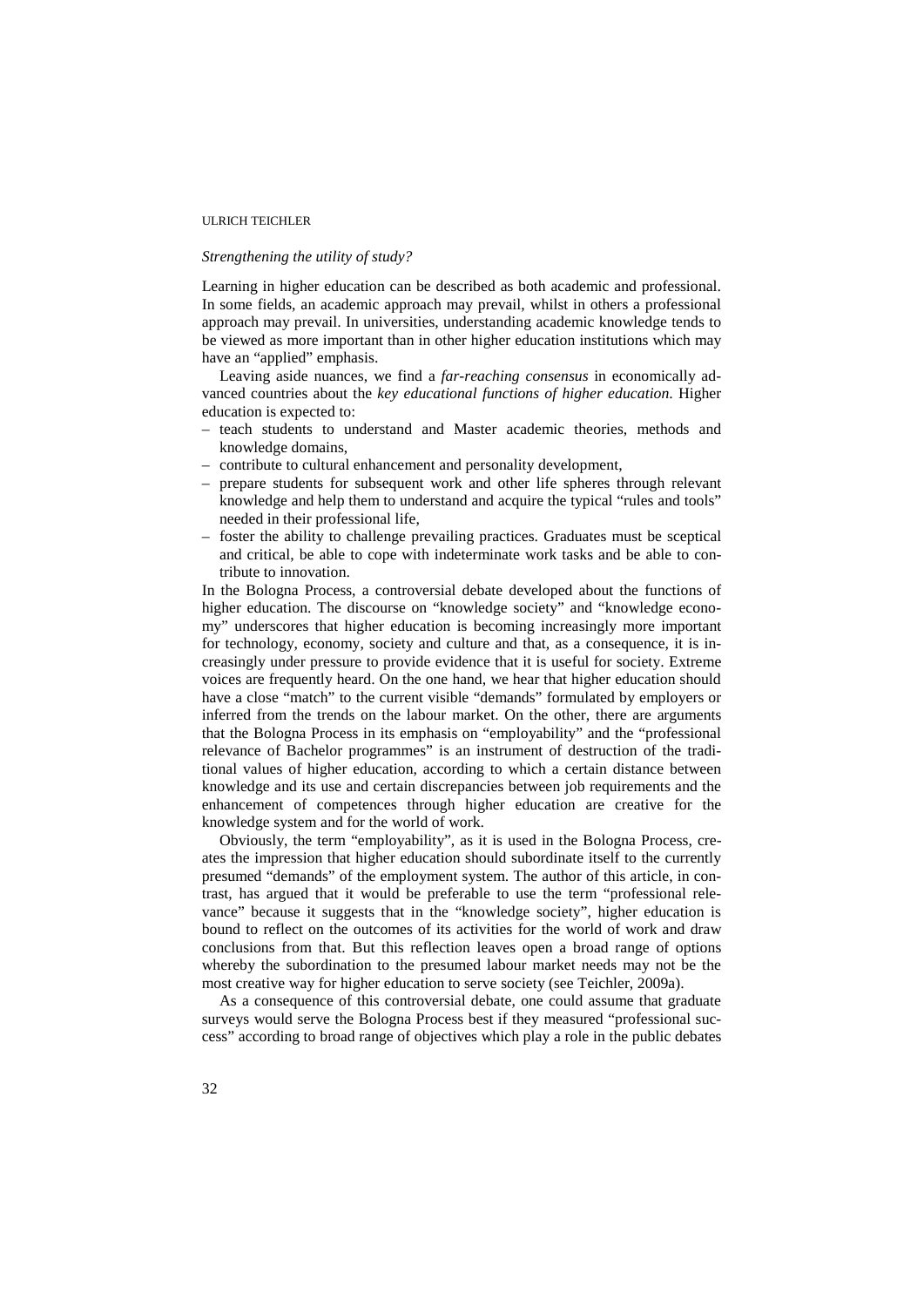### ULRICH TEICHLER

## *Strengthening the utility of study?*

Learning in higher education can be described as both academic and professional. In some fields, an academic approach may prevail, whilst in others a professional approach may prevail. In universities, understanding academic knowledge tends to be viewed as more important than in other higher education institutions which may have an "applied" emphasis.

Leaving aside nuances, we find a *far-reaching consensus* in economically advanced countries about the *key educational functions of higher education*. Higher education is expected to:

- teach students to understand and Master academic theories, methods and knowledge domains,
- contribute to cultural enhancement and personality development,
- prepare students for subsequent work and other life spheres through relevant knowledge and help them to understand and acquire the typical "rules and tools" needed in their professional life,
- foster the ability to challenge prevailing practices. Graduates must be sceptical and critical, be able to cope with indeterminate work tasks and be able to contribute to innovation.

In the Bologna Process, a controversial debate developed about the functions of higher education. The discourse on "knowledge society" and "knowledge economy" underscores that higher education is becoming increasingly more important for technology, economy, society and culture and that, as a consequence, it is increasingly under pressure to provide evidence that it is useful for society. Extreme voices are frequently heard. On the one hand, we hear that higher education should have a close "match" to the current visible "demands" formulated by employers or inferred from the trends on the labour market. On the other, there are arguments that the Bologna Process in its emphasis on "employability" and the "professional relevance of Bachelor programmes" is an instrument of destruction of the traditional values of higher education, according to which a certain distance between knowledge and its use and certain discrepancies between job requirements and the enhancement of competences through higher education are creative for the knowledge system and for the world of work.

Obviously, the term "employability", as it is used in the Bologna Process, creates the impression that higher education should subordinate itself to the currently presumed "demands" of the employment system. The author of this article, in contrast, has argued that it would be preferable to use the term "professional relevance" because it suggests that in the "knowledge society", higher education is bound to reflect on the outcomes of its activities for the world of work and draw conclusions from that. But this reflection leaves open a broad range of options whereby the subordination to the presumed labour market needs may not be the most creative way for higher education to serve society (see Teichler, 2009a).

As a consequence of this controversial debate, one could assume that graduate surveys would serve the Bologna Process best if they measured "professional success" according to broad range of objectives which play a role in the public debates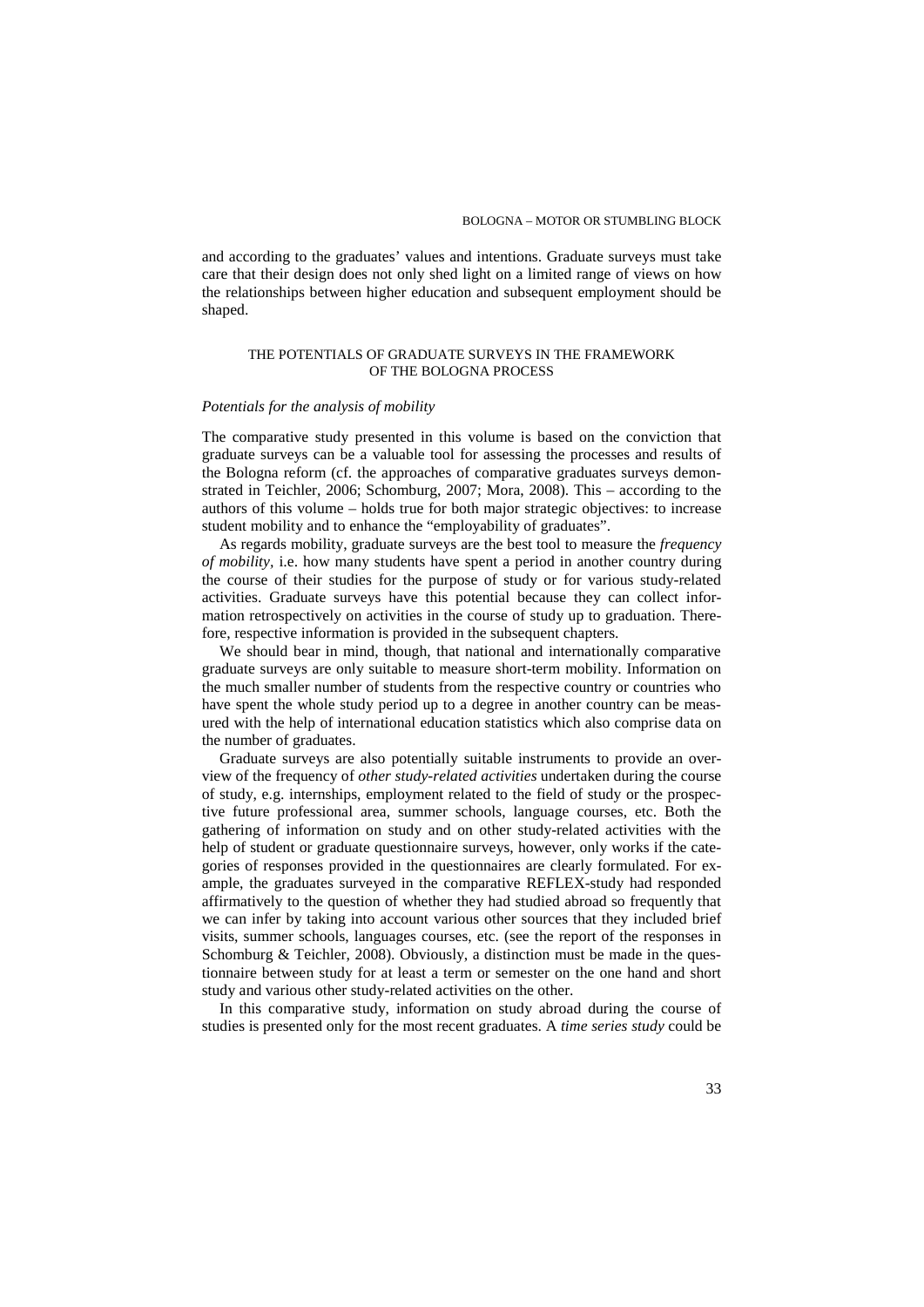and according to the graduates' values and intentions. Graduate surveys must take care that their design does not only shed light on a limited range of views on how the relationships between higher education and subsequent employment should be shaped.

## THE POTENTIALS OF GRADUATE SURVEYS IN THE FRAMEWORK OF THE BOLOGNA PROCESS

## *Potentials for the analysis of mobility*

The comparative study presented in this volume is based on the conviction that graduate surveys can be a valuable tool for assessing the processes and results of the Bologna reform (cf. the approaches of comparative graduates surveys demonstrated in Teichler, 2006; Schomburg, 2007; Mora, 2008). This – according to the authors of this volume – holds true for both major strategic objectives: to increase student mobility and to enhance the "employability of graduates".

As regards mobility, graduate surveys are the best tool to measure the *frequency of mobility,* i.e. how many students have spent a period in another country during the course of their studies for the purpose of study or for various study-related activities. Graduate surveys have this potential because they can collect information retrospectively on activities in the course of study up to graduation. Therefore, respective information is provided in the subsequent chapters.

We should bear in mind, though, that national and internationally comparative graduate surveys are only suitable to measure short-term mobility. Information on the much smaller number of students from the respective country or countries who have spent the whole study period up to a degree in another country can be measured with the help of international education statistics which also comprise data on the number of graduates.

Graduate surveys are also potentially suitable instruments to provide an overview of the frequency of *other study-related activities* undertaken during the course of study, e.g. internships, employment related to the field of study or the prospective future professional area, summer schools, language courses, etc. Both the gathering of information on study and on other study-related activities with the help of student or graduate questionnaire surveys, however, only works if the categories of responses provided in the questionnaires are clearly formulated. For example, the graduates surveyed in the comparative REFLEX-study had responded affirmatively to the question of whether they had studied abroad so frequently that we can infer by taking into account various other sources that they included brief visits, summer schools, languages courses, etc. (see the report of the responses in Schomburg & Teichler, 2008). Obviously, a distinction must be made in the questionnaire between study for at least a term or semester on the one hand and short study and various other study-related activities on the other.

In this comparative study, information on study abroad during the course of studies is presented only for the most recent graduates. A *time series study* could be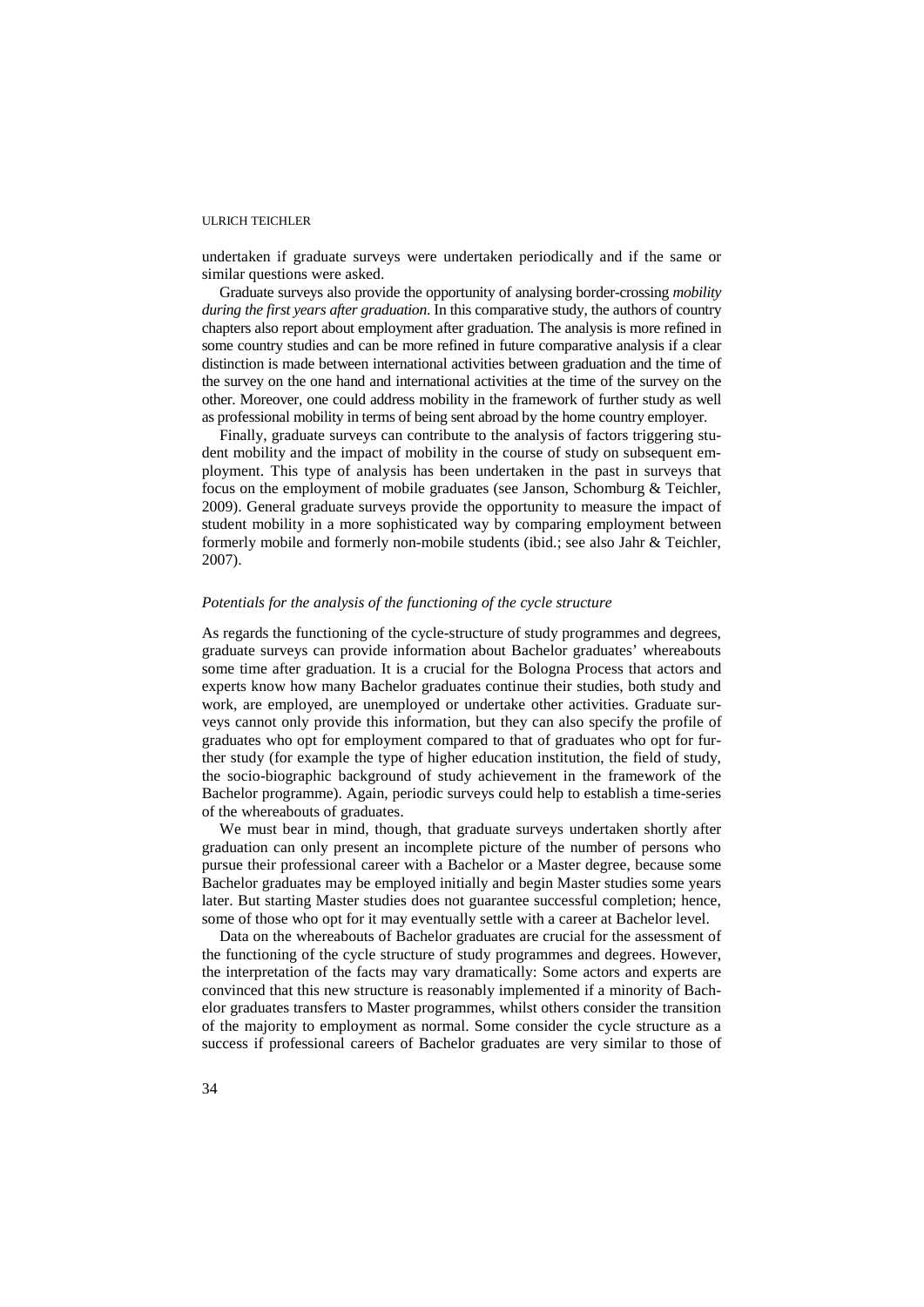#### ULRICH TEICHLER

undertaken if graduate surveys were undertaken periodically and if the same or similar questions were asked.

Graduate surveys also provide the opportunity of analysing border-crossing *mobility during the first years after graduation*. In this comparative study, the authors of country chapters also report about employment after graduation. The analysis is more refined in some country studies and can be more refined in future comparative analysis if a clear distinction is made between international activities between graduation and the time of the survey on the one hand and international activities at the time of the survey on the other. Moreover, one could address mobility in the framework of further study as well as professional mobility in terms of being sent abroad by the home country employer.

Finally, graduate surveys can contribute to the analysis of factors triggering student mobility and the impact of mobility in the course of study on subsequent employment. This type of analysis has been undertaken in the past in surveys that focus on the employment of mobile graduates (see Janson, Schomburg & Teichler, 2009). General graduate surveys provide the opportunity to measure the impact of student mobility in a more sophisticated way by comparing employment between formerly mobile and formerly non-mobile students (ibid.; see also Jahr & Teichler, 2007).

# *Potentials for the analysis of the functioning of the cycle structure*

As regards the functioning of the cycle-structure of study programmes and degrees, graduate surveys can provide information about Bachelor graduates' whereabouts some time after graduation. It is a crucial for the Bologna Process that actors and experts know how many Bachelor graduates continue their studies, both study and work, are employed, are unemployed or undertake other activities. Graduate surveys cannot only provide this information, but they can also specify the profile of graduates who opt for employment compared to that of graduates who opt for further study (for example the type of higher education institution, the field of study, the socio-biographic background of study achievement in the framework of the Bachelor programme). Again, periodic surveys could help to establish a time-series of the whereabouts of graduates.

We must bear in mind, though, that graduate surveys undertaken shortly after graduation can only present an incomplete picture of the number of persons who pursue their professional career with a Bachelor or a Master degree, because some Bachelor graduates may be employed initially and begin Master studies some years later. But starting Master studies does not guarantee successful completion; hence, some of those who opt for it may eventually settle with a career at Bachelor level.

Data on the whereabouts of Bachelor graduates are crucial for the assessment of the functioning of the cycle structure of study programmes and degrees. However, the interpretation of the facts may vary dramatically: Some actors and experts are convinced that this new structure is reasonably implemented if a minority of Bachelor graduates transfers to Master programmes, whilst others consider the transition of the majority to employment as normal. Some consider the cycle structure as a success if professional careers of Bachelor graduates are very similar to those of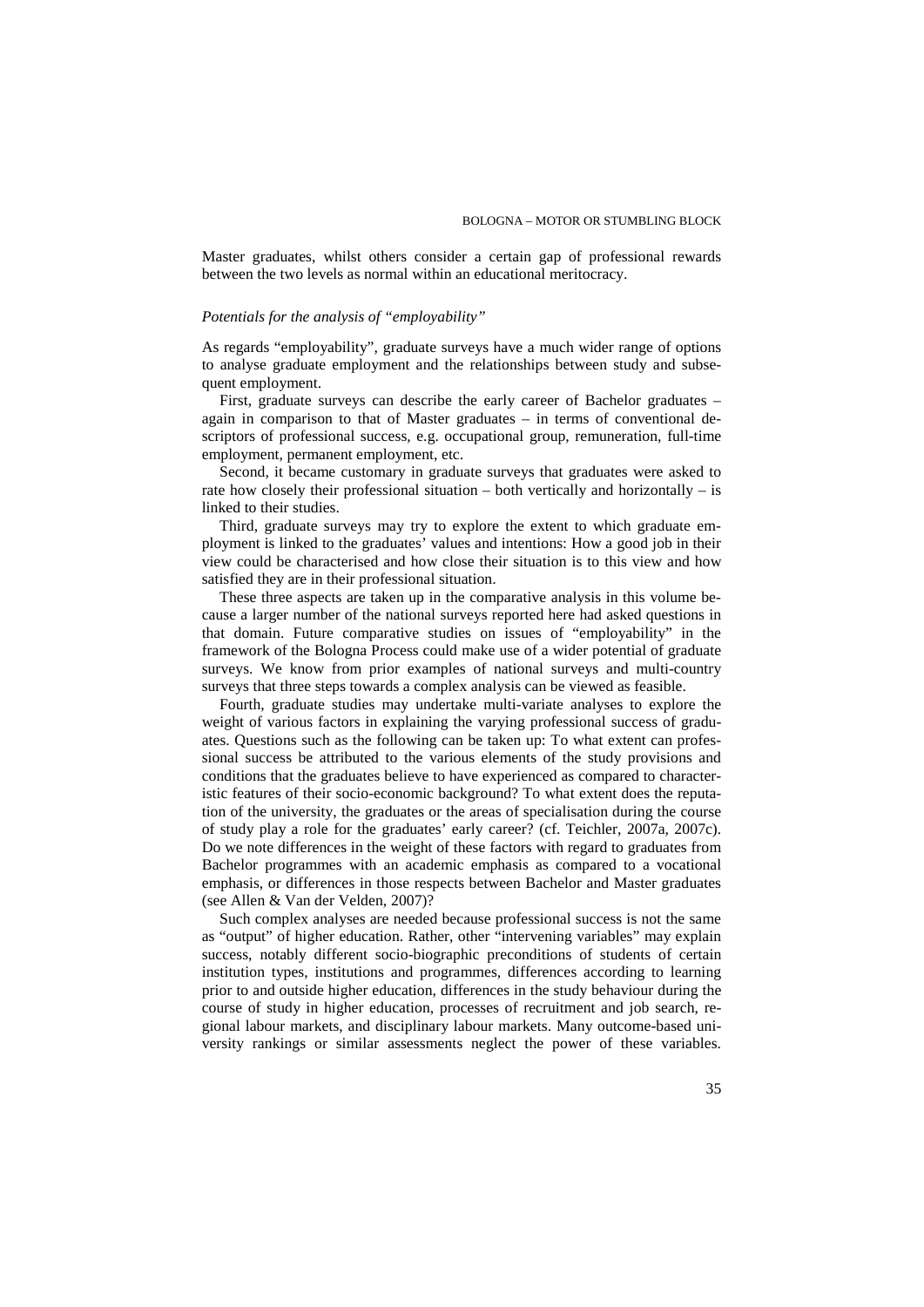Master graduates, whilst others consider a certain gap of professional rewards between the two levels as normal within an educational meritocracy.

## *Potentials for the analysis of "employability"*

As regards "employability", graduate surveys have a much wider range of options to analyse graduate employment and the relationships between study and subsequent employment.

First, graduate surveys can describe the early career of Bachelor graduates – again in comparison to that of Master graduates – in terms of conventional descriptors of professional success, e.g. occupational group, remuneration, full-time employment, permanent employment, etc.

Second, it became customary in graduate surveys that graduates were asked to rate how closely their professional situation – both vertically and horizontally – is linked to their studies.

Third, graduate surveys may try to explore the extent to which graduate employment is linked to the graduates' values and intentions: How a good job in their view could be characterised and how close their situation is to this view and how satisfied they are in their professional situation.

These three aspects are taken up in the comparative analysis in this volume because a larger number of the national surveys reported here had asked questions in that domain. Future comparative studies on issues of "employability" in the framework of the Bologna Process could make use of a wider potential of graduate surveys. We know from prior examples of national surveys and multi-country surveys that three steps towards a complex analysis can be viewed as feasible.

Fourth, graduate studies may undertake multi-variate analyses to explore the weight of various factors in explaining the varying professional success of graduates. Questions such as the following can be taken up: To what extent can professional success be attributed to the various elements of the study provisions and conditions that the graduates believe to have experienced as compared to characteristic features of their socio-economic background? To what extent does the reputation of the university, the graduates or the areas of specialisation during the course of study play a role for the graduates' early career? (cf. Teichler, 2007a, 2007c). Do we note differences in the weight of these factors with regard to graduates from Bachelor programmes with an academic emphasis as compared to a vocational emphasis, or differences in those respects between Bachelor and Master graduates (see Allen & Van der Velden, 2007)?

Such complex analyses are needed because professional success is not the same as "output" of higher education. Rather, other "intervening variables" may explain success, notably different socio-biographic preconditions of students of certain institution types, institutions and programmes, differences according to learning prior to and outside higher education, differences in the study behaviour during the course of study in higher education, processes of recruitment and job search, regional labour markets, and disciplinary labour markets. Many outcome-based university rankings or similar assessments neglect the power of these variables.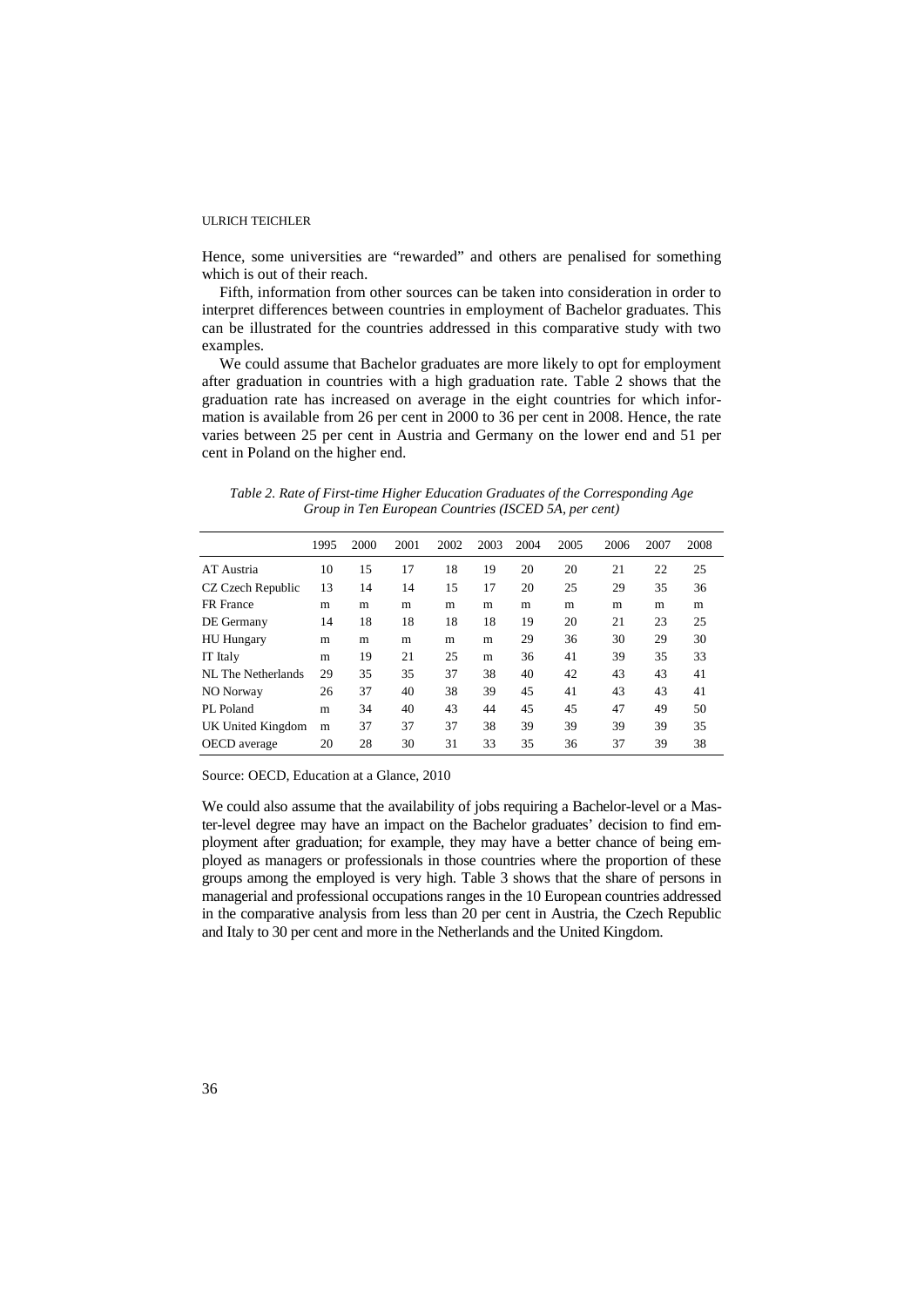Hence, some universities are "rewarded" and others are penalised for something which is out of their reach.

Fifth, information from other sources can be taken into consideration in order to interpret differences between countries in employment of Bachelor graduates. This can be illustrated for the countries addressed in this comparative study with two examples.

We could assume that Bachelor graduates are more likely to opt for employment after graduation in countries with a high graduation rate. Table 2 shows that the graduation rate has increased on average in the eight countries for which information is available from 26 per cent in 2000 to 36 per cent in 2008. Hence, the rate varies between 25 per cent in Austria and Germany on the lower end and 51 per cent in Poland on the higher end.

*Table 2. Rate of First-time Higher Education Graduates of the Corresponding Age Group in Ten European Countries (ISCED 5A, per cent)* 

|                    | 1995 | 2000 | 2001 | 2002 | 2003 | 2004 | 2005 | 2006 | 2007 | 2008 |
|--------------------|------|------|------|------|------|------|------|------|------|------|
| AT Austria         | 10   | 15   | 17   | 18   | 19   | 20   | 20   | 21   | 22   | 25   |
| CZ Czech Republic  | 13   | 14   | 14   | 15   | 17   | 20   | 25   | 29   | 35   | 36   |
| <b>FR</b> France   | m    | m    | m    | m    | m    | m    | m    | m    | m    | m    |
| DE Germany         | 14   | 18   | 18   | 18   | 18   | 19   | 20   | 21   | 23   | 25   |
| <b>HU</b> Hungary  | m    | m    | m    | m    | m    | 29   | 36   | 30   | 29   | 30   |
| IT Italy           | m    | 19   | 21   | 25   | m    | 36   | 41   | 39   | 35   | 33   |
| NL The Netherlands | 29   | 35   | 35   | 37   | 38   | 40   | 42   | 43   | 43   | 41   |
| NO Norway          | 26   | 37   | 40   | 38   | 39   | 45   | 41   | 43   | 43   | 41   |
| PL Poland          | m    | 34   | 40   | 43   | 44   | 45   | 45   | 47   | 49   | 50   |
| UK United Kingdom  | m    | 37   | 37   | 37   | 38   | 39   | 39   | 39   | 39   | 35   |
| OECD average       | 20   | 28   | 30   | 31   | 33   | 35   | 36   | 37   | 39   | 38   |

Source: OECD, Education at a Glance, 2010

We could also assume that the availability of jobs requiring a Bachelor-level or a Master-level degree may have an impact on the Bachelor graduates' decision to find employment after graduation; for example, they may have a better chance of being employed as managers or professionals in those countries where the proportion of these groups among the employed is very high. Table 3 shows that the share of persons in managerial and professional occupations ranges in the 10 European countries addressed in the comparative analysis from less than 20 per cent in Austria, the Czech Republic and Italy to 30 per cent and more in the Netherlands and the United Kingdom.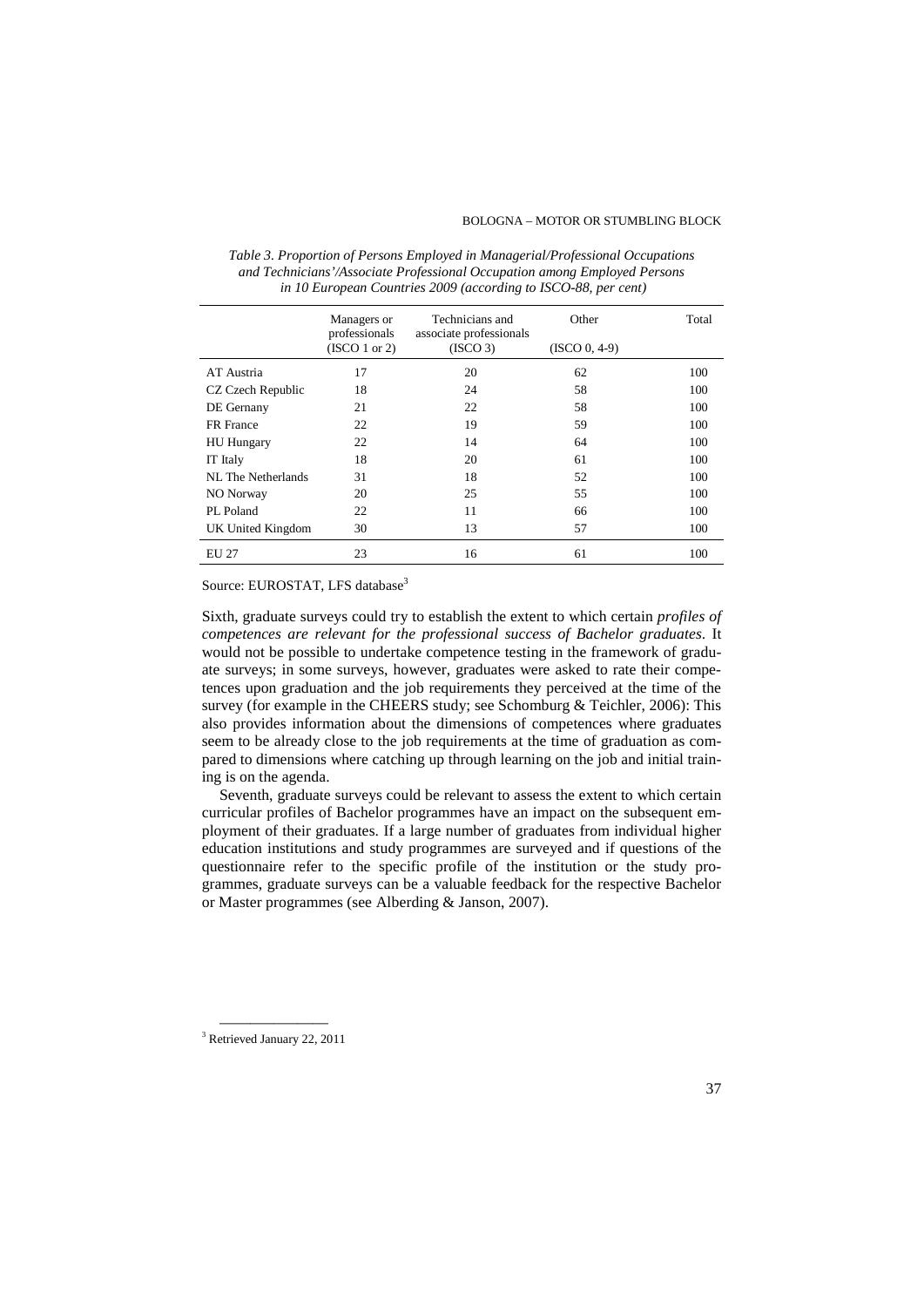|                    | Managers or<br>professionals | Technicians and<br>associate professionals | Other           | Total |
|--------------------|------------------------------|--------------------------------------------|-----------------|-------|
|                    | (ISCO 1 or 2)                | (ISCO 3)                                   | $(ISCO 0, 4-9)$ |       |
| AT Austria         | 17                           | 20                                         | 62              | 100   |
| CZ Czech Republic  | 18                           | 24                                         | 58              | 100   |
| DE Gernany         | 21                           | 22                                         | 58              | 100   |
| <b>FR</b> France   | 22                           | 19                                         | 59              | 100   |
| <b>HU</b> Hungary  | 22                           | 14                                         | 64              | 100   |
| IT Italy           | 18                           | 20                                         | 61              | 100   |
| NL The Netherlands | 31                           | 18                                         | 52              | 100   |
| NO Norway          | 20                           | 25                                         | 55              | 100   |
| PL Poland          | 22                           | 11                                         | 66              | 100   |
| UK United Kingdom  | 30                           | 13                                         | 57              | 100   |
| <b>EU 27</b>       | 23                           | 16                                         | 61              | 100   |

*Table 3. Proportion of Persons Employed in Managerial/Professional Occupations and Technicians'/Associate Professional Occupation among Employed Persons in 10 European Countries 2009 (according to ISCO-88, per cent)* 

Source: EUROSTAT, LFS database<sup>3</sup>

Sixth, graduate surveys could try to establish the extent to which certain *profiles of competences are relevant for the professional success of Bachelor graduates*. It would not be possible to undertake competence testing in the framework of graduate surveys; in some surveys, however, graduates were asked to rate their competences upon graduation and the job requirements they perceived at the time of the survey (for example in the CHEERS study; see Schomburg & Teichler, 2006): This also provides information about the dimensions of competences where graduates seem to be already close to the job requirements at the time of graduation as compared to dimensions where catching up through learning on the job and initial training is on the agenda.

Seventh, graduate surveys could be relevant to assess the extent to which certain curricular profiles of Bachelor programmes have an impact on the subsequent employment of their graduates. If a large number of graduates from individual higher education institutions and study programmes are surveyed and if questions of the questionnaire refer to the specific profile of the institution or the study programmes, graduate surveys can be a valuable feedback for the respective Bachelor or Master programmes (see Alberding & Janson, 2007).

<sup>&</sup>lt;sup>3</sup> Retrieved January 22, 2011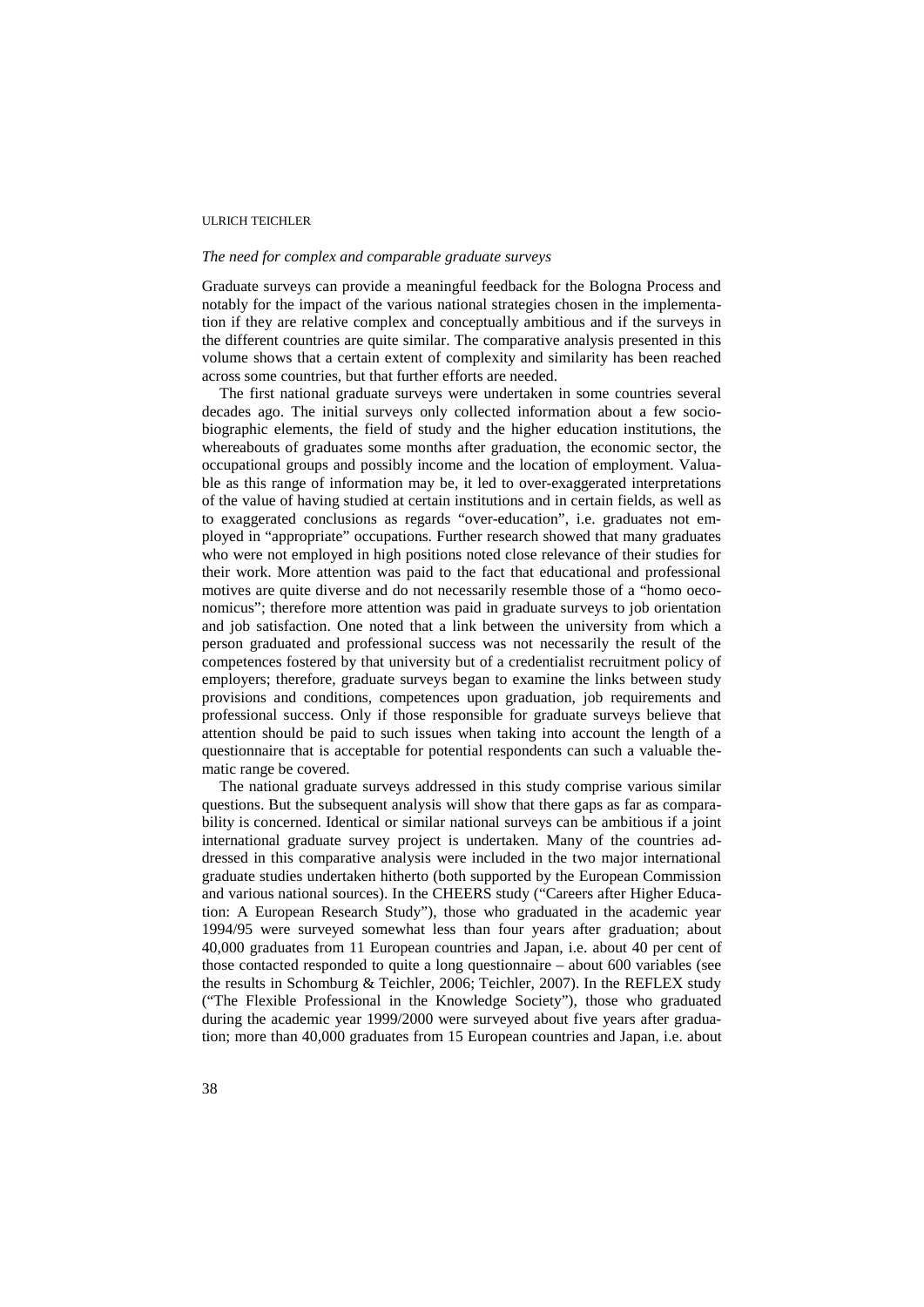#### ULRICH TEICHLER

## *The need for complex and comparable graduate surveys*

Graduate surveys can provide a meaningful feedback for the Bologna Process and notably for the impact of the various national strategies chosen in the implementation if they are relative complex and conceptually ambitious and if the surveys in the different countries are quite similar. The comparative analysis presented in this volume shows that a certain extent of complexity and similarity has been reached across some countries, but that further efforts are needed.

The first national graduate surveys were undertaken in some countries several decades ago. The initial surveys only collected information about a few sociobiographic elements, the field of study and the higher education institutions, the whereabouts of graduates some months after graduation, the economic sector, the occupational groups and possibly income and the location of employment. Valuable as this range of information may be, it led to over-exaggerated interpretations of the value of having studied at certain institutions and in certain fields, as well as to exaggerated conclusions as regards "over-education", i.e. graduates not employed in "appropriate" occupations. Further research showed that many graduates who were not employed in high positions noted close relevance of their studies for their work. More attention was paid to the fact that educational and professional motives are quite diverse and do not necessarily resemble those of a "homo oeconomicus"; therefore more attention was paid in graduate surveys to job orientation and job satisfaction. One noted that a link between the university from which a person graduated and professional success was not necessarily the result of the competences fostered by that university but of a credentialist recruitment policy of employers; therefore, graduate surveys began to examine the links between study provisions and conditions, competences upon graduation, job requirements and professional success. Only if those responsible for graduate surveys believe that attention should be paid to such issues when taking into account the length of a questionnaire that is acceptable for potential respondents can such a valuable thematic range be covered.

The national graduate surveys addressed in this study comprise various similar questions. But the subsequent analysis will show that there gaps as far as comparability is concerned. Identical or similar national surveys can be ambitious if a joint international graduate survey project is undertaken. Many of the countries addressed in this comparative analysis were included in the two major international graduate studies undertaken hitherto (both supported by the European Commission and various national sources). In the CHEERS study ("Careers after Higher Education: A European Research Study"), those who graduated in the academic year 1994/95 were surveyed somewhat less than four years after graduation; about 40,000 graduates from 11 European countries and Japan, i.e. about 40 per cent of those contacted responded to quite a long questionnaire – about 600 variables (see the results in Schomburg & Teichler, 2006; Teichler, 2007). In the REFLEX study ("The Flexible Professional in the Knowledge Society"), those who graduated during the academic year 1999/2000 were surveyed about five years after graduation; more than 40,000 graduates from 15 European countries and Japan, i.e. about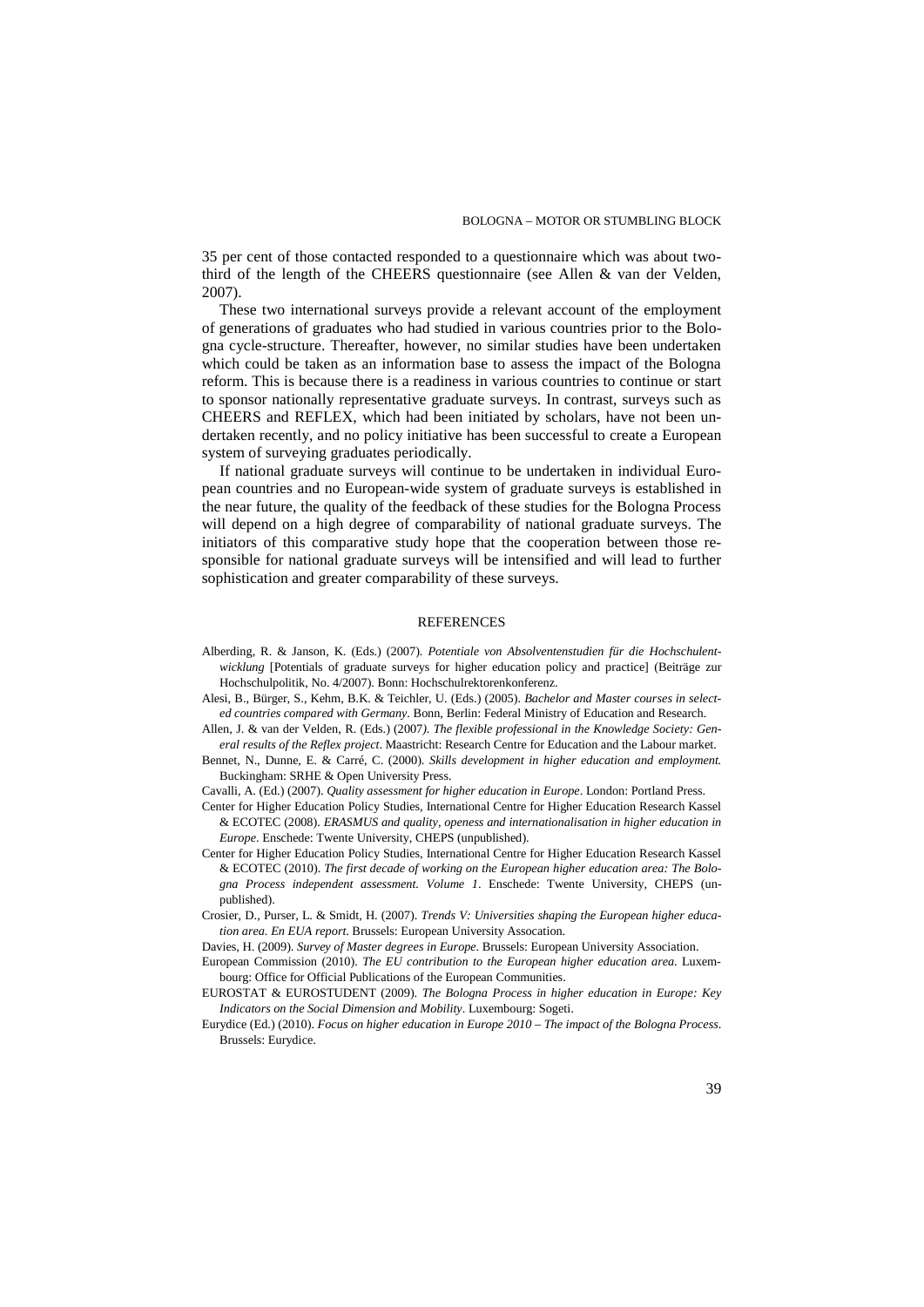35 per cent of those contacted responded to a questionnaire which was about twothird of the length of the CHEERS questionnaire (see Allen & van der Velden, 2007).

These two international surveys provide a relevant account of the employment of generations of graduates who had studied in various countries prior to the Bologna cycle-structure. Thereafter, however, no similar studies have been undertaken which could be taken as an information base to assess the impact of the Bologna reform. This is because there is a readiness in various countries to continue or start to sponsor nationally representative graduate surveys. In contrast, surveys such as CHEERS and REFLEX, which had been initiated by scholars, have not been undertaken recently, and no policy initiative has been successful to create a European system of surveying graduates periodically.

If national graduate surveys will continue to be undertaken in individual European countries and no European-wide system of graduate surveys is established in the near future, the quality of the feedback of these studies for the Bologna Process will depend on a high degree of comparability of national graduate surveys. The initiators of this comparative study hope that the cooperation between those responsible for national graduate surveys will be intensified and will lead to further sophistication and greater comparability of these surveys.

### REFERENCES

- Alberding, R. & Janson, K. (Eds.) (2007). *Potentiale von Absolventenstudien für die Hochschulentwicklung* [Potentials of graduate surveys for higher education policy and practice] (Beiträge zur Hochschulpolitik, No. 4/2007). Bonn: Hochschulrektorenkonferenz.
- Alesi, B., Bürger, S., Kehm, B.K. & Teichler, U. (Eds.) (2005). *Bachelor and Master courses in selected countries compared with Germany*. Bonn, Berlin: Federal Ministry of Education and Research.
- Allen, J. & van der Velden, R. (Eds.) (2007*). The flexible professional in the Knowledge Society: General results of the Reflex project*. Maastricht: Research Centre for Education and the Labour market.
- Bennet, N., Dunne, E. & Carré, C. (2000). *Skills development in higher education and employment.*  Buckingham: SRHE & Open University Press.
- Cavalli, A. (Ed.) (2007). *Quality assessment for higher education in Europe*. London: Portland Press.
- Center for Higher Education Policy Studies, International Centre for Higher Education Research Kassel & ECOTEC (2008). *ERASMUS and quality, openess and internationalisation in higher education in Europe*. Enschede: Twente University, CHEPS (unpublished).
- Center for Higher Education Policy Studies, International Centre for Higher Education Research Kassel & ECOTEC (2010). *The first decade of working on the European higher education area: The Bologna Process independent assessment. Volume 1*. Enschede: Twente University, CHEPS (unpublished).
- Crosier, D., Purser, L. & Smidt, H. (2007). *Trends V: Universities shaping the European higher education area. En EUA report*. Brussels: European University Assocation.
- Davies, H. (2009). *Survey of Master degrees in Europe*. Brussels: European University Association.
- European Commission (2010). *The EU contribution to the European higher education area*. Luxembourg: Office for Official Publications of the European Communities.
- EUROSTAT & EUROSTUDENT (2009). *The Bologna Process in higher education in Europe: Key Indicators on the Social Dimension and Mobility*. Luxembourg: Sogeti.
- Eurydice (Ed.) (2010). *Focus on higher education in Europe 2010 The impact of the Bologna Process*. Brussels: Eurydice.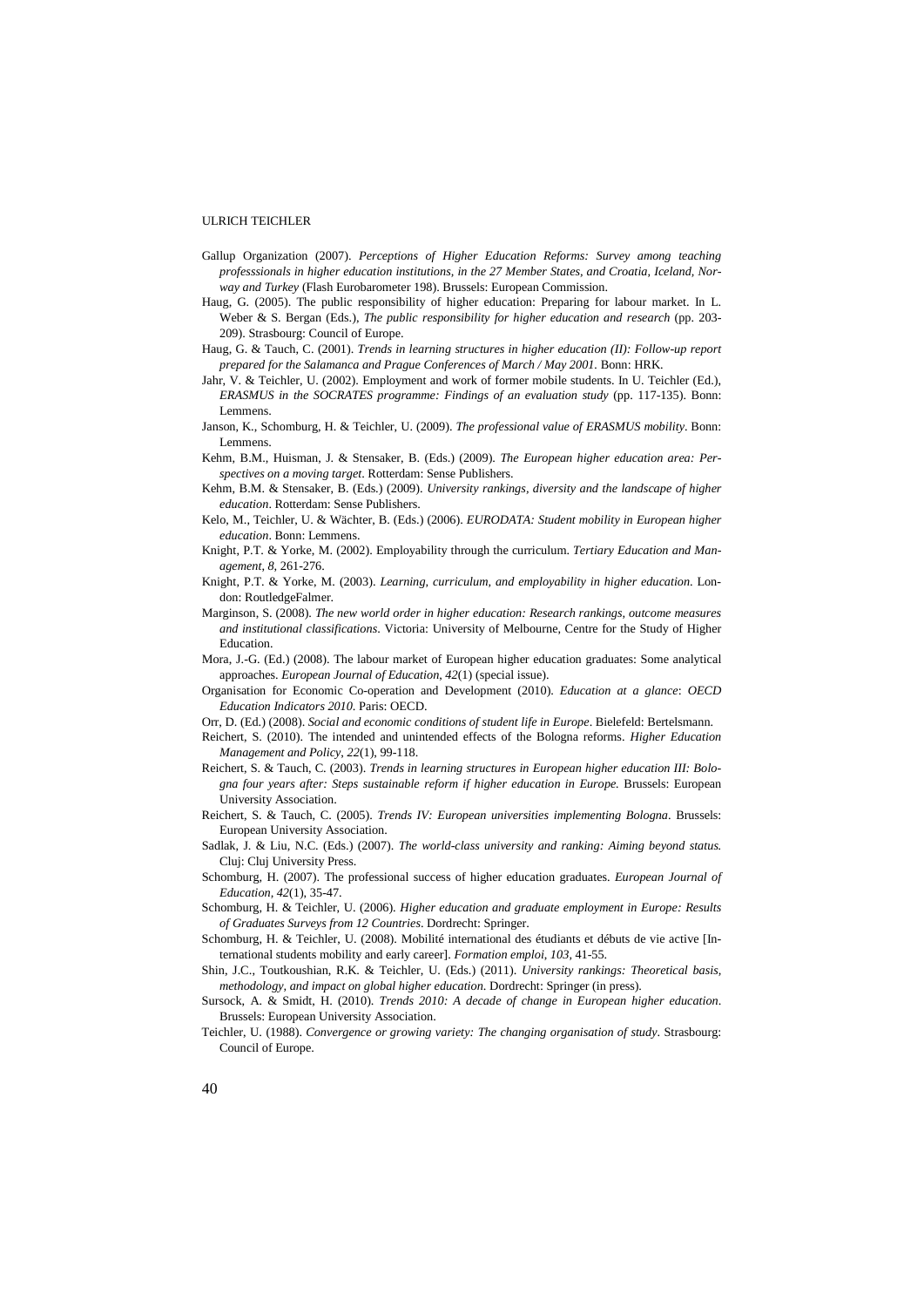#### ULRICH TEICHLER

- Gallup Organization (2007). *Perceptions of Higher Education Reforms: Survey among teaching professsionals in higher education institutions, in the 27 Member States, and Croatia, Iceland, Norway and Turkey* (Flash Eurobarometer 198). Brussels: European Commission.
- Haug, G. (2005). The public responsibility of higher education: Preparing for labour market. In L. Weber & S. Bergan (Eds.), *The public responsibility for higher education and research* (pp. 203- 209). Strasbourg: Council of Europe.
- Haug, G. & Tauch, C. (2001). *Trends in learning structures in higher education (II): Follow-up report prepared for the Salamanca and Prague Conferences of March / May 2001.* Bonn: HRK.
- Jahr, V. & Teichler, U. (2002). Employment and work of former mobile students. In U. Teichler (Ed.), *ERASMUS in the SOCRATES programme: Findings of an evaluation study* (pp. 117-135). Bonn: Lemmens.
- Janson, K., Schomburg, H. & Teichler, U. (2009). *The professional value of ERASMUS mobility*. Bonn: Lemmens.
- Kehm, B.M., Huisman, J. & Stensaker, B. (Eds.) (2009). *The European higher education area: Perspectives on a moving target*. Rotterdam: Sense Publishers.
- Kehm, B.M. & Stensaker, B. (Eds.) (2009). *University rankings, diversity and the landscape of higher education*. Rotterdam: Sense Publishers.
- Kelo, M., Teichler, U. & Wächter, B. (Eds.) (2006). *EURODATA: Student mobility in European higher education*. Bonn: Lemmens.
- Knight, P.T. & Yorke, M. (2002). Employability through the curriculum. *Tertiary Education and Management*, *8*, 261-276.
- Knight, P.T. & Yorke, M. (2003). *Learning, curriculum, and employability in higher education*. London: RoutledgeFalmer.
- Marginson, S. (2008). *The new world order in higher education: Research rankings, outcome measures and institutional classifications*. Victoria: University of Melbourne, Centre for the Study of Higher Education.
- Mora, J.-G. (Ed.) (2008). The labour market of European higher education graduates: Some analytical approaches. *European Journal of Education*, *42*(1) (special issue).
- Organisation for Economic Co-operation and Development (2010). *Education at a glance*: *OECD Education Indicators 2010*. Paris: OECD.
- Orr, D. (Ed.) (2008). *Social and economic conditions of student life in Europe*. Bielefeld: Bertelsmann.
- Reichert, S. (2010). The intended and unintended effects of the Bologna reforms. *Higher Education Management and Policy*, *22*(1), 99-118.
- Reichert, S. & Tauch, C. (2003). *Trends in learning structures in European higher education III: Bologna four years after: Steps sustainable reform if higher education in Europe.* Brussels: European University Association.
- Reichert, S. & Tauch, C. (2005). *Trends IV: European universities implementing Bologna*. Brussels: European University Association.
- Sadlak, J. & Liu, N.C. (Eds.) (2007). *The world-class university and ranking: Aiming beyond status.* Cluj: Cluj University Press.
- Schomburg, H. (2007). The professional success of higher education graduates. *European Journal of Education, 42*(1), 35-47.
- Schomburg, H. & Teichler, U. (2006). *Higher education and graduate employment in Europe: Results of Graduates Surveys from 12 Countries*. Dordrecht: Springer.
- Schomburg, H. & Teichler, U. (2008). Mobilité international des étudiants et débuts de vie active [International students mobility and early career]. *Formation emploi*, *103,* 41-55.
- Shin, J.C., Toutkoushian, R.K. & Teichler, U. (Eds.) (2011). *University rankings: Theoretical basis, methodology, and impact on global higher education*. Dordrecht: Springer (in press).
- Sursock, A. & Smidt, H. (2010). *Trends 2010: A decade of change in European higher education*. Brussels: European University Association.
- Teichler, U. (1988). *Convergence or growing variety: The changing organisation of study*. Strasbourg: Council of Europe.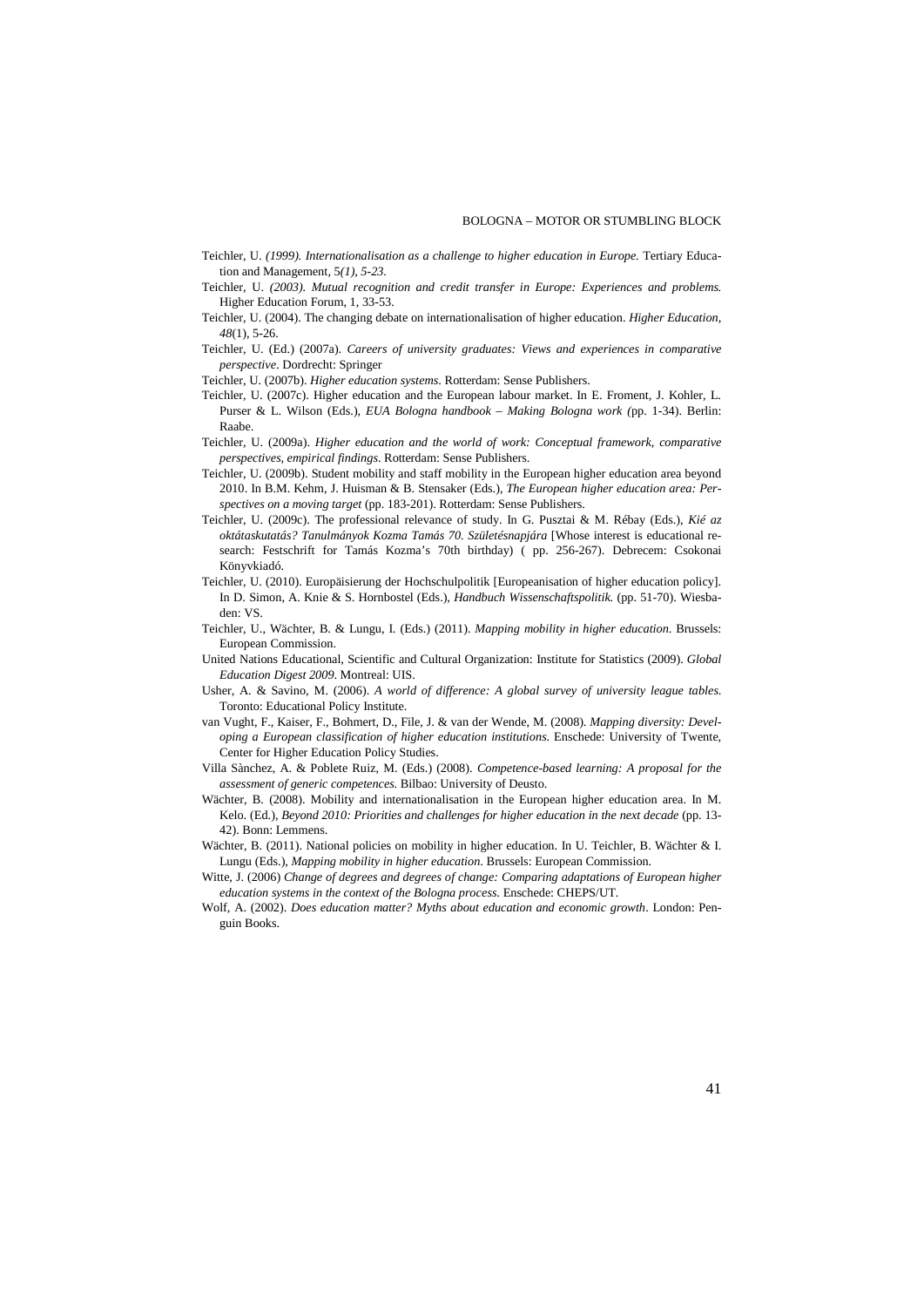- Teichler, U. *(1999). Internationalisation as a challenge to higher education in Europe.* Tertiary Education and Management*,* 5*(1), 5-23.*
- Teichler, U. *(2003). Mutual recognition and credit transfer in Europe: Experiences and problems.*  Higher Education Forum, 1, 33-53.
- Teichler, U. (2004). The changing debate on internationalisation of higher education. *Higher Education*, *48*(1), 5-26.
- Teichler, U. (Ed.) (2007a). *Careers of university graduates: Views and experiences in comparative perspective*. Dordrecht: Springer
- Teichler, U. (2007b). *Higher education systems*. Rotterdam: Sense Publishers.
- Teichler, U. (2007c). Higher education and the European labour market. In E. Froment, J. Kohler, L. Purser & L. Wilson (Eds.), *EUA Bologna handbook – Making Bologna work (*pp. 1-34). Berlin: Raabe.
- Teichler, U. (2009a). *Higher education and the world of work: Conceptual framework, comparative perspectives, empirical findings*. Rotterdam: Sense Publishers.
- Teichler, U. (2009b). Student mobility and staff mobility in the European higher education area beyond 2010. In B.M. Kehm, J. Huisman & B. Stensaker (Eds.), *The European higher education area: Perspectives on a moving target* (pp. 183-201). Rotterdam: Sense Publishers.
- Teichler, U. (2009c). The professional relevance of study. In G. Pusztai & M. Rébay (Eds.), *Kié az oktátaskutatás? Tanulmányok Kozma Tamás 70. Születésnapjára* [Whose interest is educational research: Festschrift for Tamás Kozma's 70th birthday) ( pp. 256-267). Debrecem: Csokonai Könyvkiadó.
- Teichler, U. (2010). Europäisierung der Hochschulpolitik [Europeanisation of higher education policy]. In D. Simon, A. Knie & S. Hornbostel (Eds.), *Handbuch Wissenschaftspolitik.* (pp. 51-70). Wiesbaden: VS.
- Teichler, U., Wächter, B. & Lungu, I. (Eds.) (2011). *Mapping mobility in higher education*. Brussels: European Commission.
- United Nations Educational, Scientific and Cultural Organization: Institute for Statistics (2009). *Global Education Digest 2009*. Montreal: UIS.
- Usher, A. & Savino, M. (2006). *A world of difference: A global survey of university league tables*. Toronto: Educational Policy Institute.
- van Vught, F., Kaiser, F., Bohmert, D., File, J. & van der Wende, M. (2008). *Mapping diversity: Developing a European classification of higher education institutions*. Enschede: University of Twente, Center for Higher Education Policy Studies.
- Villa Sànchez, A. & Poblete Ruiz, M. (Eds.) (2008). *Competence-based learning: A proposal for the assessment of generic competences.* Bilbao: University of Deusto.
- Wächter, B. (2008). Mobility and internationalisation in the European higher education area. In M. Kelo. (Ed.), *Beyond 2010: Priorities and challenges for higher education in the next decade* (pp. 13- 42). Bonn: Lemmens.
- Wächter, B. (2011). National policies on mobility in higher education. In U. Teichler, B. Wächter & I. Lungu (Eds.), *Mapping mobility in higher education*. Brussels: European Commission.
- Witte, J. (2006) *Change of degrees and degrees of change: Comparing adaptations of European higher education systems in the context of the Bologna process*. Enschede: CHEPS/UT.
- Wolf, A. (2002). *Does education matter? Myths about education and economic growth*. London: Penguin Books.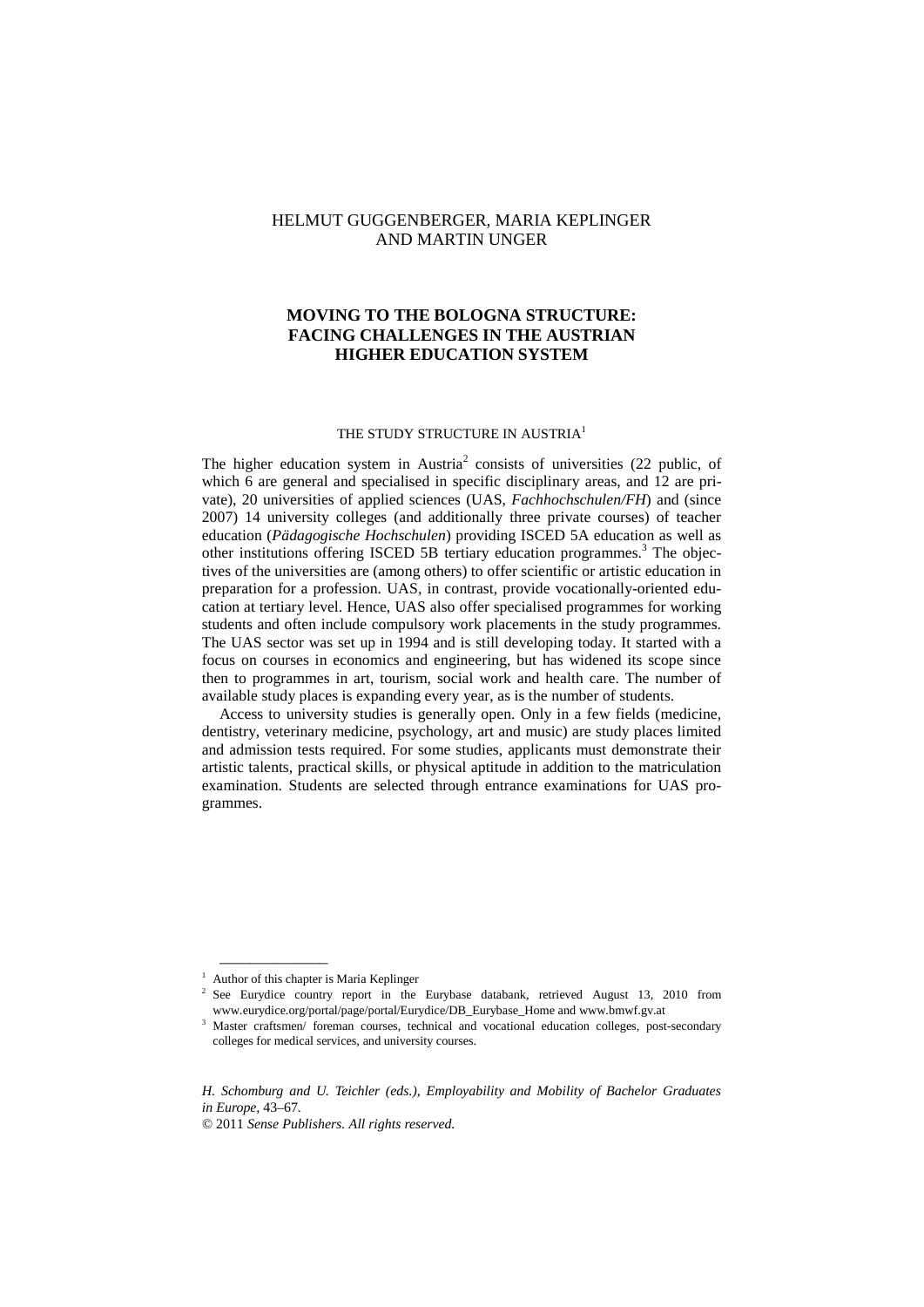# HELMUT GUGGENBERGER, MARIA KEPLINGER AND MARTIN UNGER

# **MOVING TO THE BOLOGNA STRUCTURE: FACING CHALLENGES IN THE AUSTRIAN HIGHER EDUCATION SYSTEM**

## THE STUDY STRUCTURE IN AUSTRIA<sup>1</sup>

The higher education system in Austria<sup>2</sup> consists of universities  $(22 \text{ public}, \text{ of})$ which 6 are general and specialised in specific disciplinary areas, and 12 are private), 20 universities of applied sciences (UAS, *Fachhochschulen/FH*) and (since 2007) 14 university colleges (and additionally three private courses) of teacher education (*Pädagogische Hochschulen*) providing ISCED 5A education as well as other institutions offering ISCED 5B tertiary education programmes.<sup>3</sup> The objectives of the universities are (among others) to offer scientific or artistic education in preparation for a profession. UAS, in contrast, provide vocationally-oriented education at tertiary level. Hence, UAS also offer specialised programmes for working students and often include compulsory work placements in the study programmes. The UAS sector was set up in 1994 and is still developing today. It started with a focus on courses in economics and engineering, but has widened its scope since then to programmes in art, tourism, social work and health care. The number of available study places is expanding every year, as is the number of students.

Access to university studies is generally open. Only in a few fields (medicine, dentistry, veterinary medicine, psychology, art and music) are study places limited and admission tests required. For some studies, applicants must demonstrate their artistic talents, practical skills, or physical aptitude in addition to the matriculation examination. Students are selected through entrance examinations for UAS programmes.

 *H. Schomburg and U. Teichler (eds.), Employability and Mobility of Bachelor Graduates in Europe,* 43–67*. ©* 2011 *Sense Publishers. All rights reserved.*

<sup>–––––––––––––– 1</sup> Author of this chapter is Maria Keplinger

<sup>&</sup>lt;sup>2</sup> See Eurydice country report in the Eurybase databank, retrieved August 13, 2010 from www.eurydice.org/portal/page/portal/Eurydice/DB\_Eurybase\_Home and www.bmwf.gv.at 3

<sup>&</sup>lt;sup>3</sup> Master craftsmen/ foreman courses, technical and vocational education colleges, post-secondary colleges for medical services, and university courses.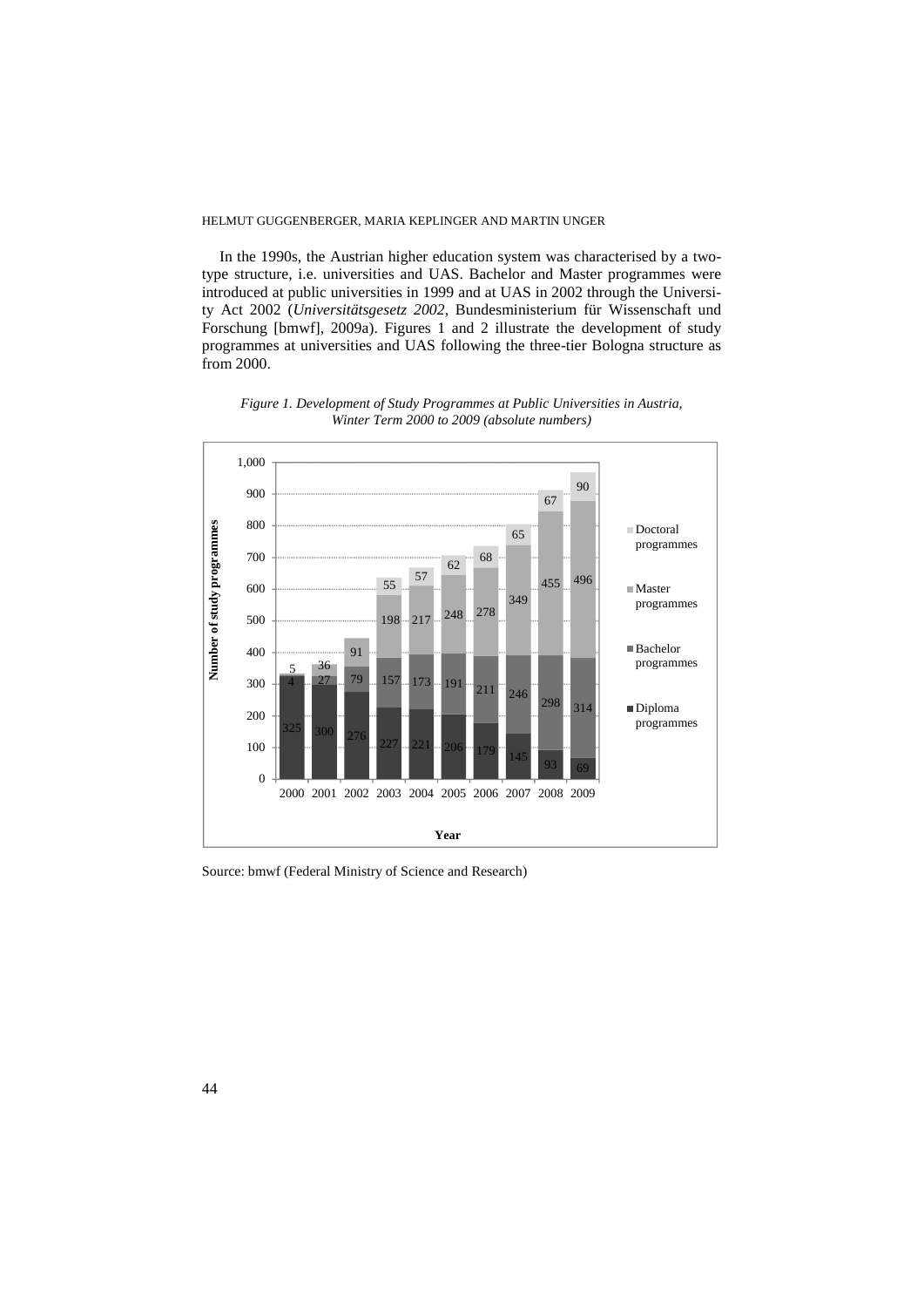### HELMUT GUGGENBERGER, MARIA KEPLINGER AND MARTIN UNGER

In the 1990s, the Austrian higher education system was characterised by a twotype structure, i.e. universities and UAS. Bachelor and Master programmes were introduced at public universities in 1999 and at UAS in 2002 through the University Act 2002 (*Universitätsgesetz 2002,* Bundesministerium für Wissenschaft und Forschung [bmwf], 2009a). Figures 1 and 2 illustrate the development of study programmes at universities and UAS following the three-tier Bologna structure as from 2000.



*Figure 1. Development of Study Programmes at Public Universities in Austria, Winter Term 2000 to 2009 (absolute numbers)* 

Source: bmwf (Federal Ministry of Science and Research)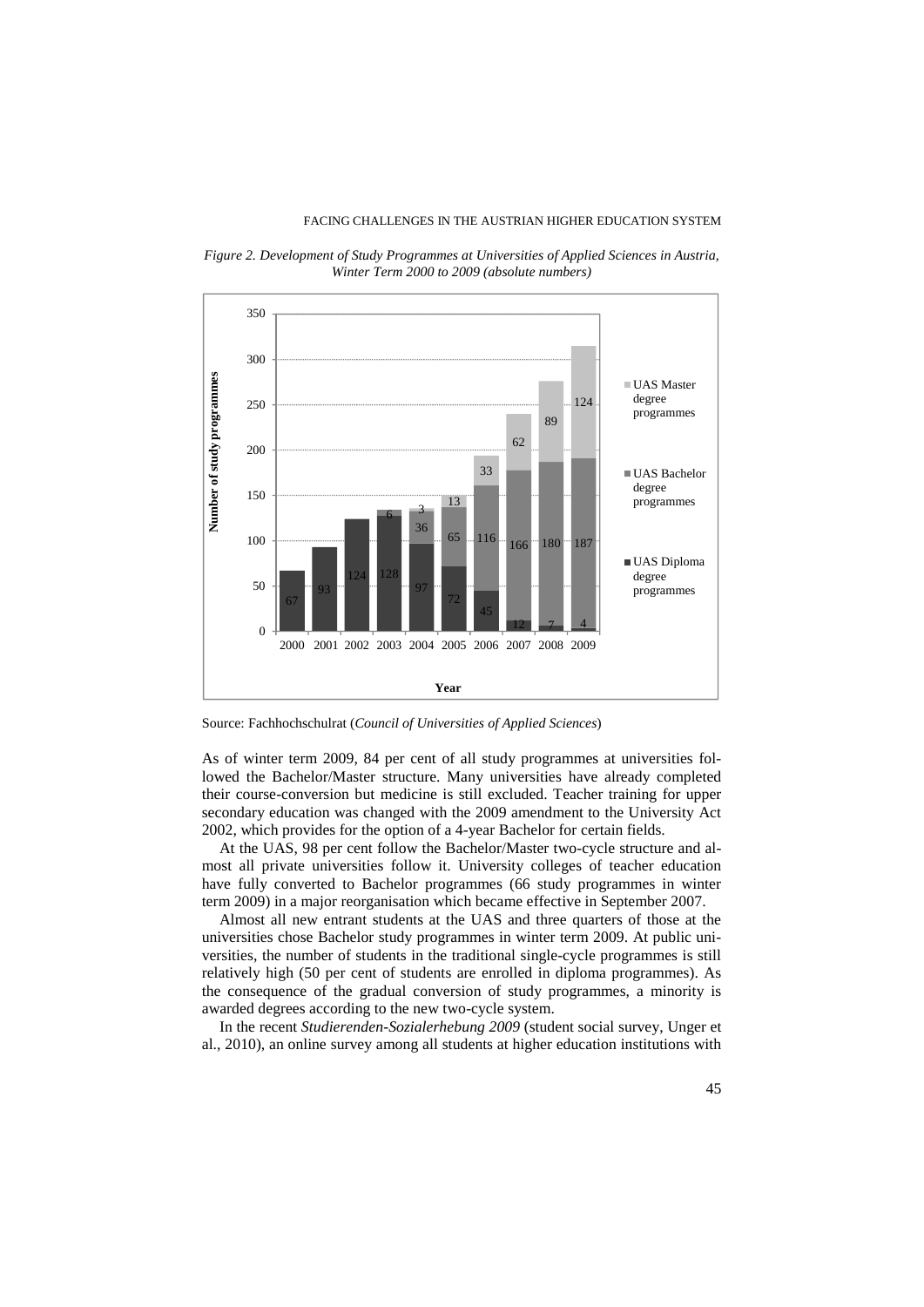

*Figure 2. Development of Study Programmes at Universities of Applied Sciences in Austria, Winter Term 2000 to 2009 (absolute numbers)* 

Source: Fachhochschulrat (*Council of Universities of Applied Sciences*)

As of winter term 2009, 84 per cent of all study programmes at universities followed the Bachelor/Master structure. Many universities have already completed their course-conversion but medicine is still excluded. Teacher training for upper secondary education was changed with the 2009 amendment to the University Act 2002, which provides for the option of a 4-year Bachelor for certain fields.

At the UAS, 98 per cent follow the Bachelor/Master two-cycle structure and almost all private universities follow it. University colleges of teacher education have fully converted to Bachelor programmes (66 study programmes in winter term 2009) in a major reorganisation which became effective in September 2007.

Almost all new entrant students at the UAS and three quarters of those at the universities chose Bachelor study programmes in winter term 2009. At public universities, the number of students in the traditional single-cycle programmes is still relatively high (50 per cent of students are enrolled in diploma programmes). As the consequence of the gradual conversion of study programmes, a minority is awarded degrees according to the new two-cycle system.

In the recent *Studierenden-Sozialerhebung 2009* (student social survey, Unger et al., 2010), an online survey among all students at higher education institutions with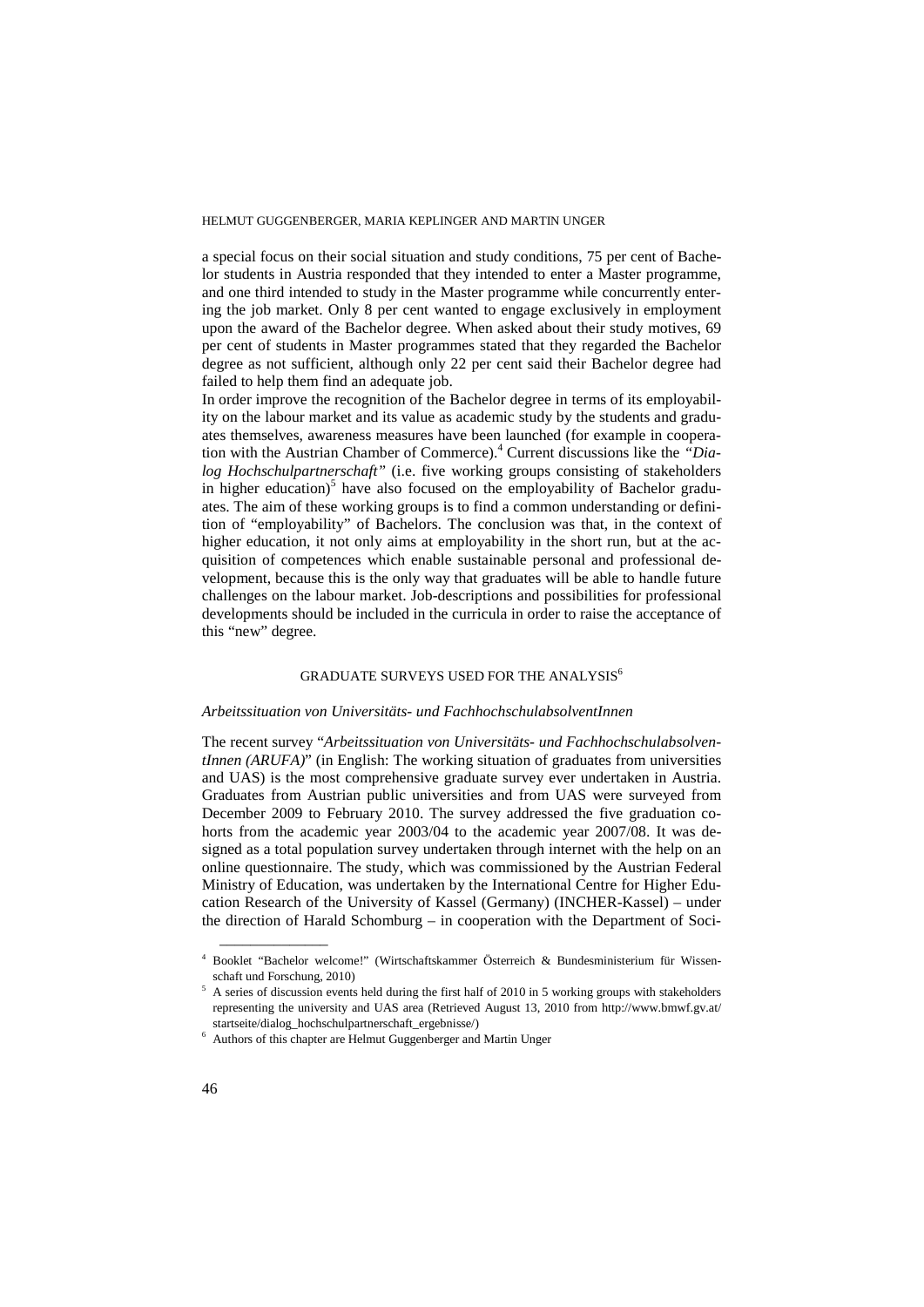a special focus on their social situation and study conditions, 75 per cent of Bachelor students in Austria responded that they intended to enter a Master programme, and one third intended to study in the Master programme while concurrently entering the job market. Only 8 per cent wanted to engage exclusively in employment upon the award of the Bachelor degree. When asked about their study motives, 69 per cent of students in Master programmes stated that they regarded the Bachelor degree as not sufficient, although only 22 per cent said their Bachelor degree had failed to help them find an adequate job.

In order improve the recognition of the Bachelor degree in terms of its employability on the labour market and its value as academic study by the students and graduates themselves, awareness measures have been launched (for example in cooperation with the Austrian Chamber of Commerce).<sup>4</sup> Current discussions like the *"Dialog Hochschulpartnerschaft"* (i.e. five working groups consisting of stakeholders in higher education)<sup>5</sup> have also focused on the employability of Bachelor graduates. The aim of these working groups is to find a common understanding or definition of "employability" of Bachelors. The conclusion was that, in the context of higher education, it not only aims at employability in the short run, but at the acquisition of competences which enable sustainable personal and professional development, because this is the only way that graduates will be able to handle future challenges on the labour market. Job-descriptions and possibilities for professional developments should be included in the curricula in order to raise the acceptance of this "new" degree.

# GRADUATE SURVEYS USED FOR THE ANALYSIS<sup>6</sup>

### *Arbeitssituation von Universitäts- und FachhochschulabsolventInnen*

The recent survey "*Arbeitssituation von Universitäts- und FachhochschulabsolventInnen (ARUFA)*" (in English: The working situation of graduates from universities and UAS) is the most comprehensive graduate survey ever undertaken in Austria. Graduates from Austrian public universities and from UAS were surveyed from December 2009 to February 2010. The survey addressed the five graduation cohorts from the academic year 2003/04 to the academic year 2007/08. It was designed as a total population survey undertaken through internet with the help on an online questionnaire. The study, which was commissioned by the Austrian Federal Ministry of Education, was undertaken by the International Centre for Higher Education Research of the University of Kassel (Germany) (INCHER-Kassel) – under the direction of Harald Schomburg *–* in cooperation with the Department of Soci-

<sup>–––––––––––––– 4</sup> Booklet "Bachelor welcome!" (Wirtschaftskammer Österreich & Bundesministerium für Wissenschaft und Forschung, 2010)

<sup>&</sup>lt;sup>5</sup> A series of discussion events held during the first half of 2010 in 5 working groups with stakeholders representing the university and UAS area (Retrieved August 13, 2010 from http://www.bmwf.gv.at/ startseite/dialog\_hochschulpartnerschaft\_ergebnisse/) 6

Authors of this chapter are Helmut Guggenberger and Martin Unger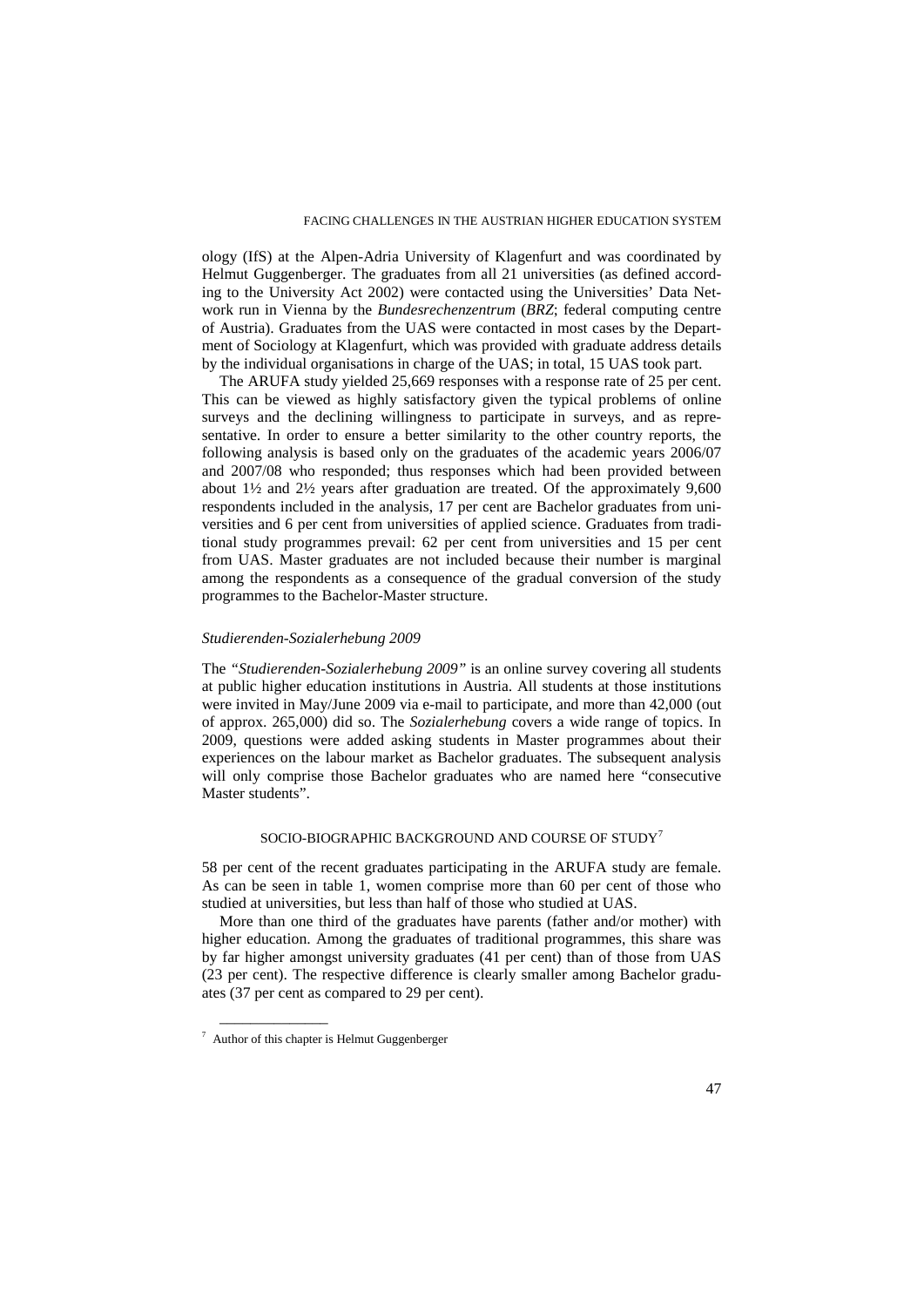ology (IfS) at the Alpen-Adria University of Klagenfurt and was coordinated by Helmut Guggenberger. The graduates from all 21 universities (as defined according to the University Act 2002) were contacted using the Universities' Data Network run in Vienna by the *Bundesrechenzentrum* (*BRZ*; federal computing centre of Austria). Graduates from the UAS were contacted in most cases by the Department of Sociology at Klagenfurt, which was provided with graduate address details by the individual organisations in charge of the UAS; in total, 15 UAS took part.

The ARUFA study yielded 25,669 responses with a response rate of 25 per cent. This can be viewed as highly satisfactory given the typical problems of online surveys and the declining willingness to participate in surveys, and as representative. In order to ensure a better similarity to the other country reports, the following analysis is based only on the graduates of the academic years 2006/07 and 2007/08 who responded; thus responses which had been provided between about  $1\frac{1}{2}$  and  $2\frac{1}{2}$  years after graduation are treated. Of the approximately 9,600 respondents included in the analysis, 17 per cent are Bachelor graduates from universities and 6 per cent from universities of applied science. Graduates from traditional study programmes prevail: 62 per cent from universities and 15 per cent from UAS. Master graduates are not included because their number is marginal among the respondents as a consequence of the gradual conversion of the study programmes to the Bachelor-Master structure.

## *Studierenden-Sozialerhebung 2009*

The *"Studierenden-Sozialerhebung 2009"* is an online survey covering all students at public higher education institutions in Austria. All students at those institutions were invited in May/June 2009 via e-mail to participate, and more than 42,000 (out of approx. 265,000) did so. The *Sozialerhebung* covers a wide range of topics. In 2009, questions were added asking students in Master programmes about their experiences on the labour market as Bachelor graduates. The subsequent analysis will only comprise those Bachelor graduates who are named here "consecutive Master students".

# SOCIO-BIOGRAPHIC BACKGROUND AND COURSE OF STUDY<sup>7</sup>

58 per cent of the recent graduates participating in the ARUFA study are female. As can be seen in table 1, women comprise more than 60 per cent of those who studied at universities, but less than half of those who studied at UAS.

More than one third of the graduates have parents (father and/or mother) with higher education. Among the graduates of traditional programmes, this share was by far higher amongst university graduates (41 per cent) than of those from UAS (23 per cent). The respective difference is clearly smaller among Bachelor graduates (37 per cent as compared to 29 per cent).

<sup>&</sup>lt;sup>7</sup> Author of this chapter is Helmut Guggenberger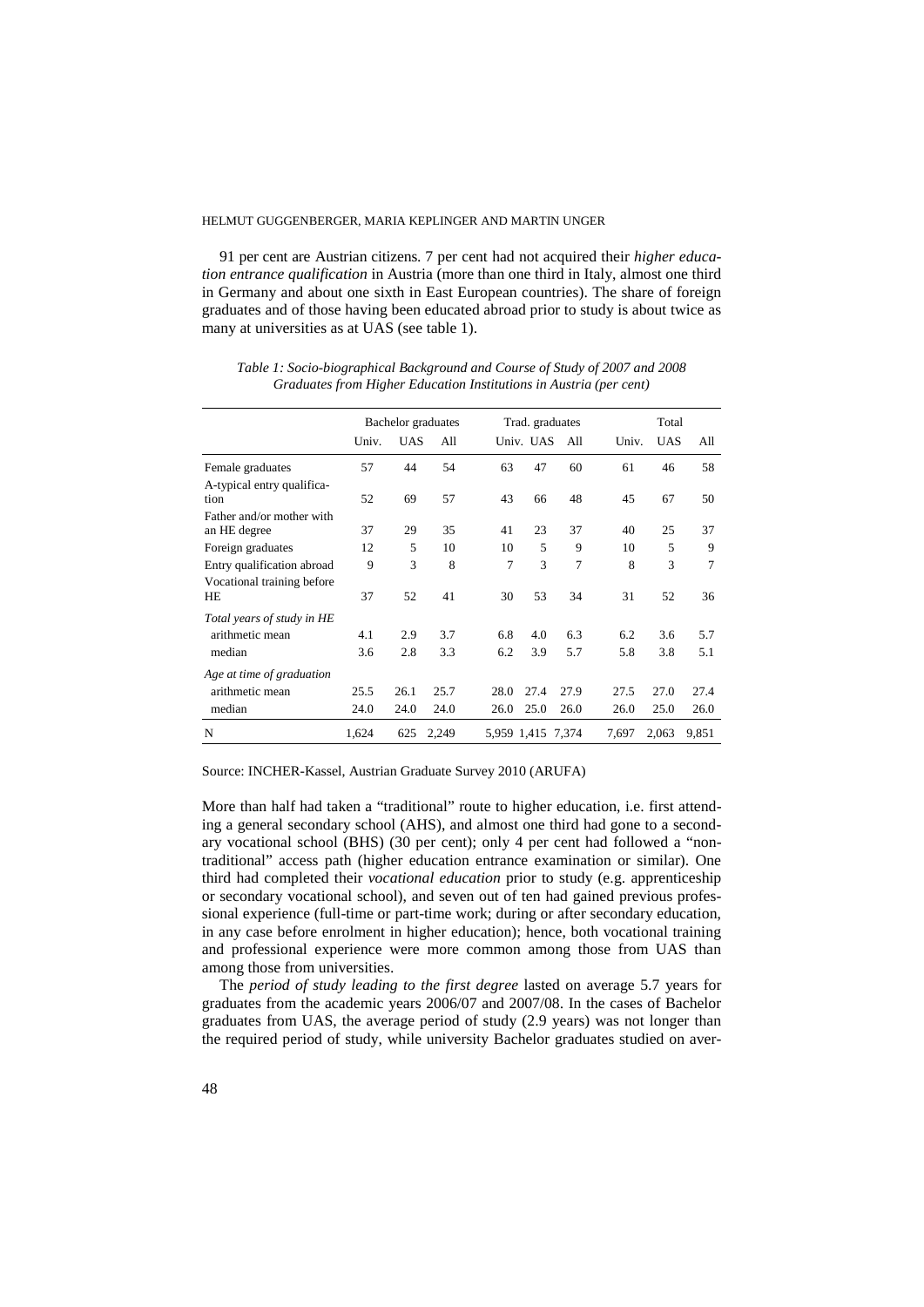### HELMUT GUGGENBERGER, MARIA KEPLINGER AND MARTIN UNGER

91 per cent are Austrian citizens. 7 per cent had not acquired their *higher education entrance qualification* in Austria (more than one third in Italy, almost one third in Germany and about one sixth in East European countries). The share of foreign graduates and of those having been educated abroad prior to study is about twice as many at universities as at UAS (see table 1).

|                                           | Bachelor graduates |            |       |                | Trad. graduates |                   |       | Total      |       |  |
|-------------------------------------------|--------------------|------------|-------|----------------|-----------------|-------------------|-------|------------|-------|--|
|                                           | Univ.              | <b>UAS</b> | All   |                | Univ. UAS       | All               | Univ. | <b>UAS</b> | All   |  |
| Female graduates                          | 57                 | 44         | 54    | 63             | 47              | 60                | 61    | 46         | 58    |  |
| A-typical entry qualifica-<br>tion        | 52                 | 69         | 57    | 43             | 66              | 48                | 45    | 67         | 50    |  |
| Father and/or mother with<br>an HE degree | 37                 | 29         | 35    | 41             | 23              | 37                | 40    | 25         | 37    |  |
| Foreign graduates                         | 12                 | 5          | 10    | 10             | 5               | 9                 | 10    | 5          | 9     |  |
| Entry qualification abroad                | 9                  | 3          | 8     | $\overline{7}$ | 3               | 7                 | 8     | 3          | 7     |  |
| Vocational training before<br>HE          | 37                 | 52         | 41    | 30             | 53              | 34                | 31    | 52         | 36    |  |
| Total years of study in HE                |                    |            |       |                |                 |                   |       |            |       |  |
| arithmetic mean                           | 4.1                | 2.9        | 3.7   | 6.8            | 4.0             | 6.3               | 6.2   | 3.6        | 5.7   |  |
| median                                    | 3.6                | 2.8        | 3.3   | 6.2            | 3.9             | 5.7               | 5.8   | 3.8        | 5.1   |  |
| Age at time of graduation                 |                    |            |       |                |                 |                   |       |            |       |  |
| arithmetic mean                           | 25.5               | 26.1       | 25.7  | 28.0           | 27.4            | 27.9              | 27.5  | 27.0       | 27.4  |  |
| median                                    | 24.0               | 24.0       | 24.0  | 26.0           | 25.0            | 26.0              | 26.0  | 25.0       | 26.0  |  |
| N                                         | 1,624              | 625        | 2,249 |                |                 | 5,959 1,415 7,374 | 7.697 | 2,063      | 9,851 |  |

*Table 1: Socio-biographical Background and Course of Study of 2007 and 2008 Graduates from Higher Education Institutions in Austria (per cent)* 

Source: INCHER-Kassel, Austrian Graduate Survey 2010 (ARUFA)

More than half had taken a "traditional" route to higher education, i.e. first attending a general secondary school (AHS), and almost one third had gone to a secondary vocational school (BHS) (30 per cent); only 4 per cent had followed a "nontraditional" access path (higher education entrance examination or similar). One third had completed their *vocational education* prior to study (e.g. apprenticeship or secondary vocational school), and seven out of ten had gained previous professional experience (full-time or part-time work; during or after secondary education, in any case before enrolment in higher education); hence, both vocational training and professional experience were more common among those from UAS than among those from universities.

The *period of study leading to the first degree* lasted on average 5.7 years for graduates from the academic years 2006/07 and 2007/08. In the cases of Bachelor graduates from UAS, the average period of study (2.9 years) was not longer than the required period of study, while university Bachelor graduates studied on aver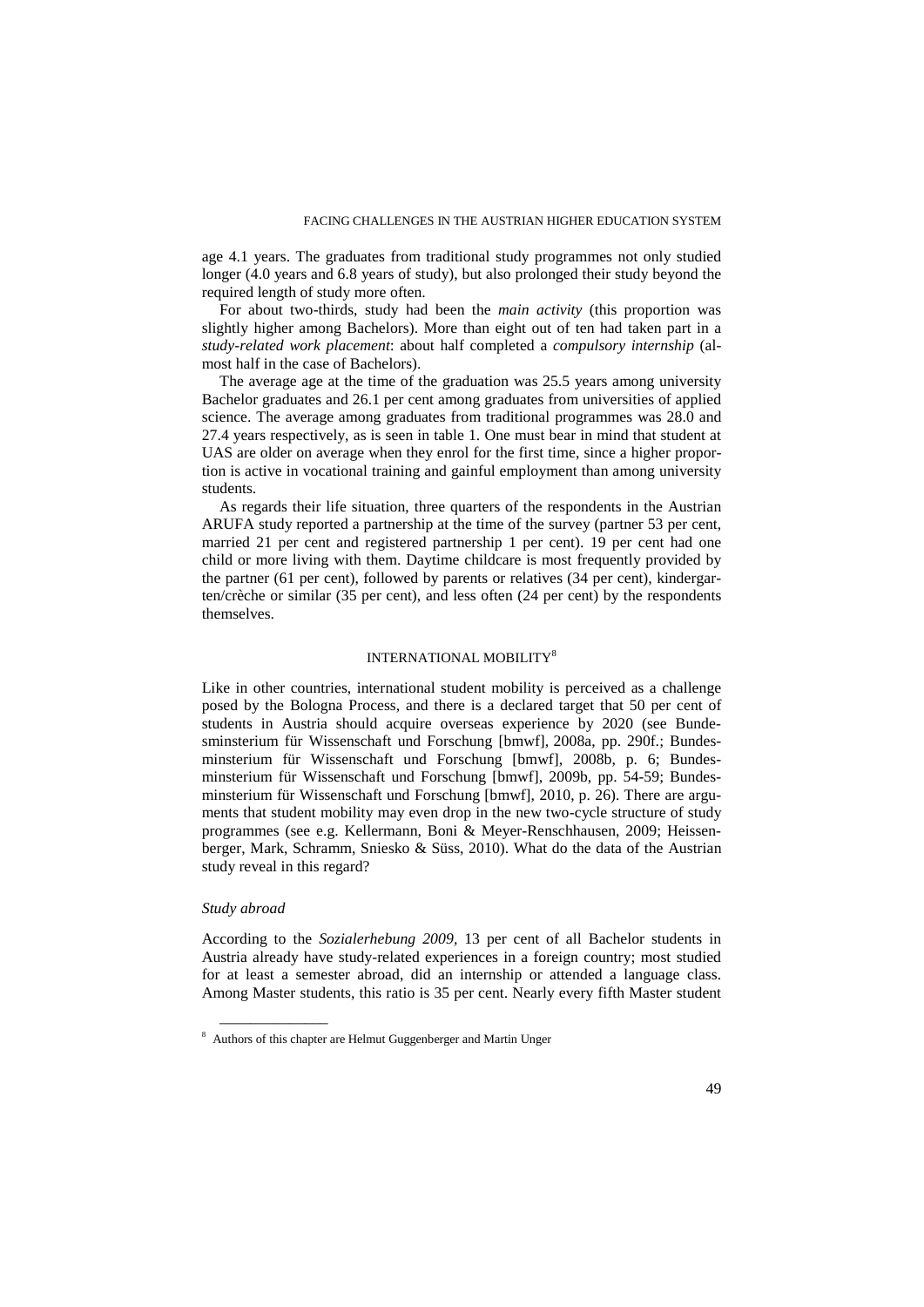age 4.1 years. The graduates from traditional study programmes not only studied longer (4.0 years and 6.8 years of study), but also prolonged their study beyond the required length of study more often.

For about two-thirds, study had been the *main activity* (this proportion was slightly higher among Bachelors). More than eight out of ten had taken part in a *study-related work placement*: about half completed a *compulsory internship* (almost half in the case of Bachelors).

The average age at the time of the graduation was 25.5 years among university Bachelor graduates and 26.1 per cent among graduates from universities of applied science. The average among graduates from traditional programmes was 28.0 and 27.4 years respectively, as is seen in table 1. One must bear in mind that student at UAS are older on average when they enrol for the first time, since a higher proportion is active in vocational training and gainful employment than among university students.

As regards their life situation, three quarters of the respondents in the Austrian ARUFA study reported a partnership at the time of the survey (partner 53 per cent, married 21 per cent and registered partnership 1 per cent). 19 per cent had one child or more living with them. Daytime childcare is most frequently provided by the partner (61 per cent), followed by parents or relatives (34 per cent), kindergarten/crèche or similar (35 per cent), and less often (24 per cent) by the respondents themselves.

# INTERNATIONAL MOBILITY<sup>8</sup>

Like in other countries, international student mobility is perceived as a challenge posed by the Bologna Process, and there is a declared target that 50 per cent of students in Austria should acquire overseas experience by 2020 (see Bundesminsterium für Wissenschaft und Forschung [bmwf], 2008a, pp. 290f.; Bundesminsterium für Wissenschaft und Forschung [bmwf], 2008b, p. 6; Bundesminsterium für Wissenschaft und Forschung [bmwf], 2009b, pp. 54-59; Bundesminsterium für Wissenschaft und Forschung [bmwf], 2010, p. 26). There are arguments that student mobility may even drop in the new two-cycle structure of study programmes (see e.g. Kellermann, Boni & Meyer-Renschhausen, 2009; Heissenberger, Mark, Schramm, Sniesko & Süss, 2010). What do the data of the Austrian study reveal in this regard?

### *Study abroad*

According to the *Sozialerhebung 2009,* 13 per cent of all Bachelor students in Austria already have study-related experiences in a foreign country; most studied for at least a semester abroad, did an internship or attended a language class. Among Master students, this ratio is 35 per cent. Nearly every fifth Master student

<sup>&</sup>lt;sup>8</sup> Authors of this chapter are Helmut Guggenberger and Martin Unger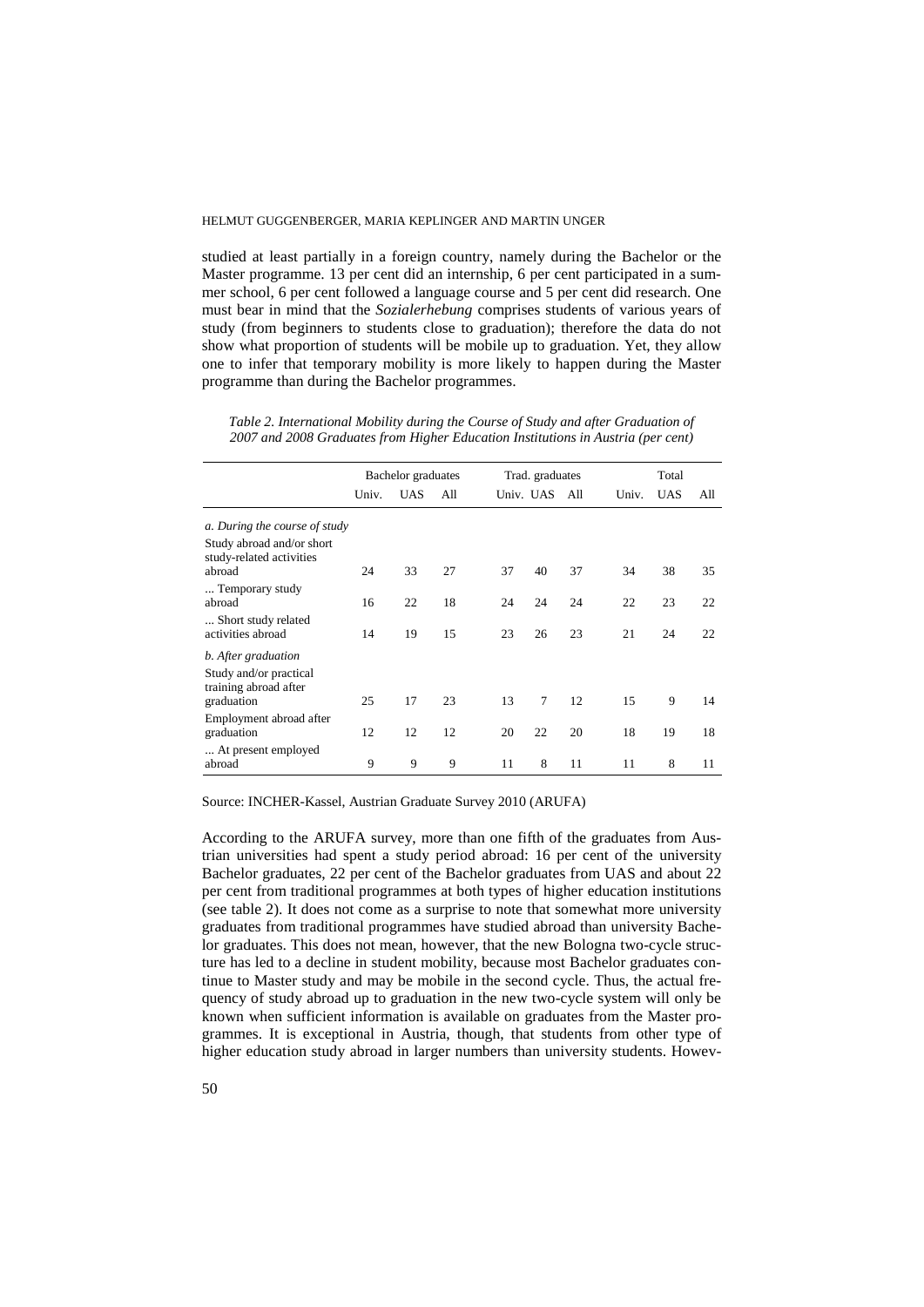studied at least partially in a foreign country, namely during the Bachelor or the Master programme. 13 per cent did an internship, 6 per cent participated in a summer school, 6 per cent followed a language course and 5 per cent did research. One must bear in mind that the *Sozialerhebung* comprises students of various years of study (from beginners to students close to graduation); therefore the data do not show what proportion of students will be mobile up to graduation. Yet, they allow one to infer that temporary mobility is more likely to happen during the Master programme than during the Bachelor programmes.

|                                                       | Bachelor graduates |            |     | Trad. graduates |           | Total |       |            |     |
|-------------------------------------------------------|--------------------|------------|-----|-----------------|-----------|-------|-------|------------|-----|
|                                                       | Univ.              | <b>UAS</b> | All |                 | Univ. UAS | All   | Univ. | <b>UAS</b> | All |
| a. During the course of study                         |                    |            |     |                 |           |       |       |            |     |
| Study abroad and/or short<br>study-related activities |                    |            |     |                 |           |       |       |            |     |
| abroad                                                | 24                 | 33         | 27  | 37              | 40        | 37    | 34    | 38         | 35  |
| Temporary study<br>abroad                             | 16                 | 22         | 18  | 24              | 24        | 24    | 22    | 23         | 22  |
| Short study related<br>activities abroad              | 14                 | 19         | 15  | 23              | 26        | 23    | 21    | 24         | 22  |
| b. After graduation                                   |                    |            |     |                 |           |       |       |            |     |
| Study and/or practical<br>training abroad after       |                    |            |     |                 |           |       |       |            |     |
| graduation                                            | 25                 | 17         | 23  | 13              | 7         | 12    | 15    | 9          | 14  |
| Employment abroad after                               |                    |            |     |                 |           |       |       |            |     |
| graduation                                            | 12                 | 12         | 12  | 20              | 22        | 20    | 18    | 19         | 18  |
| At present employed                                   |                    |            |     |                 |           |       |       |            |     |
| abroad                                                | 9                  | 9          | 9   | 11              | 8         | 11    | 11    | 8          | 11  |

*Table 2. International Mobility during the Course of Study and after Graduation of 2007 and 2008 Graduates from Higher Education Institutions in Austria (per cent)* 

Source: INCHER-Kassel, Austrian Graduate Survey 2010 (ARUFA)

According to the ARUFA survey, more than one fifth of the graduates from Austrian universities had spent a study period abroad: 16 per cent of the university Bachelor graduates, 22 per cent of the Bachelor graduates from UAS and about 22 per cent from traditional programmes at both types of higher education institutions (see table 2). It does not come as a surprise to note that somewhat more university graduates from traditional programmes have studied abroad than university Bachelor graduates. This does not mean, however, that the new Bologna two-cycle structure has led to a decline in student mobility, because most Bachelor graduates continue to Master study and may be mobile in the second cycle. Thus, the actual frequency of study abroad up to graduation in the new two-cycle system will only be known when sufficient information is available on graduates from the Master programmes. It is exceptional in Austria, though, that students from other type of higher education study abroad in larger numbers than university students. Howev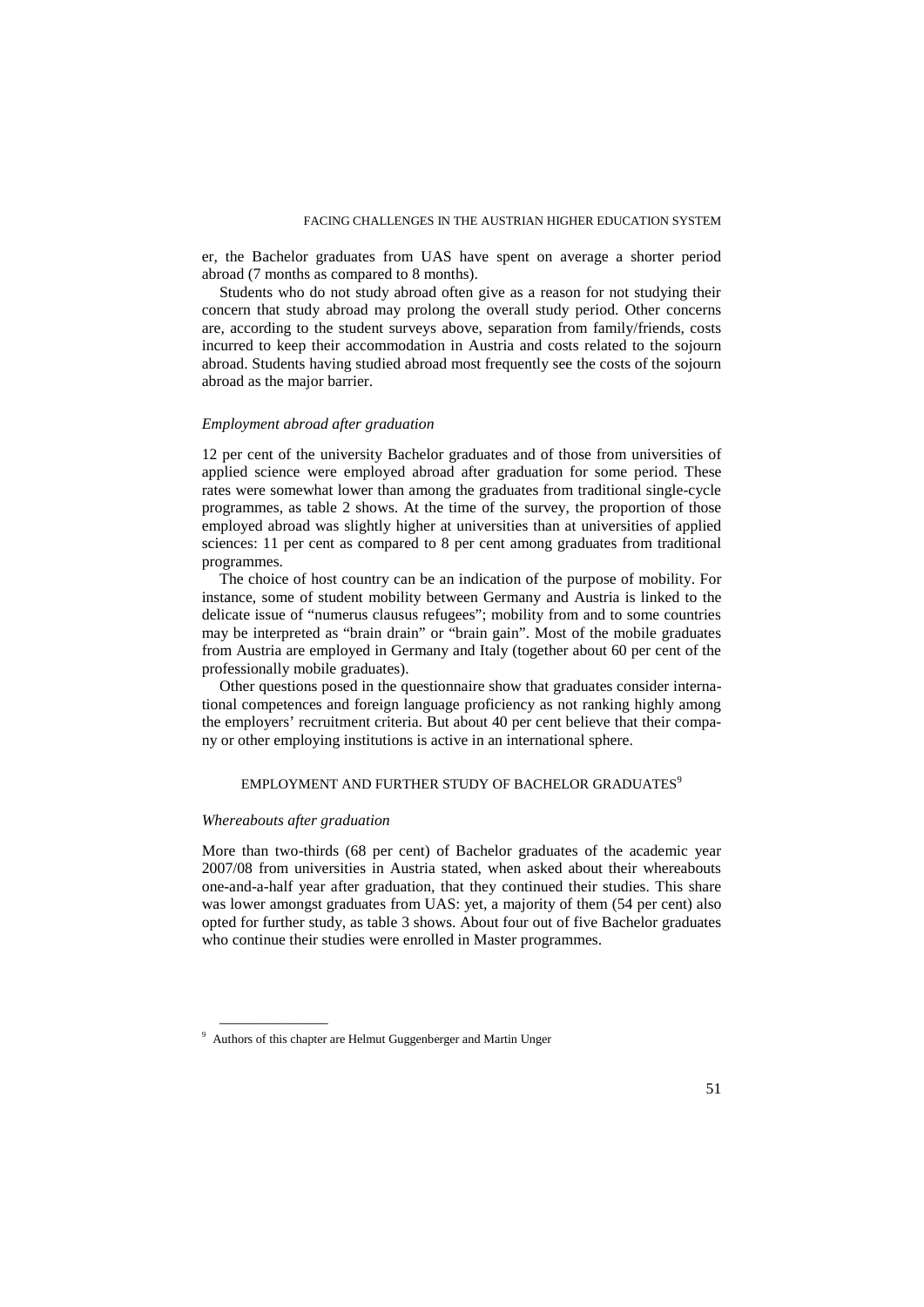er, the Bachelor graduates from UAS have spent on average a shorter period abroad (7 months as compared to 8 months).

Students who do not study abroad often give as a reason for not studying their concern that study abroad may prolong the overall study period. Other concerns are, according to the student surveys above, separation from family/friends, costs incurred to keep their accommodation in Austria and costs related to the sojourn abroad. Students having studied abroad most frequently see the costs of the sojourn abroad as the major barrier.

### *Employment abroad after graduation*

12 per cent of the university Bachelor graduates and of those from universities of applied science were employed abroad after graduation for some period. These rates were somewhat lower than among the graduates from traditional single-cycle programmes, as table 2 shows. At the time of the survey, the proportion of those employed abroad was slightly higher at universities than at universities of applied sciences: 11 per cent as compared to 8 per cent among graduates from traditional programmes.

The choice of host country can be an indication of the purpose of mobility. For instance, some of student mobility between Germany and Austria is linked to the delicate issue of "numerus clausus refugees"; mobility from and to some countries may be interpreted as "brain drain" or "brain gain". Most of the mobile graduates from Austria are employed in Germany and Italy (together about 60 per cent of the professionally mobile graduates).

Other questions posed in the questionnaire show that graduates consider international competences and foreign language proficiency as not ranking highly among the employers' recruitment criteria. But about 40 per cent believe that their company or other employing institutions is active in an international sphere.

# EMPLOYMENT AND FURTHER STUDY OF BACHELOR GRADUATES $^9$

### *Whereabouts after graduation*

More than two-thirds (68 per cent) of Bachelor graduates of the academic year 2007/08 from universities in Austria stated, when asked about their whereabouts one-and-a-half year after graduation*,* that they continued their studies. This share was lower amongst graduates from UAS: yet, a majority of them (54 per cent) also opted for further study, as table 3 shows. About four out of five Bachelor graduates who continue their studies were enrolled in Master programmes.

<sup>&</sup>lt;sup>9</sup> Authors of this chapter are Helmut Guggenberger and Martin Unger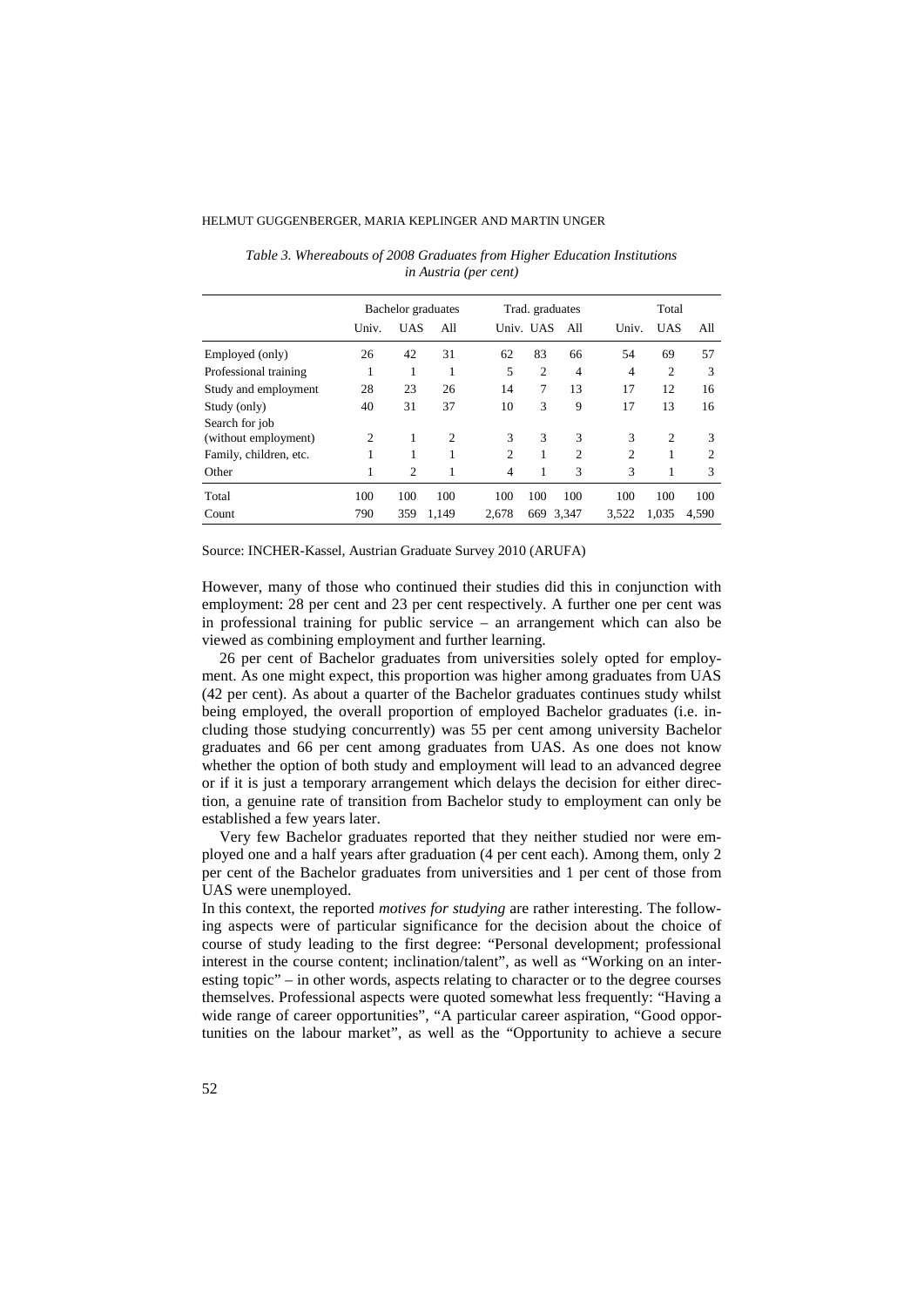|                                        | Bachelor graduates |                |       |                |     | Trad. graduates | Total          |                |                |
|----------------------------------------|--------------------|----------------|-------|----------------|-----|-----------------|----------------|----------------|----------------|
|                                        | Univ.              | <b>UAS</b>     | All   | Univ. UAS      |     | A11             | Univ.          | <b>UAS</b>     | All            |
| Employed (only)                        | 26                 | 42             | 31    | 62             | 83  | 66              | 54             | 69             | 57             |
| Professional training                  | 1                  | 1              | 1     | 5              | 2   | 4               | $\overline{4}$ | $\overline{2}$ | 3              |
| Study and employment                   | 28                 | 23             | 26    | 14             | 7   | 13              | 17             | 12             | 16             |
| Study (only)                           | 40                 | 31             | 37    | 10             | 3   | 9               | 17             | 13             | 16             |
| Search for job<br>(without employment) | $\overline{c}$     | 1              | 2     | 3              | 3   | 3               | 3              | $\overline{c}$ | 3              |
| Family, children, etc.                 | 1                  | 1              |       | $\overline{c}$ | 1   | $\overline{c}$  | 2              |                | $\mathfrak{D}$ |
| Other                                  | 1                  | $\overline{c}$ | 1     | $\overline{4}$ | 1   | 3               | 3              | 1              | 3              |
| Total                                  | 100                | 100            | 100   | 100            | 100 | 100             | 100            | 100            | 100            |
| Count                                  | 790                | 359            | 1.149 | 2.678          | 669 | 3.347           | 3.522          | 1.035          | 4.590          |

*Table 3. Whereabouts of 2008 Graduates from Higher Education Institutions in Austria (per cent)* 

Source: INCHER-Kassel, Austrian Graduate Survey 2010 (ARUFA)

However, many of those who continued their studies did this in conjunction with employment: 28 per cent and 23 per cent respectively. A further one per cent was in professional training for public service – an arrangement which can also be viewed as combining employment and further learning.

26 per cent of Bachelor graduates from universities solely opted for employment. As one might expect, this proportion was higher among graduates from UAS (42 per cent). As about a quarter of the Bachelor graduates continues study whilst being employed, the overall proportion of employed Bachelor graduates (i.e. including those studying concurrently) was 55 per cent among university Bachelor graduates and 66 per cent among graduates from UAS. As one does not know whether the option of both study and employment will lead to an advanced degree or if it is just a temporary arrangement which delays the decision for either direction, a genuine rate of transition from Bachelor study to employment can only be established a few years later.

Very few Bachelor graduates reported that they neither studied nor were employed one and a half years after graduation (4 per cent each). Among them, only 2 per cent of the Bachelor graduates from universities and 1 per cent of those from UAS were unemployed.

In this context, the reported *motives for studying* are rather interesting. The following aspects were of particular significance for the decision about the choice of course of study leading to the first degree: "Personal development; professional interest in the course content; inclination/talent", as well as "Working on an interesting topic" – in other words, aspects relating to character or to the degree courses themselves. Professional aspects were quoted somewhat less frequently: "Having a wide range of career opportunities", "A particular career aspiration, "Good opportunities on the labour market", as well as the "Opportunity to achieve a secure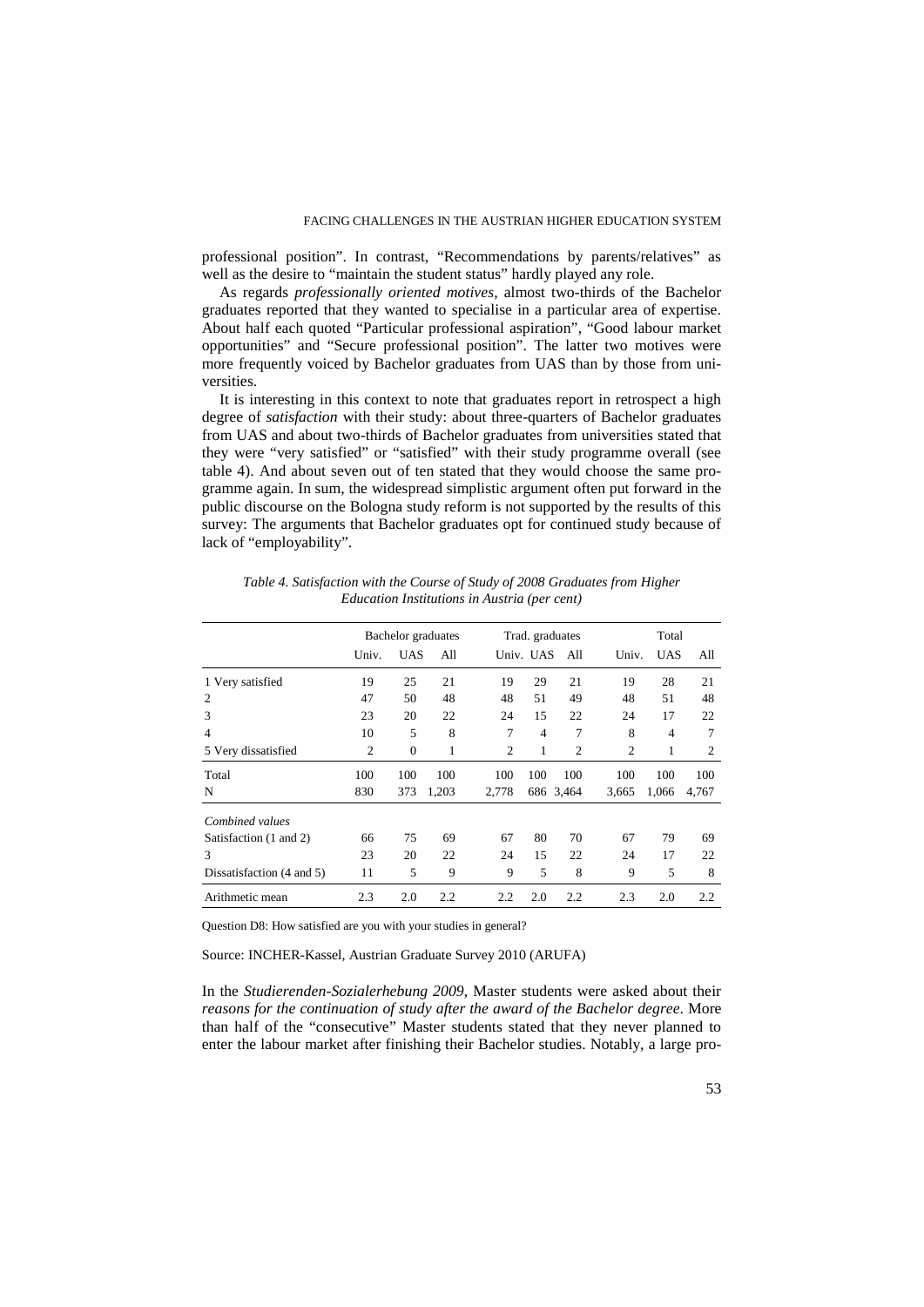professional position". In contrast, "Recommendations by parents/relatives" as well as the desire to "maintain the student status" hardly played any role.

As regards *professionally oriented motives*, almost two-thirds of the Bachelor graduates reported that they wanted to specialise in a particular area of expertise. About half each quoted "Particular professional aspiration", "Good labour market opportunities" and "Secure professional position". The latter two motives were more frequently voiced by Bachelor graduates from UAS than by those from universities.

It is interesting in this context to note that graduates report in retrospect a high degree of *satisfaction* with their study: about three-quarters of Bachelor graduates from UAS and about two-thirds of Bachelor graduates from universities stated that they were "very satisfied" or "satisfied" with their study programme overall (see table 4). And about seven out of ten stated that they would choose the same programme again. In sum, the widespread simplistic argument often put forward in the public discourse on the Bologna study reform is not supported by the results of this survey: The arguments that Bachelor graduates opt for continued study because of lack of "employability".

|                           | Bachelor graduates |              |       |                | Trad. graduates |                | Total |                |                |
|---------------------------|--------------------|--------------|-------|----------------|-----------------|----------------|-------|----------------|----------------|
|                           | Univ.              | <b>UAS</b>   | All   | Univ. UAS      |                 | All            | Univ. | <b>UAS</b>     | All            |
| 1 Very satisfied          | 19                 | 25           | 21    | 19             | 29              | 21             | 19    | 28             | 21             |
| $\overline{2}$            | 47                 | 50           | 48    | 48             | 51              | 49             | 48    | 51             | 48             |
| 3                         | 23                 | 20           | 22    | 24             | 15              | 22             | 24    | 17             | 22             |
| $\overline{4}$            | 10                 | 5            | 8     | 7              | $\overline{4}$  | 7              | 8     | $\overline{4}$ | 7              |
| 5 Very dissatisfied       | $\overline{2}$     | $\mathbf{0}$ | 1     | $\overline{2}$ | 1               | $\overline{2}$ | 2     | 1              | $\overline{2}$ |
| Total                     | 100                | 100          | 100   | 100            | 100             | 100            | 100   | 100            | 100            |
| N                         | 830                | 373          | 1,203 | 2.778          |                 | 686 3,464      | 3,665 | 1.066          | 4,767          |
| Combined values           |                    |              |       |                |                 |                |       |                |                |
| Satisfaction (1 and 2)    | 66                 | 75           | 69    | 67             | 80              | 70             | 67    | 79             | 69             |
| 3                         | 23                 | 20           | 22    | 24             | 15              | 22             | 24    | 17             | 22             |
| Dissatisfaction (4 and 5) | 11                 | 5            | 9     | 9              | 5               | 8              | 9     | 5              | 8              |
| Arithmetic mean           | 2.3                | 2.0          | 2.2   | 2.2            | 2.0             | 2.2            | 2.3   | 2.0            | 2.2            |

*Table 4. Satisfaction with the Course of Study of 2008 Graduates from Higher Education Institutions in Austria (per cent)* 

Question D8: How satisfied are you with your studies in general?

Source: INCHER-Kassel, Austrian Graduate Survey 2010 (ARUFA)

In the *Studierenden-Sozialerhebung 2009*, Master students were asked about their *reasons for the continuation of study after the award of the Bachelor degree*. More than half of the "consecutive" Master students stated that they never planned to enter the labour market after finishing their Bachelor studies. Notably, a large pro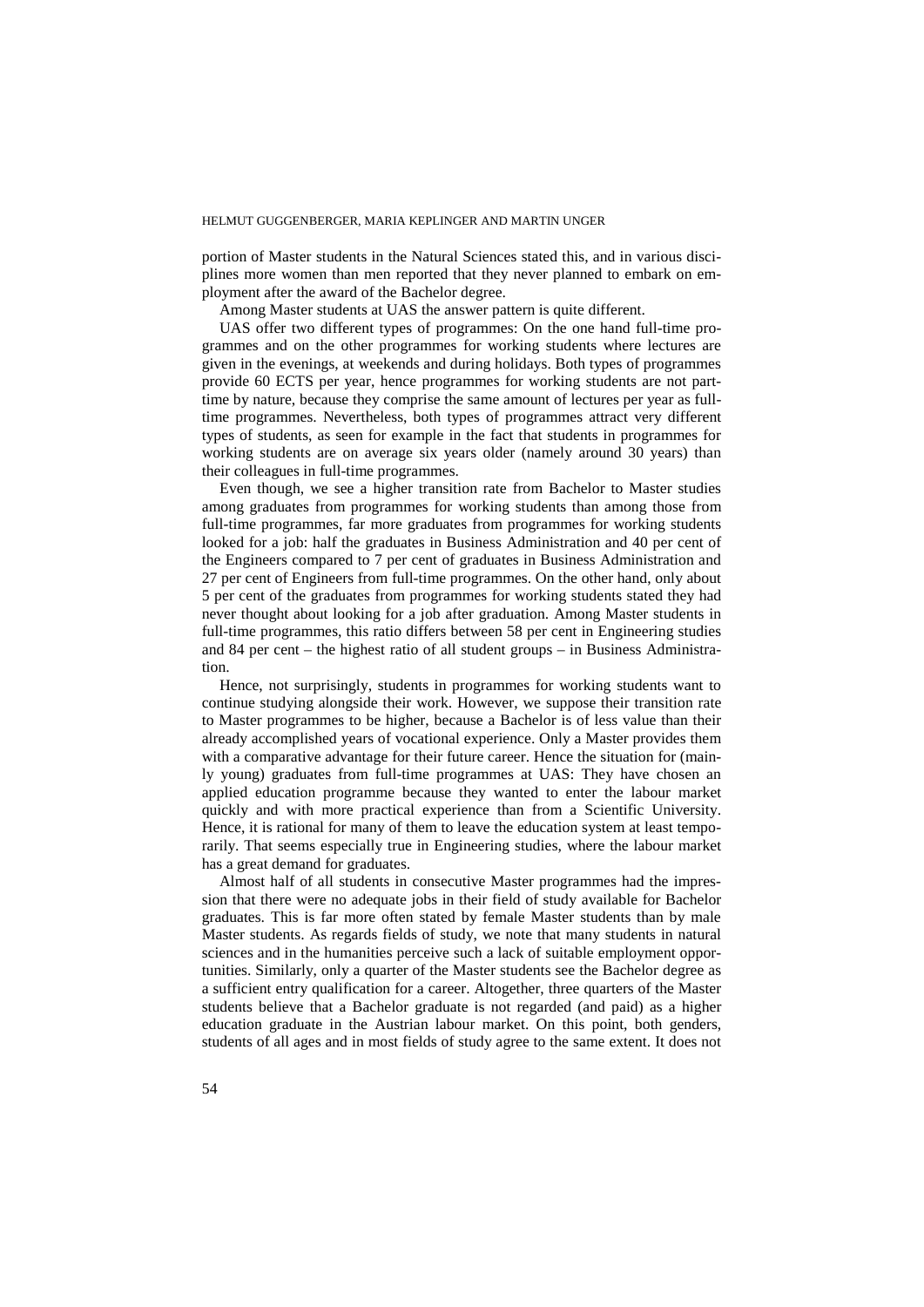portion of Master students in the Natural Sciences stated this, and in various disciplines more women than men reported that they never planned to embark on employment after the award of the Bachelor degree.

Among Master students at UAS the answer pattern is quite different.

UAS offer two different types of programmes: On the one hand full-time programmes and on the other programmes for working students where lectures are given in the evenings, at weekends and during holidays. Both types of programmes provide 60 ECTS per year, hence programmes for working students are not parttime by nature, because they comprise the same amount of lectures per year as fulltime programmes. Nevertheless, both types of programmes attract very different types of students, as seen for example in the fact that students in programmes for working students are on average six years older (namely around 30 years) than their colleagues in full-time programmes.

Even though, we see a higher transition rate from Bachelor to Master studies among graduates from programmes for working students than among those from full-time programmes, far more graduates from programmes for working students looked for a job: half the graduates in Business Administration and 40 per cent of the Engineers compared to 7 per cent of graduates in Business Administration and 27 per cent of Engineers from full-time programmes. On the other hand, only about 5 per cent of the graduates from programmes for working students stated they had never thought about looking for a job after graduation. Among Master students in full-time programmes, this ratio differs between 58 per cent in Engineering studies and 84 per cent – the highest ratio of all student groups – in Business Administration.

Hence, not surprisingly, students in programmes for working students want to continue studying alongside their work. However, we suppose their transition rate to Master programmes to be higher, because a Bachelor is of less value than their already accomplished years of vocational experience. Only a Master provides them with a comparative advantage for their future career. Hence the situation for (mainly young) graduates from full-time programmes at UAS: They have chosen an applied education programme because they wanted to enter the labour market quickly and with more practical experience than from a Scientific University. Hence, it is rational for many of them to leave the education system at least temporarily. That seems especially true in Engineering studies, where the labour market has a great demand for graduates.

Almost half of all students in consecutive Master programmes had the impression that there were no adequate jobs in their field of study available for Bachelor graduates. This is far more often stated by female Master students than by male Master students. As regards fields of study, we note that many students in natural sciences and in the humanities perceive such a lack of suitable employment opportunities. Similarly, only a quarter of the Master students see the Bachelor degree as a sufficient entry qualification for a career. Altogether, three quarters of the Master students believe that a Bachelor graduate is not regarded (and paid) as a higher education graduate in the Austrian labour market. On this point, both genders, students of all ages and in most fields of study agree to the same extent. It does not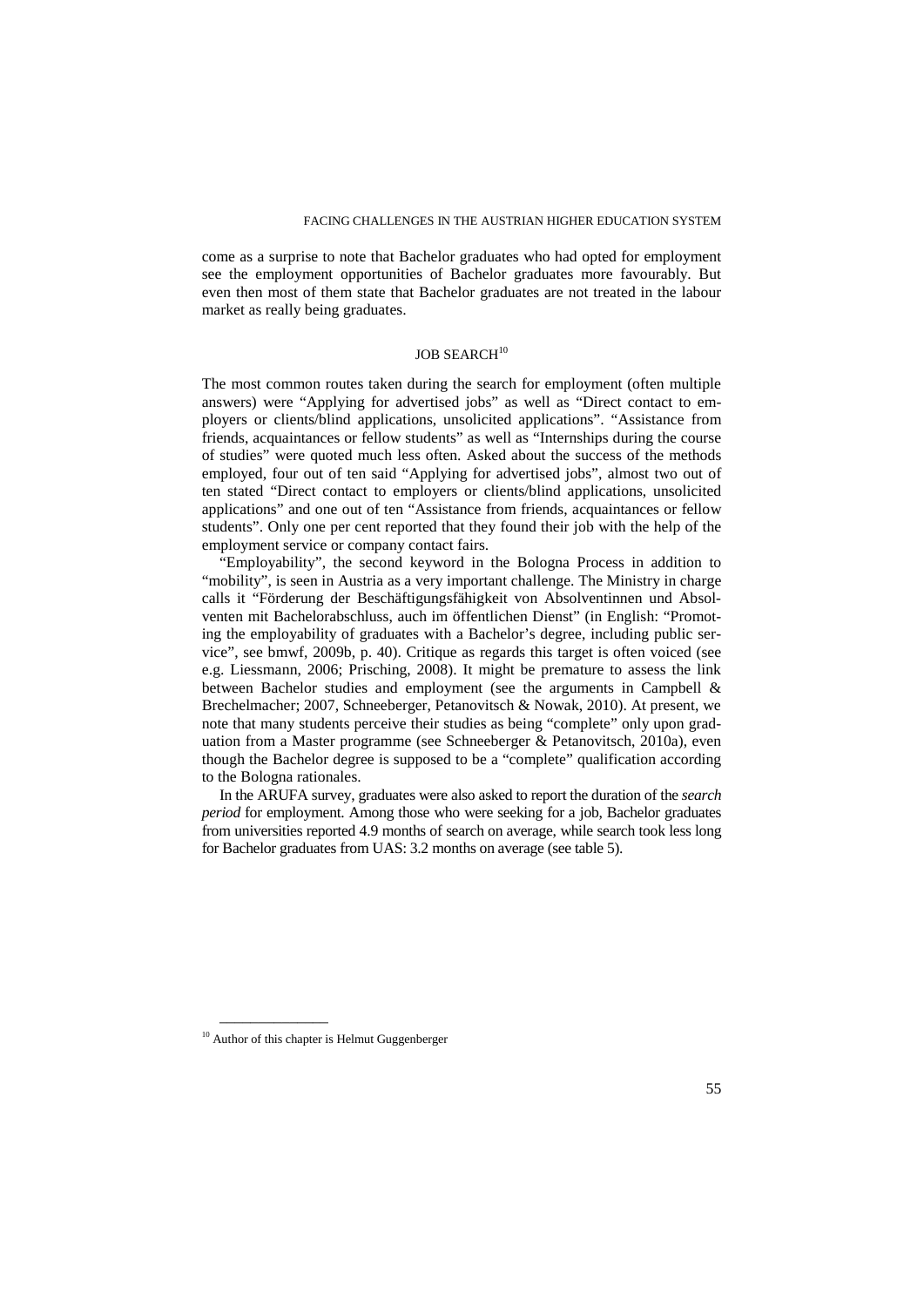come as a surprise to note that Bachelor graduates who had opted for employment see the employment opportunities of Bachelor graduates more favourably. But even then most of them state that Bachelor graduates are not treated in the labour market as really being graduates.

# JOB SEARCH<sup>10</sup>

The most common routes taken during the search for employment (often multiple answers) were "Applying for advertised jobs" as well as "Direct contact to employers or clients/blind applications, unsolicited applications". "Assistance from friends, acquaintances or fellow students" as well as "Internships during the course of studies" were quoted much less often. Asked about the success of the methods employed, four out of ten said "Applying for advertised jobs", almost two out of ten stated "Direct contact to employers or clients/blind applications, unsolicited applications" and one out of ten "Assistance from friends, acquaintances or fellow students". Only one per cent reported that they found their job with the help of the employment service or company contact fairs.

"Employability", the second keyword in the Bologna Process in addition to "mobility", is seen in Austria as a very important challenge. The Ministry in charge calls it "Förderung der Beschäftigungsfähigkeit von Absolventinnen und Absolventen mit Bachelorabschluss, auch im öffentlichen Dienst" (in English: "Promoting the employability of graduates with a Bachelor's degree, including public service", see bmwf, 2009b, p. 40). Critique as regards this target is often voiced (see e.g. Liessmann, 2006; Prisching, 2008). It might be premature to assess the link between Bachelor studies and employment (see the arguments in Campbell & Brechelmacher; 2007, Schneeberger, Petanovitsch & Nowak, 2010). At present, we note that many students perceive their studies as being "complete" only upon graduation from a Master programme (see Schneeberger & Petanovitsch, 2010a), even though the Bachelor degree is supposed to be a "complete" qualification according to the Bologna rationales.

In the ARUFA survey, graduates were also asked to report the duration of the *search period* for employment. Among those who were seeking for a job, Bachelor graduates from universities reported 4.9 months of search on average, while search took less long for Bachelor graduates from UAS: 3.2 months on average (see table 5).

 $^{10}$  Author of this chapter is Helmut Guggenberger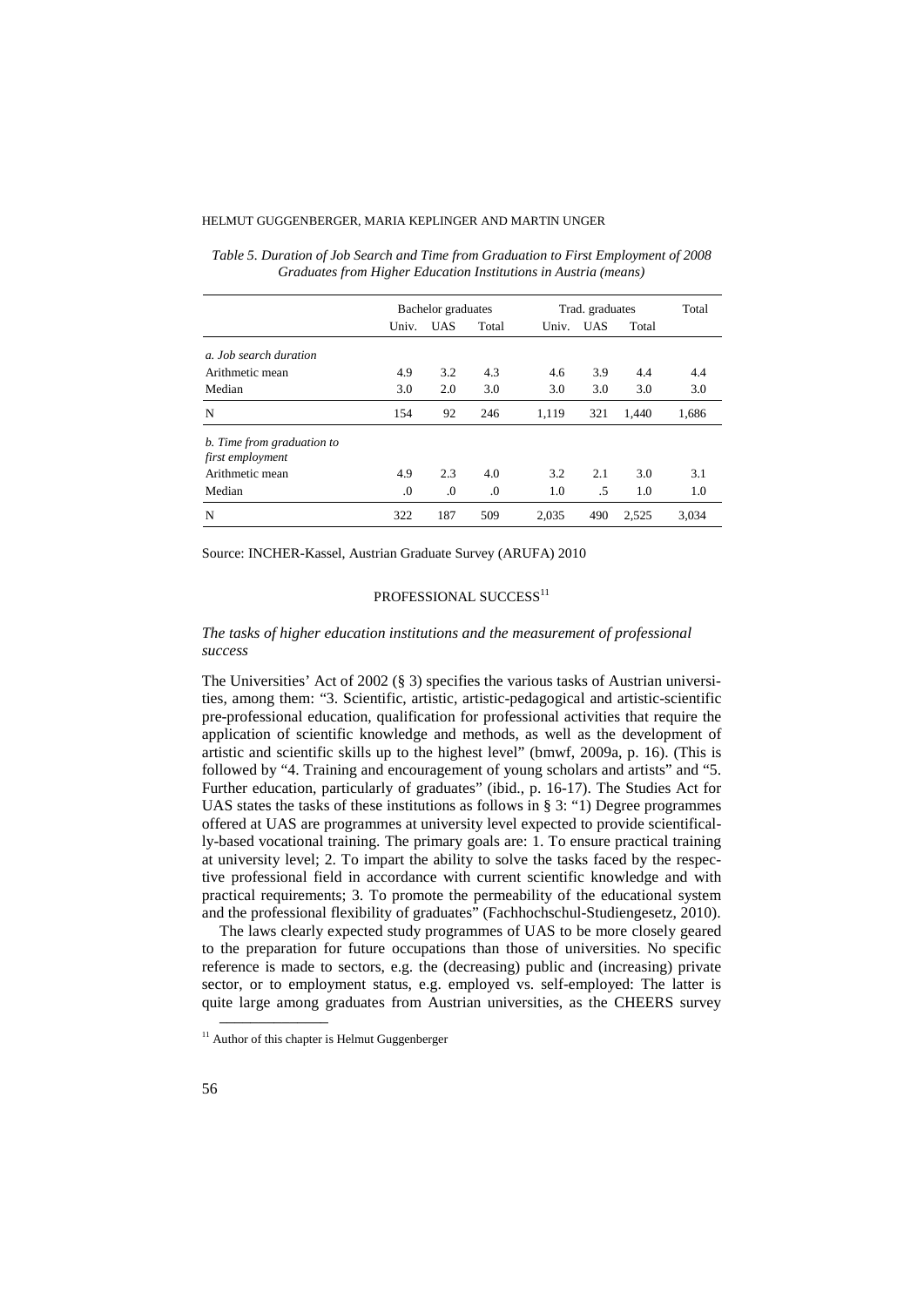|                                                |          | Bachelor graduates |       |       | Trad. graduates |       | Total |
|------------------------------------------------|----------|--------------------|-------|-------|-----------------|-------|-------|
|                                                | Univ.    | <b>UAS</b>         | Total | Univ. | <b>UAS</b>      | Total |       |
| a. Job search duration                         |          |                    |       |       |                 |       |       |
| Arithmetic mean                                | 4.9      | 3.2                | 4.3   | 4.6   | 3.9             | 4.4   | 4.4   |
| Median                                         | 3.0      | 2.0                | 3.0   | 3.0   | 3.0             | 3.0   | 3.0   |
| N                                              | 154      | 92                 | 246   | 1.119 | 321             | 1.440 | 1,686 |
| b. Time from graduation to<br>first employment |          |                    |       |       |                 |       |       |
| Arithmetic mean                                | 4.9      | 2.3                | 4.0   | 3.2   | 2.1             | 3.0   | 3.1   |
| Median                                         | $\Omega$ | .0                 | .0    | 1.0   | .5              | 1.0   | 1.0   |
| N                                              | 322      | 187                | 509   | 2.035 | 490             | 2.525 | 3.034 |

*Table 5. Duration of Job Search and Time from Graduation to First Employment of 2008 Graduates from Higher Education Institutions in Austria (means)* 

Source: INCHER-Kassel, Austrian Graduate Survey (ARUFA) 2010

# PROFESSIONAL SUCCESS<sup>11</sup>

# *The tasks of higher education institutions and the measurement of professional success*

The Universities' Act of 2002 (§ 3) specifies the various tasks of Austrian universities, among them: "3. Scientific, artistic, artistic-pedagogical and artistic-scientific pre-professional education, qualification for professional activities that require the application of scientific knowledge and methods, as well as the development of artistic and scientific skills up to the highest level" (bmwf, 2009a, p. 16). (This is followed by "4. Training and encouragement of young scholars and artists" and "5. Further education, particularly of graduates" (ibid., p. 16-17). The Studies Act for UAS states the tasks of these institutions as follows in § 3: "1) Degree programmes offered at UAS are programmes at university level expected to provide scientifically-based vocational training. The primary goals are: 1. To ensure practical training at university level; 2. To impart the ability to solve the tasks faced by the respective professional field in accordance with current scientific knowledge and with practical requirements; 3. To promote the permeability of the educational system and the professional flexibility of graduates" (Fachhochschul-Studiengesetz, 2010).

The laws clearly expected study programmes of UAS to be more closely geared to the preparation for future occupations than those of universities. No specific reference is made to sectors, e.g. the (decreasing) public and (increasing) private sector, or to employment status, e.g. employed vs. self-employed: The latter is quite large among graduates from Austrian universities, as the CHEERS survey

 $^{11}$  Author of this chapter is Helmut Guggenberger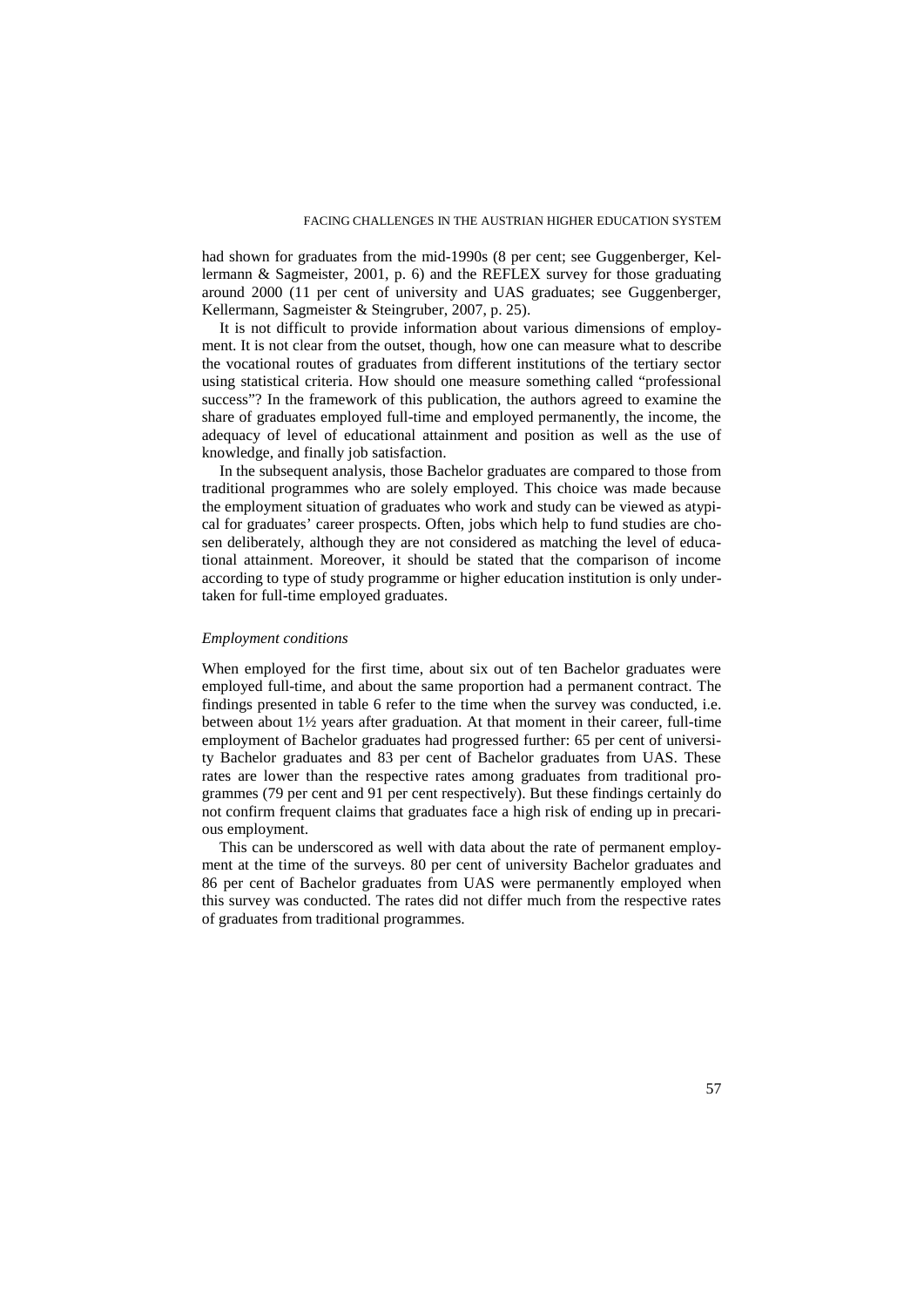had shown for graduates from the mid-1990s (8 per cent; see Guggenberger, Kellermann & Sagmeister, 2001, p. 6) and the REFLEX survey for those graduating around 2000 (11 per cent of university and UAS graduates; see Guggenberger, Kellermann, Sagmeister & Steingruber, 2007, p. 25).

It is not difficult to provide information about various dimensions of employment. It is not clear from the outset, though, how one can measure what to describe the vocational routes of graduates from different institutions of the tertiary sector using statistical criteria. How should one measure something called "professional success"? In the framework of this publication, the authors agreed to examine the share of graduates employed full-time and employed permanently, the income, the adequacy of level of educational attainment and position as well as the use of knowledge, and finally job satisfaction.

In the subsequent analysis, those Bachelor graduates are compared to those from traditional programmes who are solely employed. This choice was made because the employment situation of graduates who work and study can be viewed as atypical for graduates' career prospects. Often, jobs which help to fund studies are chosen deliberately, although they are not considered as matching the level of educational attainment. Moreover, it should be stated that the comparison of income according to type of study programme or higher education institution is only undertaken for full-time employed graduates.

### *Employment conditions*

When employed for the first time, about six out of ten Bachelor graduates were employed full-time, and about the same proportion had a permanent contract. The findings presented in table 6 refer to the time when the survey was conducted, i.e. between about 1½ years after graduation. At that moment in their career, full-time employment of Bachelor graduates had progressed further: 65 per cent of university Bachelor graduates and 83 per cent of Bachelor graduates from UAS. These rates are lower than the respective rates among graduates from traditional programmes (79 per cent and 91 per cent respectively). But these findings certainly do not confirm frequent claims that graduates face a high risk of ending up in precarious employment.

This can be underscored as well with data about the rate of permanent employment at the time of the surveys. 80 per cent of university Bachelor graduates and 86 per cent of Bachelor graduates from UAS were permanently employed when this survey was conducted. The rates did not differ much from the respective rates of graduates from traditional programmes.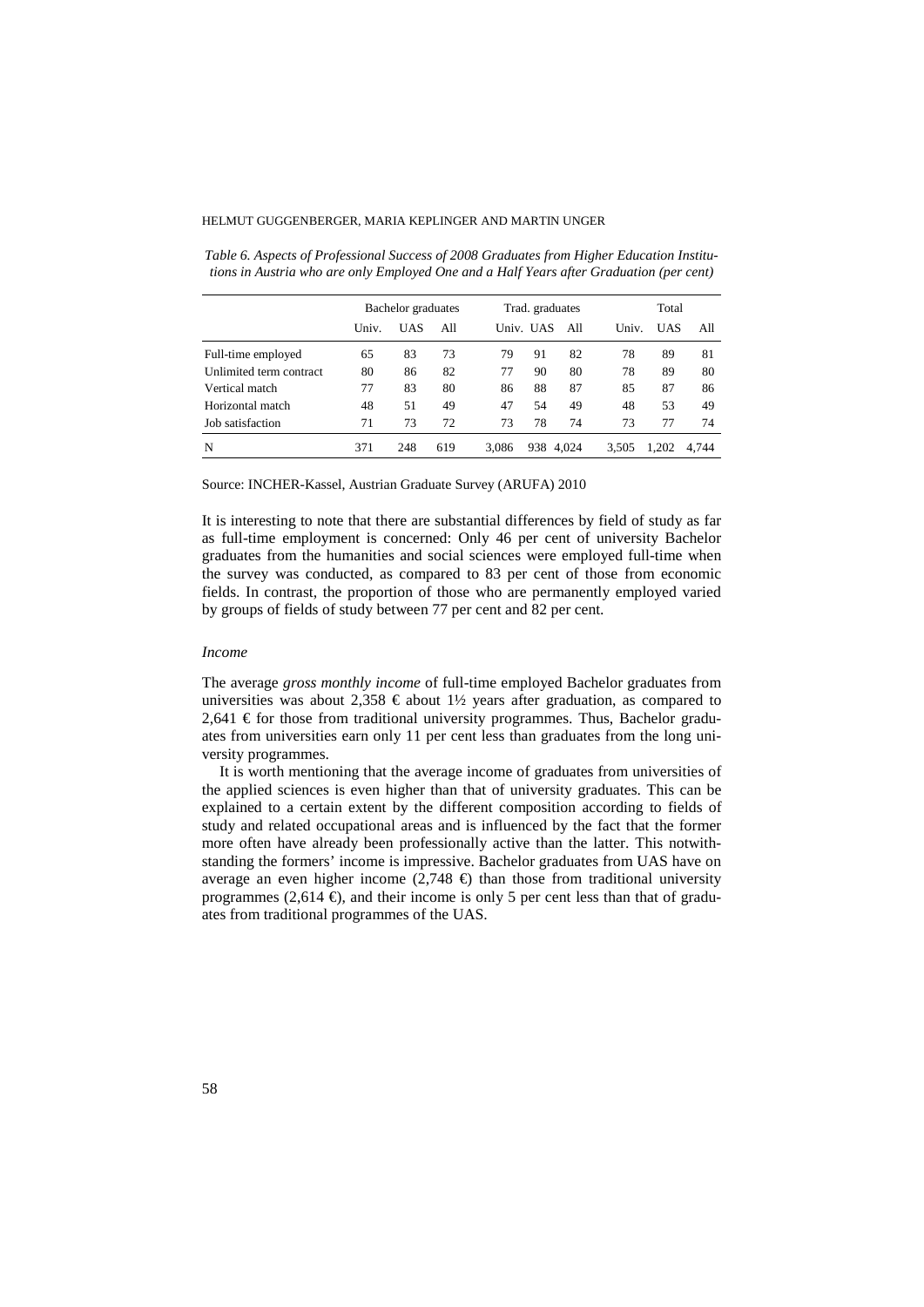|                         | Bachelor graduates |            |     |           |     | Trad. graduates | Total |            |       |
|-------------------------|--------------------|------------|-----|-----------|-----|-----------------|-------|------------|-------|
|                         | Univ.              | <b>UAS</b> | All | Univ. UAS |     | All             | Univ. | <b>UAS</b> | All   |
| Full-time employed      | 65                 | 83         | 73  | 79        | 91  | 82              | 78    | 89         | 81    |
| Unlimited term contract | 80                 | 86         | 82  | 77        | 90  | 80              | 78    | 89         | 80    |
| Vertical match          | 77                 | 83         | 80  | 86        | 88  | 87              | 85    | 87         | 86    |
| Horizontal match        | 48                 | 51         | 49  | 47        | 54  | 49              | 48    | 53         | 49    |
| Job satisfaction        | 71                 | 73         | 72  | 73        | 78  | 74              | 73    | 77         | 74    |
| N                       | 371                | 248        | 619 | 3.086     | 938 | 4.024           | 3.505 | 1.202      | 4.744 |

*Table 6. Aspects of Professional Success of 2008 Graduates from Higher Education Institutions in Austria who are only Employed One and a Half Years after Graduation (per cent)* 

Source: INCHER-Kassel, Austrian Graduate Survey (ARUFA) 2010

It is interesting to note that there are substantial differences by field of study as far as full-time employment is concerned: Only 46 per cent of university Bachelor graduates from the humanities and social sciences were employed full-time when the survey was conducted, as compared to 83 per cent of those from economic fields. In contrast, the proportion of those who are permanently employed varied by groups of fields of study between 77 per cent and 82 per cent.

## *Income*

The average *gross monthly income* of full-time employed Bachelor graduates from universities was about 2,358  $\epsilon$  about 1½ years after graduation, as compared to 2,641 € for those from traditional university programmes. Thus, Bachelor graduates from universities earn only 11 per cent less than graduates from the long university programmes.

It is worth mentioning that the average income of graduates from universities of the applied sciences is even higher than that of university graduates. This can be explained to a certain extent by the different composition according to fields of study and related occupational areas and is influenced by the fact that the former more often have already been professionally active than the latter. This notwithstanding the formers' income is impressive. Bachelor graduates from UAS have on average an even higher income (2,748  $\epsilon$ ) than those from traditional university programmes (2,614  $\epsilon$ ), and their income is only 5 per cent less than that of graduates from traditional programmes of the UAS.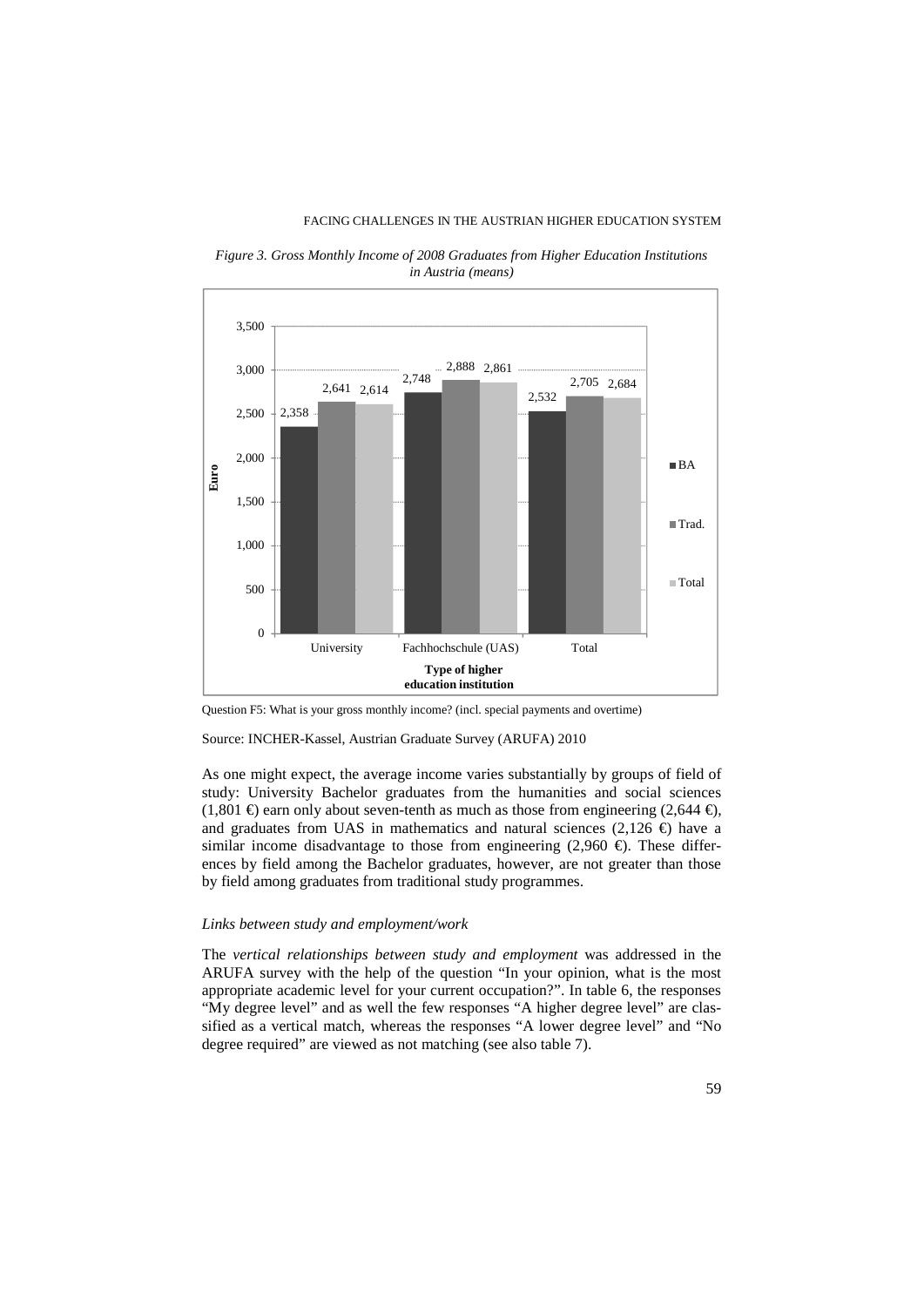### FACING CHALLENGES IN THE AUSTRIAN HIGHER EDUCATION SYSTEM



*Figure 3. Gross Monthly Income of 2008 Graduates from Higher Education Institutions in Austria (means)* 

Question F5: What is your gross monthly income? (incl. special payments and overtime)

Source: INCHER-Kassel, Austrian Graduate Survey (ARUFA) 2010

As one might expect, the average income varies substantially by groups of field of study: University Bachelor graduates from the humanities and social sciences  $(1,801 \text{ €})$  earn only about seven-tenth as much as those from engineering  $(2,644 \text{ €}),$ and graduates from UAS in mathematics and natural sciences (2,126  $\epsilon$ ) have a similar income disadvantage to those from engineering (2,960  $\epsilon$ ). These differences by field among the Bachelor graduates, however, are not greater than those by field among graduates from traditional study programmes.

# *Links between study and employment/work*

The *vertical relationships between study and employment* was addressed in the ARUFA survey with the help of the question "In your opinion, what is the most appropriate academic level for your current occupation?". In table 6, the responses "My degree level" and as well the few responses "A higher degree level" are classified as a vertical match, whereas the responses "A lower degree level" and "No degree required" are viewed as not matching (see also table 7).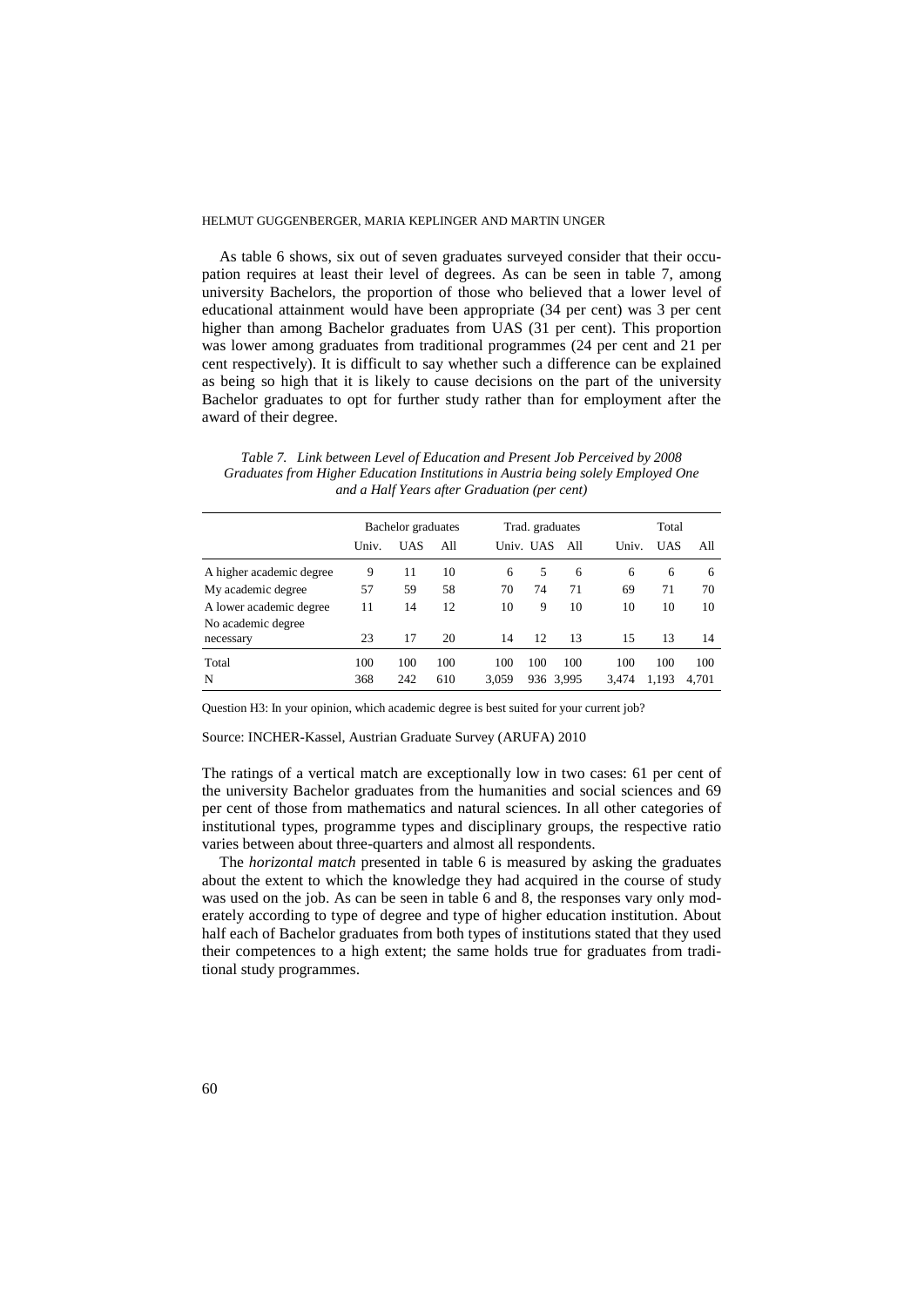### HELMUT GUGGENBERGER, MARIA KEPLINGER AND MARTIN UNGER

As table 6 shows, six out of seven graduates surveyed consider that their occupation requires at least their level of degrees. As can be seen in table 7, among university Bachelors, the proportion of those who believed that a lower level of educational attainment would have been appropriate (34 per cent) was 3 per cent higher than among Bachelor graduates from UAS (31 per cent). This proportion was lower among graduates from traditional programmes (24 per cent and 21 per cent respectively). It is difficult to say whether such a difference can be explained as being so high that it is likely to cause decisions on the part of the university Bachelor graduates to opt for further study rather than for employment after the award of their degree.

|                                 | Bachelor graduates |            |     |           |     | Trad. graduates |       | Total      |       |
|---------------------------------|--------------------|------------|-----|-----------|-----|-----------------|-------|------------|-------|
|                                 | Univ.              | <b>UAS</b> | All | Univ. UAS |     | All             | Univ. | <b>UAS</b> | All   |
| A higher academic degree        | 9                  | 11         | 10  | 6         | 5   | 6               | 6     | 6          | 6     |
| My academic degree              | 57                 | 59         | 58  | 70        | 74  | 71              | 69    | 71         | 70    |
| A lower academic degree         | 11                 | 14         | 12  | 10        | 9   | 10              | 10    | 10         | 10    |
| No academic degree<br>necessary | 23                 | 17         | 20  | 14        | 12  | 13              | 15    | 13         | 14    |
| Total                           | 100                | 100        | 100 | 100       | 100 | 100             | 100   | 100        | 100   |
| N                               | 368                | 242        | 610 | 3.059     |     | 936 3.995       | 3.474 | 1.193      | 4.701 |

*Table 7. Link between Level of Education and Present Job Perceived by 2008 Graduates from Higher Education Institutions in Austria being solely Employed One and a Half Years after Graduation (per cent)* 

Question H3: In your opinion, which academic degree is best suited for your current job?

Source: INCHER-Kassel, Austrian Graduate Survey (ARUFA) 2010

The ratings of a vertical match are exceptionally low in two cases: 61 per cent of the university Bachelor graduates from the humanities and social sciences and 69 per cent of those from mathematics and natural sciences. In all other categories of institutional types, programme types and disciplinary groups, the respective ratio varies between about three-quarters and almost all respondents.

The *horizontal match* presented in table 6 is measured by asking the graduates about the extent to which the knowledge they had acquired in the course of study was used on the job. As can be seen in table 6 and 8, the responses vary only moderately according to type of degree and type of higher education institution. About half each of Bachelor graduates from both types of institutions stated that they used their competences to a high extent; the same holds true for graduates from traditional study programmes.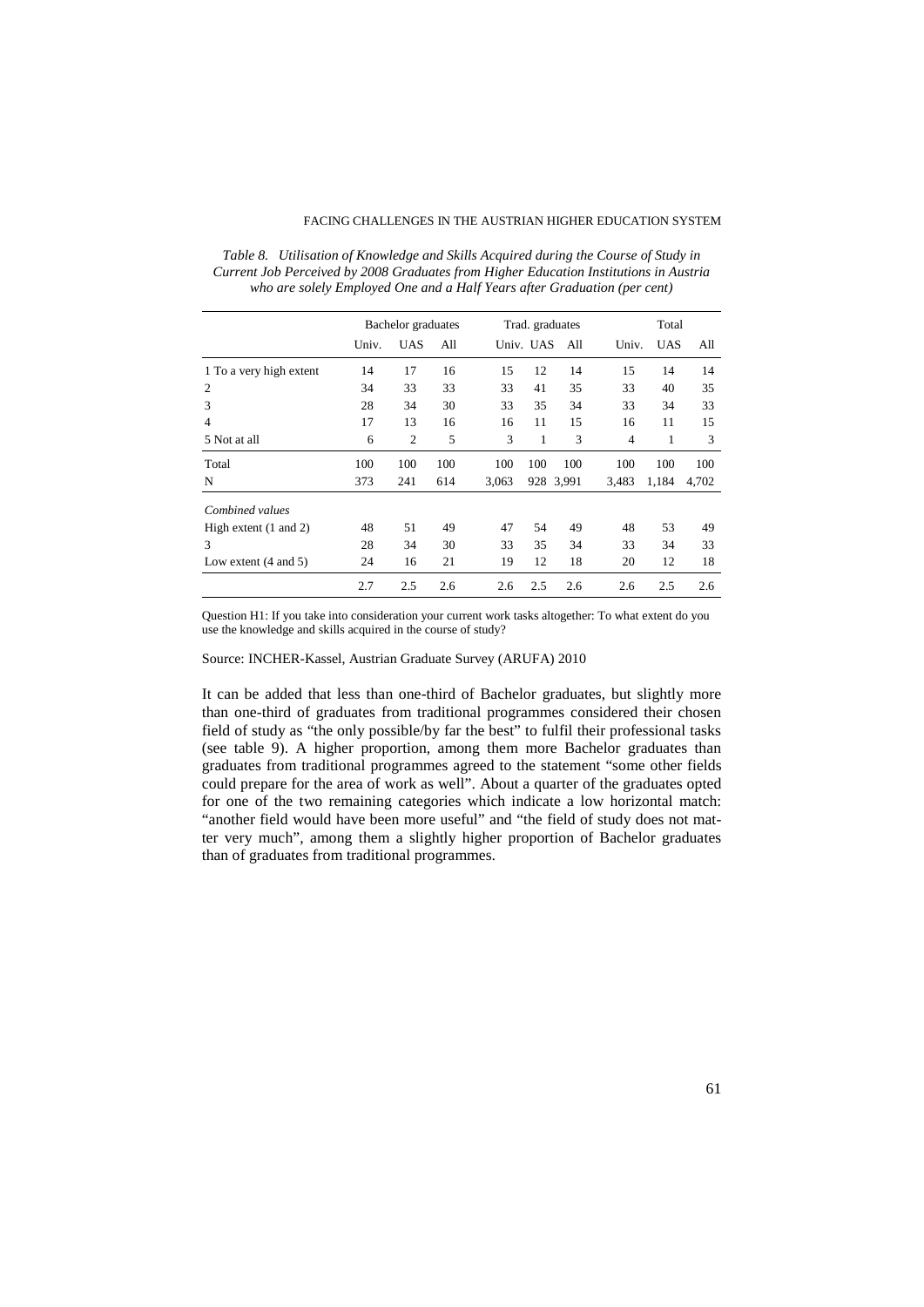|                                  | Bachelor graduates |                |     |           |              | Trad. graduates |                | Total      |       |  |
|----------------------------------|--------------------|----------------|-----|-----------|--------------|-----------------|----------------|------------|-------|--|
|                                  | Univ.              | <b>UAS</b>     | All | Univ. UAS |              | All             | Univ.          | <b>UAS</b> | All   |  |
| 1 To a very high extent          | 14                 | 17             | 16  | 15        | 12           | 14              | 15             | 14         | 14    |  |
| 2                                | 34                 | 33             | 33  | 33        | 41           | 35              | 33             | 40         | 35    |  |
| 3                                | 28                 | 34             | 30  | 33        | 35           | 34              | 33             | 34         | 33    |  |
| $\overline{4}$                   | 17                 | 13             | 16  | 16        | 11           | 15              | 16             | 11         | 15    |  |
| 5 Not at all                     | 6                  | $\overline{2}$ | 5   | 3         | $\mathbf{1}$ | 3               | $\overline{4}$ | 1          | 3     |  |
| Total                            | 100                | 100            | 100 | 100       | 100          | 100             | 100            | 100        | 100   |  |
| N                                | 373                | 241            | 614 | 3,063     |              | 928 3,991       | 3,483          | 1,184      | 4,702 |  |
| Combined values                  |                    |                |     |           |              |                 |                |            |       |  |
| High extent $(1 \text{ and } 2)$ | 48                 | 51             | 49  | 47        | 54           | 49              | 48             | 53         | 49    |  |
| 3                                | 28                 | 34             | 30  | 33        | 35           | 34              | 33             | 34         | 33    |  |
| Low extent $(4 \text{ and } 5)$  | 24                 | 16             | 21  | 19        | 12           | 18              | 20             | 12         | 18    |  |
|                                  | 2.7                | 2.5            | 2.6 | 2.6       | 2.5          | 2.6             | 2.6            | 2.5        | 2.6   |  |

*Table 8. Utilisation of Knowledge and Skills Acquired during the Course of Study in Current Job Perceived by 2008 Graduates from Higher Education Institutions in Austria who are solely Employed One and a Half Years after Graduation (per cent)* 

Question H1: If you take into consideration your current work tasks altogether: To what extent do you use the knowledge and skills acquired in the course of study?

Source: INCHER-Kassel, Austrian Graduate Survey (ARUFA) 2010

It can be added that less than one-third of Bachelor graduates, but slightly more than one-third of graduates from traditional programmes considered their chosen field of study as "the only possible/by far the best" to fulfil their professional tasks (see table 9). A higher proportion, among them more Bachelor graduates than graduates from traditional programmes agreed to the statement "some other fields could prepare for the area of work as well". About a quarter of the graduates opted for one of the two remaining categories which indicate a low horizontal match: "another field would have been more useful" and "the field of study does not matter very much", among them a slightly higher proportion of Bachelor graduates than of graduates from traditional programmes.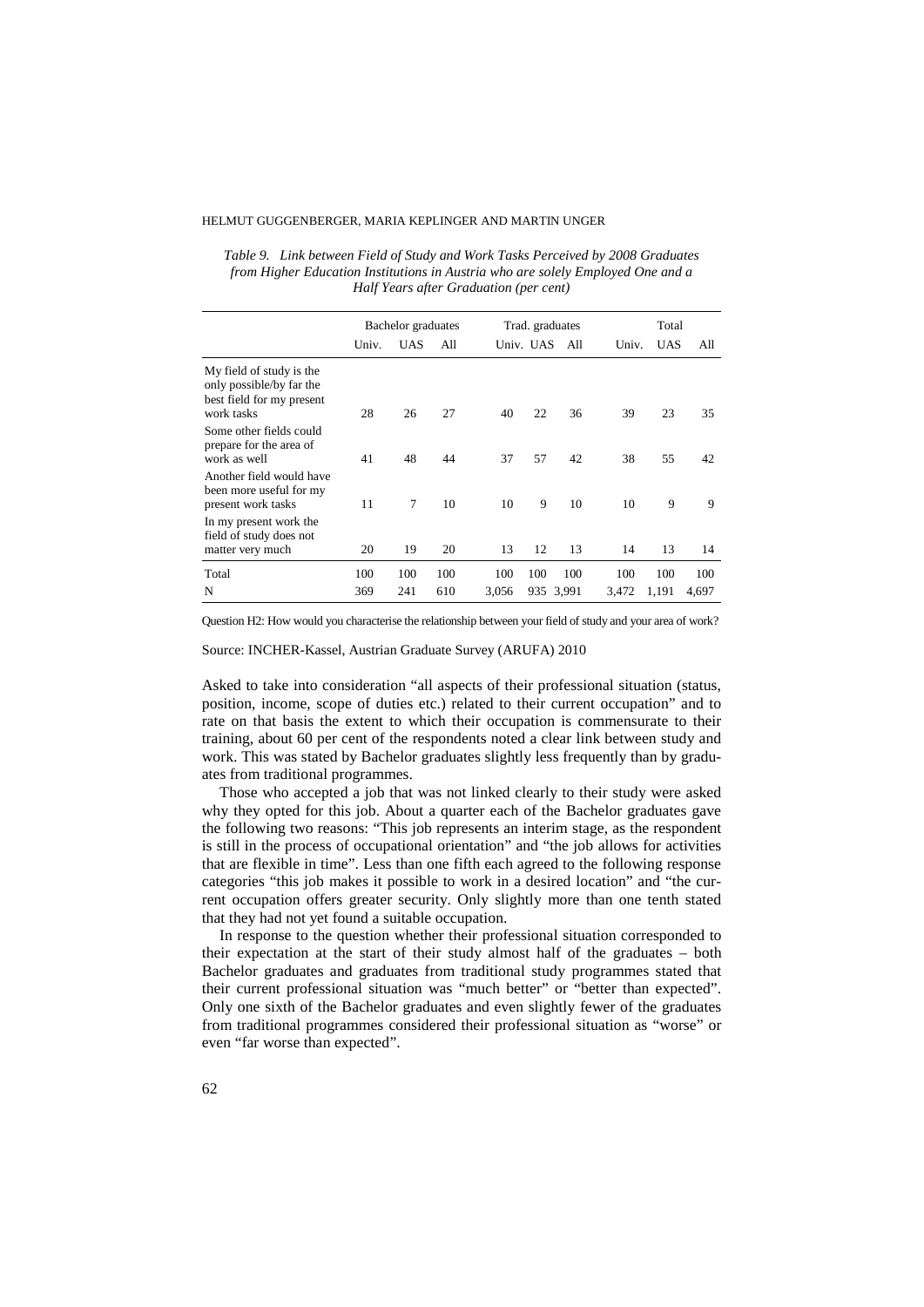|                                                                                                 | Bachelor graduates |            |            |              | Trad. graduates |              |              |              | Total        |  |  |
|-------------------------------------------------------------------------------------------------|--------------------|------------|------------|--------------|-----------------|--------------|--------------|--------------|--------------|--|--|
|                                                                                                 | Univ.              | <b>UAS</b> | All        | Univ. UAS    |                 | All          | Univ.        | <b>UAS</b>   | All          |  |  |
| My field of study is the<br>only possible/by far the<br>best field for my present<br>work tasks | 28                 | 26         | 27         | 40           | 22              | 36           | 39           | 23           | 35           |  |  |
| Some other fields could<br>prepare for the area of<br>work as well                              | 41                 | 48         | 44         | 37           | 57              | 42           | 38           | 55           | 42           |  |  |
| Another field would have<br>been more useful for my<br>present work tasks                       | 11                 | 7          | 10         | 10           | 9               | 10           | 10           | 9            | 9            |  |  |
| In my present work the<br>field of study does not<br>matter very much                           | 20                 | 19         | 20         | 13           | 12              | 13           | 14           | 13           | 14           |  |  |
| Total<br>N                                                                                      | 100<br>369         | 100<br>241 | 100<br>610 | 100<br>3,056 | 100<br>935      | 100<br>3,991 | 100<br>3.472 | 100<br>1,191 | 100<br>4,697 |  |  |

*Table 9. Link between Field of Study and Work Tasks Perceived by 2008 Graduates from Higher Education Institutions in Austria who are solely Employed One and a Half Years after Graduation (per cent)* 

Question H2: How would you characterise the relationship between your field of study and your area of work?

Source: INCHER-Kassel, Austrian Graduate Survey (ARUFA) 2010

Asked to take into consideration "all aspects of their professional situation (status, position, income, scope of duties etc.) related to their current occupation" and to rate on that basis the extent to which their occupation is commensurate to their training, about 60 per cent of the respondents noted a clear link between study and work. This was stated by Bachelor graduates slightly less frequently than by graduates from traditional programmes.

Those who accepted a job that was not linked clearly to their study were asked why they opted for this job. About a quarter each of the Bachelor graduates gave the following two reasons: "This job represents an interim stage, as the respondent is still in the process of occupational orientation" and "the job allows for activities that are flexible in time". Less than one fifth each agreed to the following response categories "this job makes it possible to work in a desired location" and "the current occupation offers greater security. Only slightly more than one tenth stated that they had not yet found a suitable occupation.

In response to the question whether their professional situation corresponded to their expectation at the start of their study almost half of the graduates – both Bachelor graduates and graduates from traditional study programmes stated that their current professional situation was "much better" or "better than expected". Only one sixth of the Bachelor graduates and even slightly fewer of the graduates from traditional programmes considered their professional situation as "worse" or even "far worse than expected".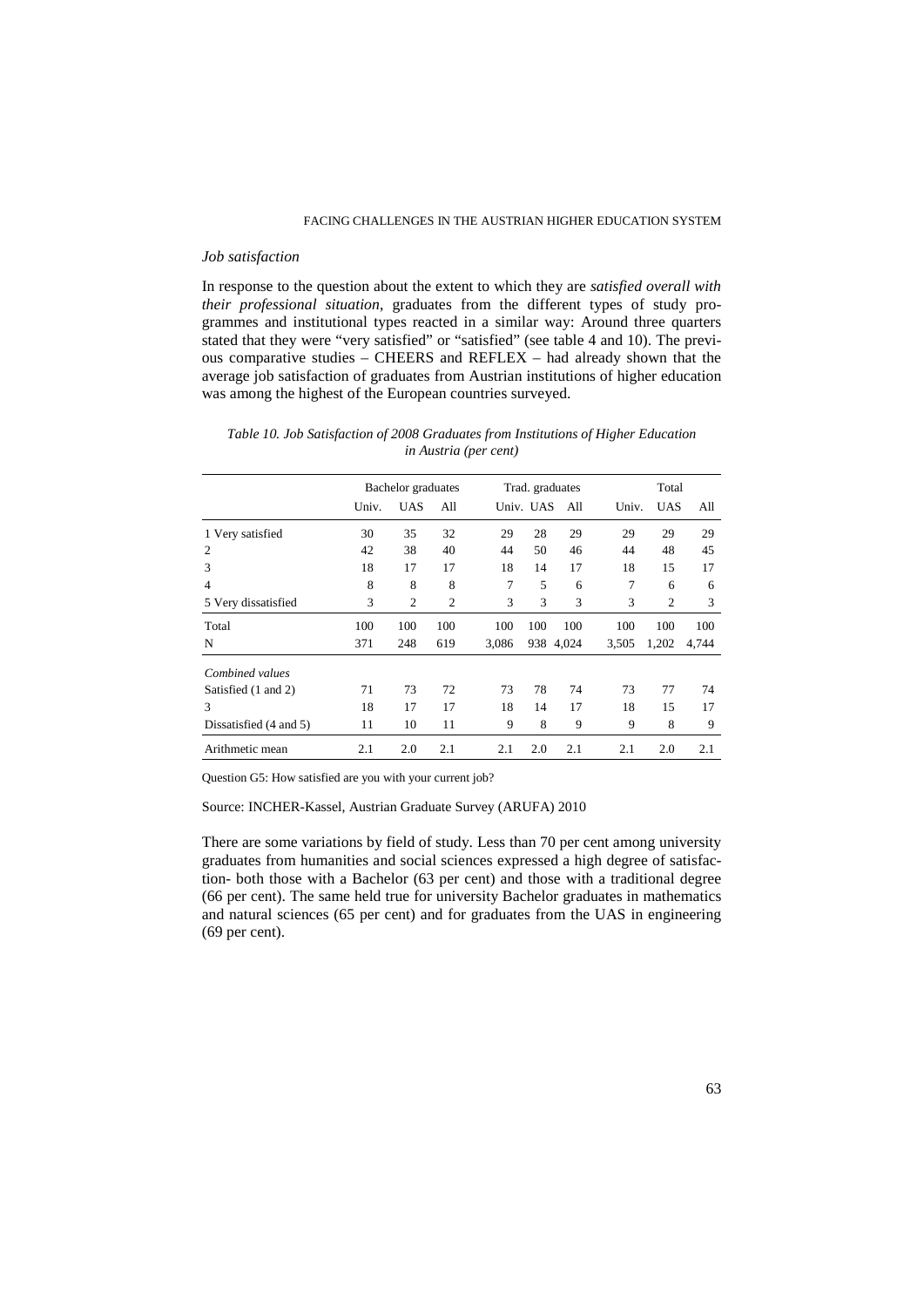# *Job satisfaction*

In response to the question about the extent to which they are *satisfied overall with their professional situation*, graduates from the different types of study programmes and institutional types reacted in a similar way: Around three quarters stated that they were "very satisfied" or "satisfied" (see table 4 and 10). The previous comparative studies *–* CHEERS and REFLEX *–* had already shown that the average job satisfaction of graduates from Austrian institutions of higher education was among the highest of the European countries surveyed.

|                        | Bachelor graduates |                |                |           |     | Trad. graduates |       | Total          |       |  |
|------------------------|--------------------|----------------|----------------|-----------|-----|-----------------|-------|----------------|-------|--|
|                        | Univ.              | <b>UAS</b>     | All            | Univ. UAS |     | All             | Univ. | <b>UAS</b>     | All   |  |
| 1 Very satisfied       | 30                 | 35             | 32             | 29        | 28  | 29              | 29    | 29             | 29    |  |
| $\overline{2}$         | 42                 | 38             | 40             | 44        | 50  | 46              | 44    | 48             | 45    |  |
| 3                      | 18                 | 17             | 17             | 18        | 14  | 17              | 18    | 15             | 17    |  |
| 4                      | 8                  | 8              | 8              | 7         | 5   | 6               | 7     | 6              | 6     |  |
| 5 Very dissatisfied    | 3                  | $\overline{c}$ | $\overline{2}$ | 3         | 3   | 3               | 3     | $\overline{2}$ | 3     |  |
| Total                  | 100                | 100            | 100            | 100       | 100 | 100             | 100   | 100            | 100   |  |
| N                      | 371                | 248            | 619            | 3,086     | 938 | 4,024           | 3,505 | 1,202          | 4,744 |  |
| Combined values        |                    |                |                |           |     |                 |       |                |       |  |
| Satisfied (1 and 2)    | 71                 | 73             | 72             | 73        | 78  | 74              | 73    | 77             | 74    |  |
| 3                      | 18                 | 17             | 17             | 18        | 14  | 17              | 18    | 15             | 17    |  |
| Dissatisfied (4 and 5) | 11                 | 10             | 11             | 9         | 8   | 9               | 9     | 8              | 9     |  |
| Arithmetic mean        | 2.1                | 2.0            | 2.1            | 2.1       | 2.0 | 2.1             | 2.1   | 2.0            | 2.1   |  |

*Table 10. Job Satisfaction of 2008 Graduates from Institutions of Higher Education in Austria (per cent)* 

Question G5: How satisfied are you with your current job?

Source: INCHER-Kassel, Austrian Graduate Survey (ARUFA) 2010

There are some variations by field of study. Less than 70 per cent among university graduates from humanities and social sciences expressed a high degree of satisfaction- both those with a Bachelor (63 per cent) and those with a traditional degree (66 per cent). The same held true for university Bachelor graduates in mathematics and natural sciences (65 per cent) and for graduates from the UAS in engineering (69 per cent).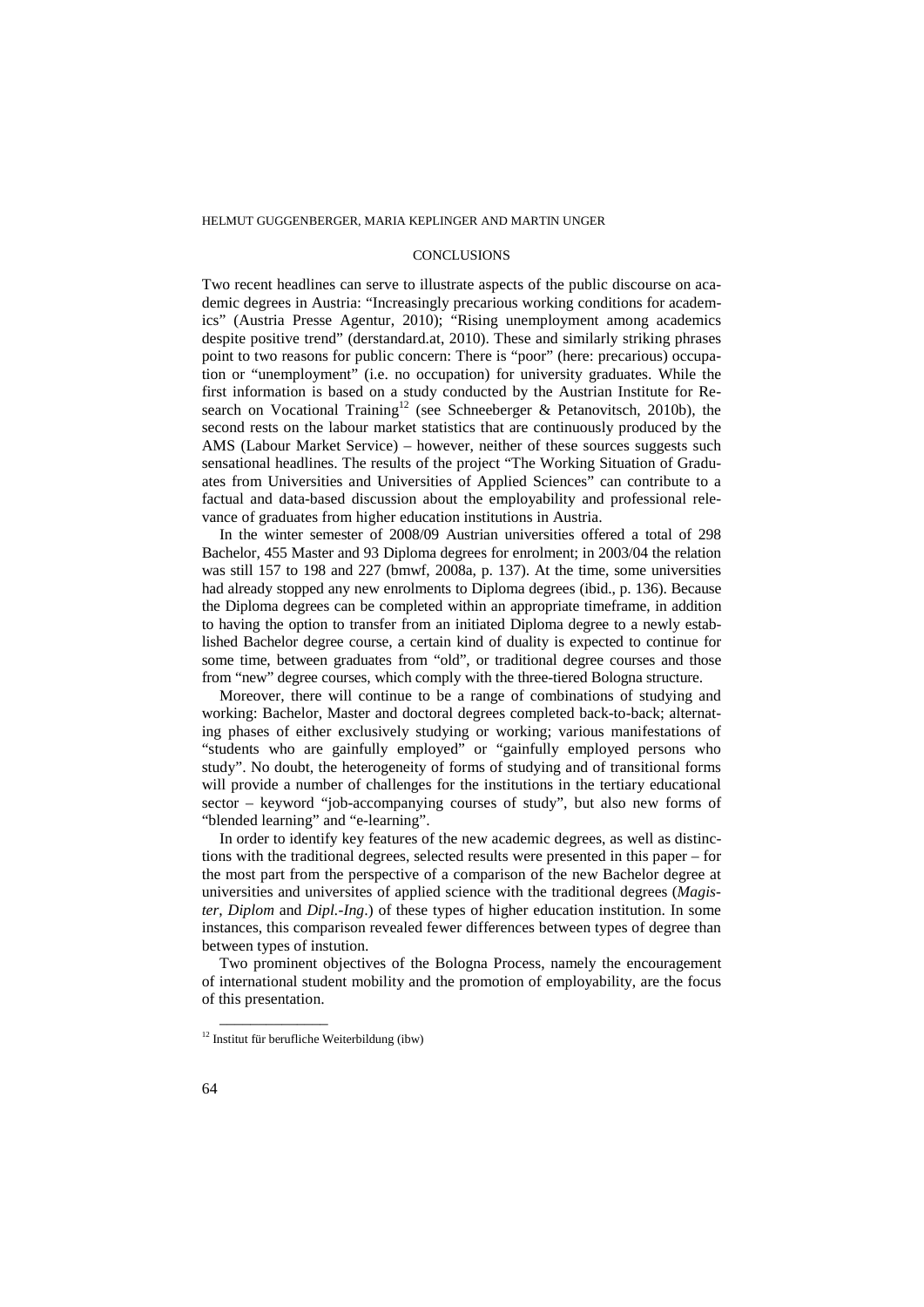#### HELMUT GUGGENBERGER, MARIA KEPLINGER AND MARTIN UNGER

### **CONCLUSIONS**

Two recent headlines can serve to illustrate aspects of the public discourse on academic degrees in Austria: "Increasingly precarious working conditions for academics" (Austria Presse Agentur, 2010); "Rising unemployment among academics despite positive trend" (derstandard.at, 2010). These and similarly striking phrases point to two reasons for public concern: There is "poor" (here: precarious) occupation or "unemployment" (i.e. no occupation) for university graduates. While the first information is based on a study conducted by the Austrian Institute for Research on Vocational Training<sup>12</sup> (see Schneeberger & Petanovitsch, 2010b), the second rests on the labour market statistics that are continuously produced by the AMS (Labour Market Service) – however, neither of these sources suggests such sensational headlines. The results of the project "The Working Situation of Graduates from Universities and Universities of Applied Sciences" can contribute to a factual and data-based discussion about the employability and professional relevance of graduates from higher education institutions in Austria.

In the winter semester of 2008/09 Austrian universities offered a total of 298 Bachelor, 455 Master and 93 Diploma degrees for enrolment; in 2003/04 the relation was still 157 to 198 and 227 (bmwf, 2008a, p. 137). At the time, some universities had already stopped any new enrolments to Diploma degrees (ibid., p. 136). Because the Diploma degrees can be completed within an appropriate timeframe, in addition to having the option to transfer from an initiated Diploma degree to a newly established Bachelor degree course, a certain kind of duality is expected to continue for some time, between graduates from "old", or traditional degree courses and those from "new" degree courses, which comply with the three-tiered Bologna structure.

Moreover, there will continue to be a range of combinations of studying and working: Bachelor, Master and doctoral degrees completed back-to-back; alternating phases of either exclusively studying or working; various manifestations of "students who are gainfully employed" or "gainfully employed persons who study". No doubt, the heterogeneity of forms of studying and of transitional forms will provide a number of challenges for the institutions in the tertiary educational sector – keyword "job-accompanying courses of study", but also new forms of "blended learning" and "e-learning".

In order to identify key features of the new academic degrees, as well as distinctions with the traditional degrees, selected results were presented in this paper – for the most part from the perspective of a comparison of the new Bachelor degree at universities and universites of applied science with the traditional degrees (*Magister*, *Diplom* and *Dipl.-Ing*.) of these types of higher education institution. In some instances, this comparison revealed fewer differences between types of degree than between types of instution.

Two prominent objectives of the Bologna Process, namely the encouragement of international student mobility and the promotion of employability, are the focus of this presentation.

 $^{12}$  Institut für berufliche Weiterbildung (ibw)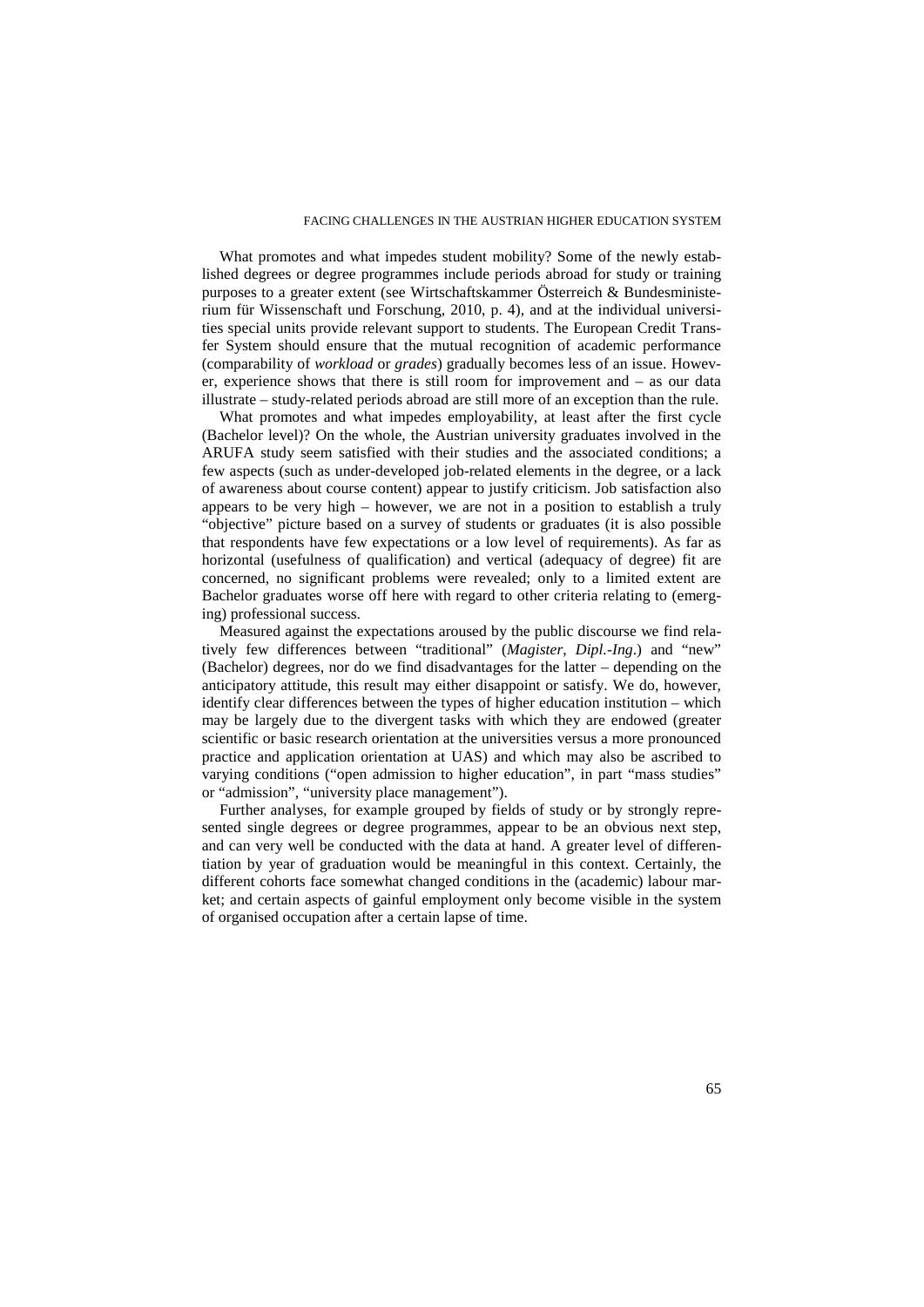What promotes and what impedes student mobility? Some of the newly established degrees or degree programmes include periods abroad for study or training purposes to a greater extent (see Wirtschaftskammer Österreich & Bundesministerium für Wissenschaft und Forschung, 2010, p. 4), and at the individual universities special units provide relevant support to students. The European Credit Transfer System should ensure that the mutual recognition of academic performance (comparability of *workload* or *grades*) gradually becomes less of an issue. However, experience shows that there is still room for improvement and – as our data illustrate – study-related periods abroad are still more of an exception than the rule.

What promotes and what impedes employability, at least after the first cycle (Bachelor level)? On the whole, the Austrian university graduates involved in the ARUFA study seem satisfied with their studies and the associated conditions; a few aspects (such as under-developed job-related elements in the degree, or a lack of awareness about course content) appear to justify criticism. Job satisfaction also appears to be very high – however, we are not in a position to establish a truly "objective" picture based on a survey of students or graduates (it is also possible that respondents have few expectations or a low level of requirements). As far as horizontal (usefulness of qualification) and vertical (adequacy of degree) fit are concerned, no significant problems were revealed; only to a limited extent are Bachelor graduates worse off here with regard to other criteria relating to (emerging) professional success.

Measured against the expectations aroused by the public discourse we find relatively few differences between "traditional" (*Magister*, *Dipl.-Ing*.) and "new" (Bachelor) degrees, nor do we find disadvantages for the latter – depending on the anticipatory attitude, this result may either disappoint or satisfy. We do, however, identify clear differences between the types of higher education institution – which may be largely due to the divergent tasks with which they are endowed (greater scientific or basic research orientation at the universities versus a more pronounced practice and application orientation at UAS) and which may also be ascribed to varying conditions ("open admission to higher education", in part "mass studies" or "admission", "university place management").

Further analyses, for example grouped by fields of study or by strongly represented single degrees or degree programmes, appear to be an obvious next step, and can very well be conducted with the data at hand. A greater level of differentiation by year of graduation would be meaningful in this context. Certainly, the different cohorts face somewhat changed conditions in the (academic) labour market; and certain aspects of gainful employment only become visible in the system of organised occupation after a certain lapse of time.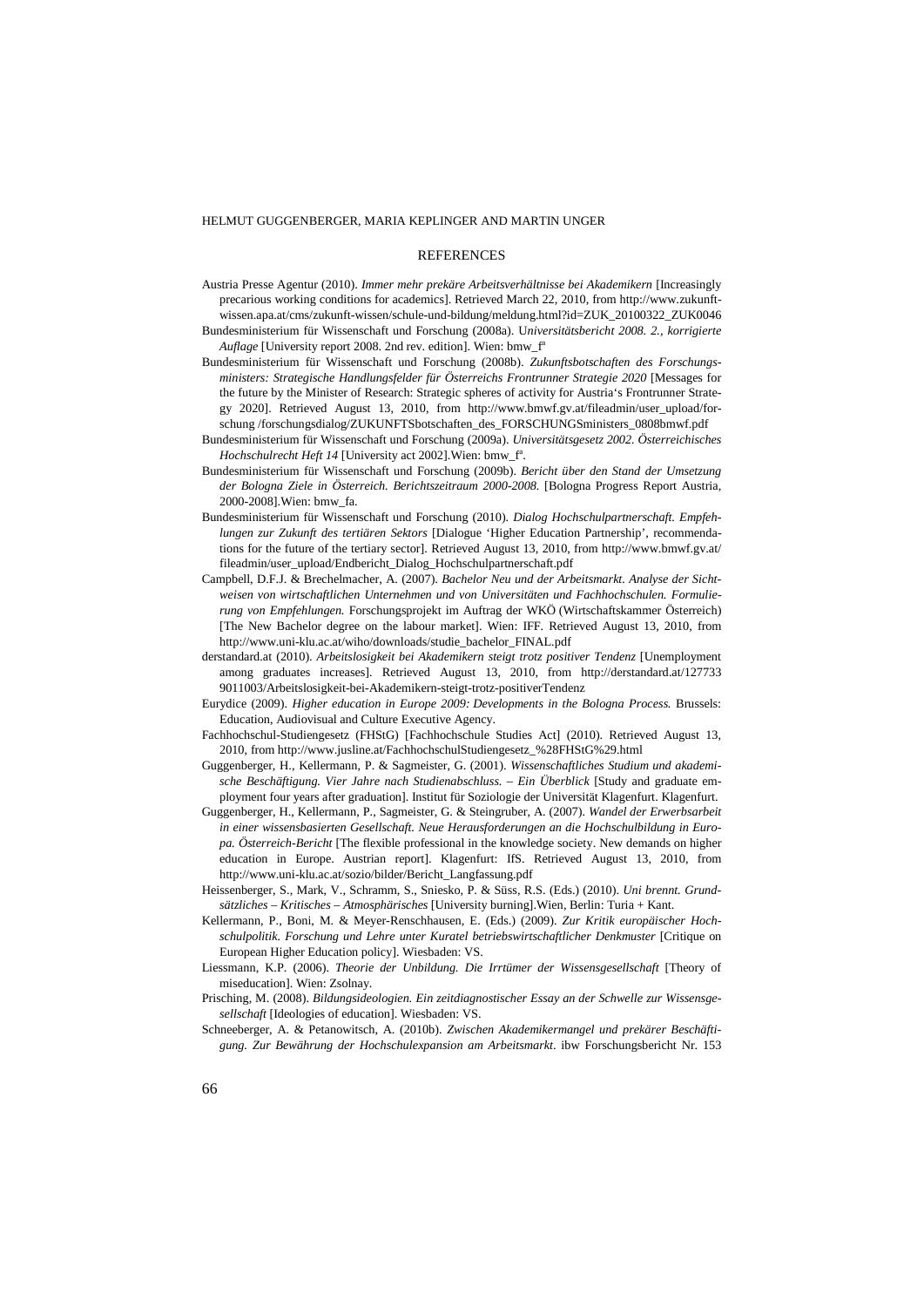## **REFERENCES**

- Austria Presse Agentur (2010). *Immer mehr prekäre Arbeitsverhältnisse bei Akademikern* [Increasingly precarious working conditions for academics]. Retrieved March 22, 2010, from http://www.zukunftwissen.apa.at/cms/zukunft-wissen/schule-und-bildung/meldung.html?id=ZUK\_20100322\_ZUK0046
- Bundesministerium für Wissenschaft und Forschung (2008a). U*niversitätsbericht 2008. 2., korrigierte Auflage* [University report 2008. 2nd rev. edition]. Wien: bmw\_fa
- Bundesministerium für Wissenschaft und Forschung (2008b). *Zukunftsbotschaften des Forschungsministers: Strategische Handlungsfelder für Österreichs Frontrunner Strategie 2020* [Messages for the future by the Minister of Research: Strategic spheres of activity for Austria's Frontrunner Strategy 2020]. Retrieved August 13, 2010, from http://www.bmwf.gv.at/fileadmin/user\_upload/forschung /forschungsdialog/ZUKUNFTSbotschaften\_des\_FORSCHUNGSministers\_0808bmwf.pdf
- Bundesministerium für Wissenschaft und Forschung (2009a). *Universitätsgesetz 2002. Österreichisches*  Hochschulrecht Heft 14 [University act 2002]. Wien: bmw\_f<sup>a</sup>.
- Bundesministerium für Wissenschaft und Forschung (2009b). *Bericht über den Stand der Umsetzung der Bologna Ziele in Österreich. Berichtszeitraum 2000-2008.* [Bologna Progress Report Austria, 2000-2008].Wien: bmw\_fa.
- Bundesministerium für Wissenschaft und Forschung (2010). *Dialog Hochschulpartnerschaft. Empfehlungen zur Zukunft des tertiären Sektors* [Dialogue 'Higher Education Partnership', recommendations for the future of the tertiary sector]. Retrieved August 13, 2010, from http://www.bmwf.gv.at/ fileadmin/user\_upload/Endbericht\_Dialog\_Hochschulpartnerschaft.pdf
- Campbell, D.F.J. & Brechelmacher, A. (2007). *Bachelor Neu und der Arbeitsmarkt. Analyse der Sichtweisen von wirtschaftlichen Unternehmen und von Universitäten und Fachhochschulen. Formulierung von Empfehlungen.* Forschungsprojekt im Auftrag der WKÖ (Wirtschaftskammer Österreich) [The New Bachelor degree on the labour market]. Wien: IFF. Retrieved August 13, 2010, from http://www.uni-klu.ac.at/wiho/downloads/studie\_bachelor\_FINAL.pdf
- derstandard.at (2010). *Arbeitslosigkeit bei Akademikern steigt trotz positiver Tendenz* [Unemployment among graduates increases]*.* Retrieved August 13, 2010, from http://derstandard.at/127733 9011003/Arbeitslosigkeit-bei-Akademikern-steigt-trotz-positiverTendenz
- Eurydice (2009). *Higher education in Europe 2009: Developments in the Bologna Process.* Brussels: Education, Audiovisual and Culture Executive Agency.
- Fachhochschul-Studiengesetz (FHStG) [Fachhochschule Studies Act] (2010). Retrieved August 13, 2010, from http://www.jusline.at/FachhochschulStudiengesetz\_%28FHStG%29.html
- Guggenberger, H., Kellermann, P. & Sagmeister, G. (2001). *Wissenschaftliches Studium und akademische Beschäftigung. Vier Jahre nach Studienabschluss. – Ein Überblick* [Study and graduate employment four years after graduation]. Institut für Soziologie der Universität Klagenfurt. Klagenfurt.
- Guggenberger, H., Kellermann, P., Sagmeister, G. & Steingruber, A. (2007). *Wandel der Erwerbsarbeit in einer wissensbasierten Gesellschaft. Neue Herausforderungen an die Hochschulbildung in Europa. Österreich-Bericht* [The flexible professional in the knowledge society. New demands on higher education in Europe. Austrian report]. Klagenfurt: IfS. Retrieved August 13, 2010, from http://www.uni-klu.ac.at/sozio/bilder/Bericht\_Langfassung.pdf
- Heissenberger, S., Mark, V., Schramm, S., Sniesko, P. & Süss, R.S. (Eds.) (2010). *Uni brennt. Grundsätzliches – Kritisches – Atmosphärisches* [University burning].Wien, Berlin: Turia + Kant.
- Kellermann, P., Boni, M. & Meyer-Renschhausen, E. (Eds.) (2009). *Zur Kritik europäischer Hochschulpolitik. Forschung und Lehre unter Kuratel betriebswirtschaftlicher Denkmuster* [Critique on European Higher Education policy]. Wiesbaden: VS.
- Liessmann, K.P. (2006). *Theorie der Unbildung. Die Irrtümer der Wissensgesellschaft* [Theory of miseducation]. Wien: Zsolnay.
- Prisching, M. (2008). *Bildungsideologien. Ein zeitdiagnostischer Essay an der Schwelle zur Wissensgesellschaft* [Ideologies of education]. Wiesbaden: VS.
- Schneeberger, A. & Petanowitsch, A. (2010b). *Zwischen Akademikermangel und prekärer Beschäftigung. Zur Bewährung der Hochschulexpansion am Arbeitsmarkt*. ibw Forschungsbericht Nr. 153